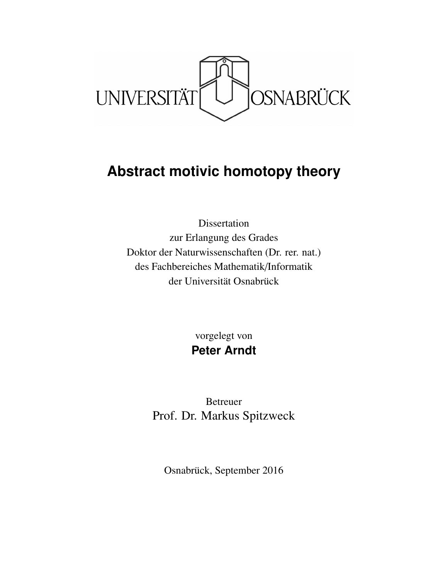

# **Abstract motivic homotopy theory**

Dissertation zur Erlangung des Grades Doktor der Naturwissenschaften (Dr. rer. nat.) des Fachbereiches Mathematik/Informatik der Universität Osnabrück

> vorgelegt von **Peter Arndt**

Betreuer Prof. Dr. Markus Spitzweck

Osnabrück, September 2016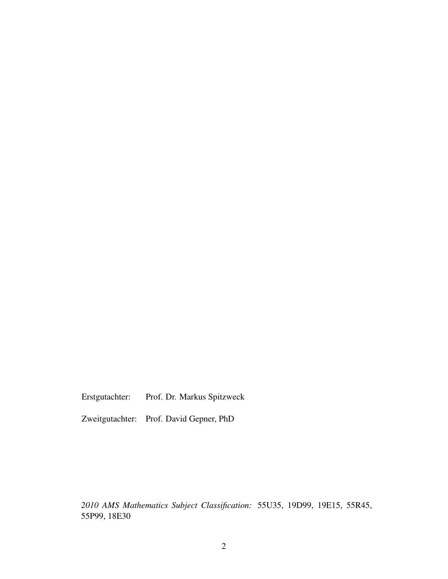Erstgutachter: Prof. Dr. Markus Spitzweck

Zweitgutachter: Prof. David Gepner, PhD

*2010 AMS Mathematics Subject Classification:* 55U35, 19D99, 19E15, 55R45, 55P99, 18E30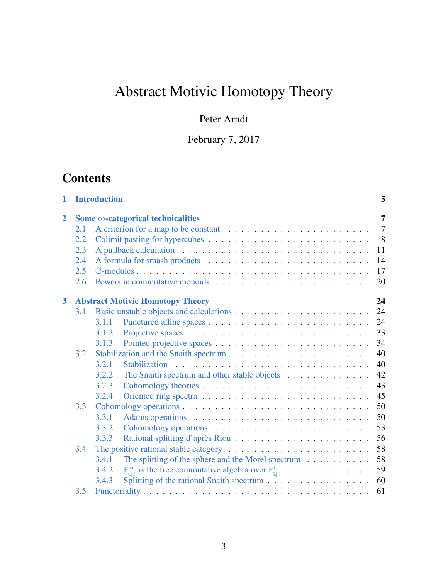# Abstract Motivic Homotopy Theory

# Peter Arndt

February 7, 2017

# **Contents**

| 1              | <b>Introduction</b> |                                           |                                                                                                               |                |  |  |
|----------------|---------------------|-------------------------------------------|---------------------------------------------------------------------------------------------------------------|----------------|--|--|
| $\overline{2}$ |                     | Some $\infty$ -categorical technicalities |                                                                                                               |                |  |  |
|                | 2.1                 |                                           |                                                                                                               | $\overline{7}$ |  |  |
|                | 2.2                 |                                           | 8                                                                                                             |                |  |  |
|                | 2.3                 |                                           | 11                                                                                                            |                |  |  |
|                | 2.4                 |                                           | 14                                                                                                            |                |  |  |
|                | 2.5                 |                                           | 17                                                                                                            |                |  |  |
|                | 2.6                 |                                           | 20                                                                                                            |                |  |  |
| 3              |                     |                                           | 24<br><b>Abstract Motivic Homotopy Theory</b>                                                                 |                |  |  |
|                | 3.1                 |                                           | 24                                                                                                            |                |  |  |
|                |                     | 3.1.1                                     | 24                                                                                                            |                |  |  |
|                |                     | 3.1.2                                     | 33                                                                                                            |                |  |  |
|                |                     | 3.1.3                                     | 34                                                                                                            |                |  |  |
|                | 3.2                 |                                           | 40                                                                                                            |                |  |  |
|                |                     | 3.2.1                                     | 40                                                                                                            |                |  |  |
|                |                     | 3.2.2                                     | 42<br>The Snaith spectrum and other stable objects                                                            |                |  |  |
|                |                     | 3.2.3                                     | 43                                                                                                            |                |  |  |
|                |                     | 3.2.4                                     | 45                                                                                                            |                |  |  |
|                | 3.3                 |                                           | 50                                                                                                            |                |  |  |
|                |                     | 3.3.1                                     | 50                                                                                                            |                |  |  |
|                |                     | 3.3.2                                     | 53                                                                                                            |                |  |  |
|                |                     | 3.3.3                                     | 56                                                                                                            |                |  |  |
|                | 3.4                 |                                           | 58<br>The positive rational stable category $\dots \dots \dots \dots \dots \dots \dots \dots$                 |                |  |  |
|                |                     | 3.4.1                                     | 58<br>The splitting of the sphere and the Morel spectrum $\dots \dots \dots$                                  |                |  |  |
|                |                     | 3.4.2                                     | $\mathbb{P}_{\mathbb{O}^+}^{\infty}$ is the free commutative algebra over $\mathbb{P}_{\mathbb{O}^+}^1$<br>59 |                |  |  |
|                |                     | 3.4.3                                     | 60                                                                                                            |                |  |  |
|                | 3.5                 |                                           | 61                                                                                                            |                |  |  |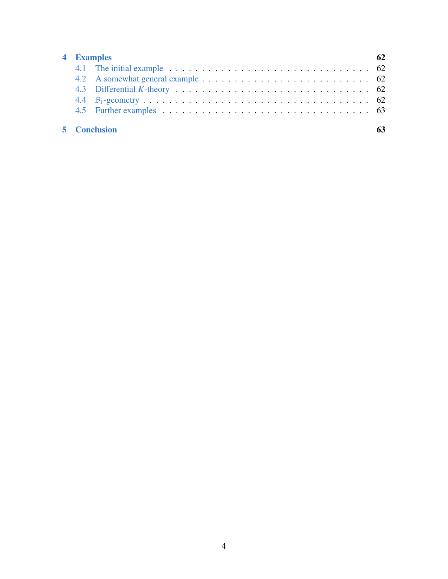| 4 Examples |  |                     |  |  |
|------------|--|---------------------|--|--|
|            |  |                     |  |  |
|            |  |                     |  |  |
|            |  |                     |  |  |
|            |  |                     |  |  |
|            |  |                     |  |  |
|            |  |                     |  |  |
|            |  | <b>5</b> Conclusion |  |  |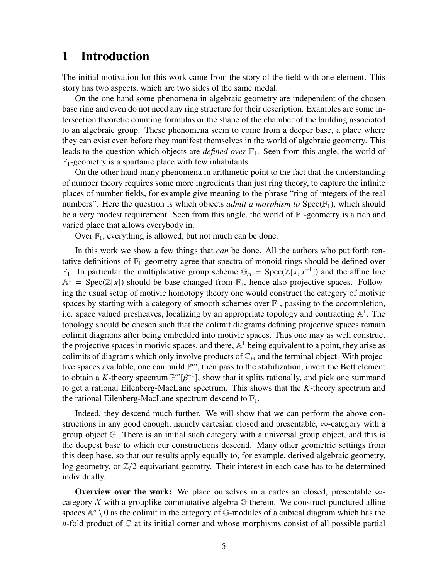# <span id="page-4-0"></span>1 Introduction

The initial motivation for this work came from the story of the field with one element. This story has two aspects, which are two sides of the same medal.

On the one hand some phenomena in algebraic geometry are independent of the chosen base ring and even do not need any ring structure for their description. Examples are some intersection theoretic counting formulas or the shape of the chamber of the building associated to an algebraic group. These phenomena seem to come from a deeper base, a place where they can exist even before they manifest themselves in the world of algebraic geometry. This leads to the question which objects are *defined over* F1. Seen from this angle, the world of  $\mathbb{F}_1$ -geometry is a spartanic place with few inhabitants.

On the other hand many phenomena in arithmetic point to the fact that the understanding of number theory requires some more ingredients than just ring theory, to capture the infinite places of number fields, for example give meaning to the phrase "ring of integers of the real numbers". Here the question is which objects *admit a morphism to*  $Spec(\mathbb{F}_1)$ , which should be a very modest requirement. Seen from this angle, the world of  $\mathbb{F}_1$ -geometry is a rich and varied place that allows everybody in.

Over  $\mathbb{F}_1$ , everything is allowed, but not much can be done.

In this work we show a few things that *can* be done. All the authors who put forth tentative definitions of  $\mathbb{F}_1$ -geometry agree that spectra of monoid rings should be defined over  $\mathbb{F}_1$ . In particular the multiplicative group scheme  $\mathbb{G}_m$  = Spec( $\mathbb{Z}[x, x^{-1}]$ ) and the affine line  $\mathbb{A}^1$  – Spec( $\mathbb{Z}[x]$ ) should be base changed from  $\mathbb{F}_n$ , bence also projective spaces. Follow- $\mathbb{A}^1$  = Spec( $\mathbb{Z}[x]$ ) should be base changed from  $\mathbb{F}_1$ , hence also projective spaces. Following the usual setup of motivic homotopy theory one would construct the category of motivic spaces by starting with a category of smooth schemes over  $\mathbb{F}_1$ , passing to the cocompletion, i.e. space valued presheaves, localizing by an appropriate topology and contracting  $\mathbb{A}^1$ . The topology should be chosen such that the colimit diagrams defining projective spaces remain colimit diagrams after being embedded into motivic spaces. Thus one may as well construct the projective spaces in motivic spaces, and there,  $\mathbb{A}^1$  being equivalent to a point, they arise as colimits of diagrams which only involve products of  $\mathbb{G}_m$  and the terminal object. With projective spaces available, one can build P <sup>∞</sup>, then pass to the stabilization, invert the Bott element to obtain a *K*-theory spectrum  $\mathbb{P}^{\infty}[\beta^{-1}]$ , show that it splits rationally, and pick one summand<br>to get a rational Filepherg-MacI ane spectrum. This shows that the *K*-theory spectrum and to get a rational Eilenberg-MacLane spectrum. This shows that the *K*-theory spectrum and the rational Eilenberg-MacLane spectrum descend to  $\mathbb{F}_1$ .

Indeed, they descend much further. We will show that we can perform the above constructions in any good enough, namely cartesian closed and presentable,  $\infty$ -category with a group object  $G$ . There is an initial such category with a universal group object, and this is the deepest base to which our constructions descend. Many other geometric settings from this deep base, so that our results apply equally to, for example, derived algebraic geometry, log geometry, or  $\mathbb{Z}/2$ -equivariant geomtry. Their interest in each case has to be determined individually.

**Overview over the work:** We place ourselves in a cartesian closed, presentable  $\infty$ category  $X$  with a grouplike commutative algebra  $G$  therein. We construct punctured affine spaces  $\mathbb{A}^n \setminus 0$  as the colimit in the category of  $\mathbb{G}$ -modules of a cubical diagram which has the *n*-fold product of  $G$  at its initial corner and whose morphisms consist of all possible partial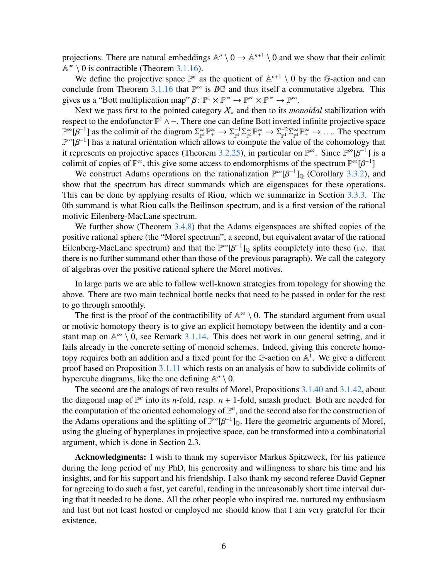projections. There are natural embeddings  $\mathbb{A}^n \setminus 0 \to \mathbb{A}^{n+1} \setminus 0$  and we show that their colimit  $\mathbb{A}^{\infty} \setminus 0$  is contractible (Theorem [3.1.16\)](#page-28-0).

We define the projective space  $\mathbb{P}^n$  as the quotient of  $\mathbb{A}^{n+1} \setminus 0$  by the G-action and can conclude from Theorem [3.1.16](#page-28-0) that  $\mathbb{P}^{\infty}$  is  $B\mathbb{G}$  and thus itself a commutative algebra. This gives us a "Bott multiplication map"  $\beta \colon \mathbb{P}^1 \times \mathbb{P}^{\infty} \to \mathbb{P}^{\infty} \times \mathbb{P}^{\infty} \to \mathbb{P}^{\infty}$ .<br>Next we pass first to the pointed category X, and then to its mo

Next we pass first to the pointed category X<sup>∗</sup> and then to its *monoidal* stabilization with respect to the endofunctor  $\mathbb{P}^1 \wedge -$ . There one can define Bott inverted infinite projective space  $\mathbb{P}^{\infty}[\beta^{-1}]$  as the colimit of the diagram  $\Sigma_{\mathbb{P}^1}^{\infty} \mathbb{P}^{\infty}_+ \to \Sigma_{\mathbb{P}^1}^{-1} \Sigma_{\mathbb{P}^1}^{\infty} \mathbb{P}^{\infty}_+ \to \Sigma_{\mathbb{P}^1}^{-2} \Sigma_{\mathbb{P}^1}^{\infty} \mathbb{P}^{\infty}_+ \to \dots$ . The spectrum  $\mathbb{P}^{\infty}[\beta^{-1}]$  has a natur  $\mathbb{P}^{\infty}[\beta^{-1}]$  has a natural orientation which allows to compute the value of the cohomology that<br>it represents on projective spaces (Theorem 3.2.25), in particular on  $\mathbb{P}^{\infty}$ . Since  $\mathbb{P}^{\infty}[B^{-1}]$  is a it represents on projective spaces (Theorem [3.2.25\)](#page-45-0), in particular on  $\mathbb{P}^{\infty}$ . Since  $\mathbb{P}^{\infty}[\beta^{-1}]$  is a colimit of copies of  $\mathbb{P}^{\infty}$  this give some access to endomorphisms of the spectrum  $\mathbb{P}^{\infty}[B^{-1}]$ colimit of copies of  $\mathbb{P}^{\infty}$ , this give some access to endomorphisms of the spectrum  $\mathbb{P}^{\infty}[\beta^{-1}]$ <br>We construct Adams operations on the rationalization  $\mathbb{P}^{\infty}[\beta^{-1}]$ . (Corollary 3.3.2)

We construct Adams operations on the rationalization  $\mathbb{P}^{\infty}[\beta^{-1}]_{\mathbb{Q}}$  (Corollary [3.3.2\)](#page-49-2), and w that the spectrum has direct summands which are eigenspaces for these operations show that the spectrum has direct summands which are eigenspaces for these operations. This can be done by applying results of Riou, which we summarize in Section [3.3.3.](#page-55-0) The 0th summand is what Riou calls the Beilinson spectrum, and is a first version of the rational motivic Eilenberg-MacLane spectrum.

We further show (Theorem [3.4.8\)](#page-59-1) that the Adams eigenspaces are shifted copies of the positive rational sphere (the "Morel spectrum", a second, but equivalent avatar of the rational Eilenberg-MacLane spectrum) and that the  $\mathbb{P}^{\infty}[\beta^{-1}]_{\mathbb{Q}}$  splits completely into these (i.e. that there is no further summand other than those of the previous paragraph). We call the category there is no further summand other than those of the previous paragraph). We call the category of algebras over the positive rational sphere the Morel motives.

In large parts we are able to follow well-known strategies from topology for showing the above. There are two main technical bottle necks that need to be passed in order for the rest to go through smoothly.

The first is the proof of the contractibility of  $\mathbb{A}^{\infty} \setminus 0$ . The standard argument from usual or motivic homotopy theory is to give an explicit homotopy between the identity and a constant map on  $\mathbb{A}^{\infty} \setminus 0$ , see Remark [3.1.14.](#page-28-1) This does not work in our general setting, and it fails already in the concrete setting of monoid schemes. Indeed, giving this concrete homotopy requires both an addition and a fixed point for the G-action on  $\mathbb{A}^1$ . We give a different proof based on Proposition [3.1.11](#page-26-0) which rests on an analysis of how to subdivide colimits of hypercube diagrams, like the one defining  $\mathbb{A}^n \setminus 0$ .

The second are the analogs of two results of Morel, Propositions [3.1.40](#page-35-0) and [3.1.42,](#page-38-0) about the diagonal map of  $\mathbb{P}^n$  into its *n*-fold, resp. *n* + 1-fold, smash product. Both are needed for the computation of the oriented cohomology of  $\mathbb{P}^n$ , and the second also for the construction of the Adams operations and the splitting of  $\mathbb{P}^{\infty}[\beta^{-1}]_{\mathbb{Q}}$ . Here the geometric arguments of Morel,<br>using the glueing of hyperplanes in projective space, can be transformed into a combinatorial using the glueing of hyperplanes in projective space, can be transformed into a combinatorial argument, which is done in Section 2.3.

Acknowledgments: I wish to thank my supervisor Markus Spitzweck, for his patience during the long period of my PhD, his generosity and willingness to share his time and his insights, and for his support and his friendship. I also thank my second referee David Gepner for agreeing to do such a fast, yet careful, reading in the unreasonably short time interval during that it needed to be done. All the other people who inspired me, nurtured my enthusiasm and lust but not least hosted or employed me should know that I am very grateful for their existence.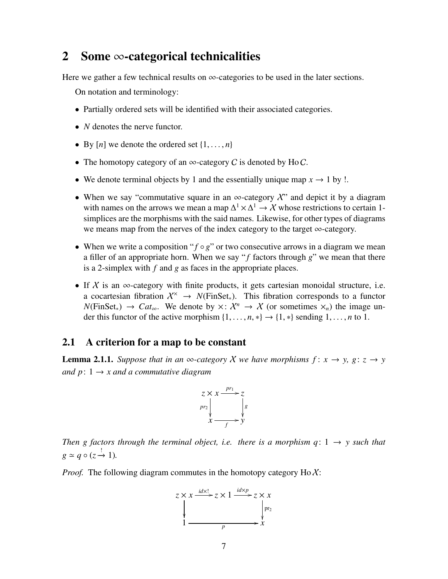# <span id="page-6-0"></span>2 Some  $\infty$ -categorical technicalities

Here we gather a few technical results on  $\infty$ -categories to be used in the later sections.

On notation and terminology:

- Partially ordered sets will be identified with their associated categories.
- *N* denotes the nerve functor.
- By  $[n]$  we denote the ordered set  $\{1, \ldots, n\}$
- The homotopy category of an  $\infty$ -category C is denoted by Ho C.
- We denote terminal objects by 1 and the essentially unique map  $x \to 1$  by !.
- When we say "commutative square in an  $\infty$ -category X" and depict it by a diagram with names on the arrows we mean a map  $\Delta^1 \times \Delta^1 \to \mathcal{X}$  whose restrictions to certain 1simplices are the morphisms with the said names. Likewise, for other types of diagrams we means map from the nerves of the index category to the target ∞-category.
- When we write a composition " $f \circ g$ " or two consecutive arrows in a diagram we mean a filler of an appropriate horn. When we say " $f$  factors through  $g$ " we mean that there is a 2-simplex with *f* and *g* as faces in the appropriate places.
- If X is an  $\infty$ -category with finite products, it gets cartesian monoidal structure, i.e. a cocartesian fibration  $X^{\times} \rightarrow N(\text{FinSet}_{*})$ . This fibration corresponds to a functor  $N(\text{FinSet}_*) \to \text{Cat}_{\infty}$ . We denote by  $\times : \mathcal{X}^n \to \mathcal{X}$  (or sometimes  $\times_n$ ) the image under this functor of the active morphism  $\{1, \ldots, n, *\} \rightarrow \{1, *\}$  sending  $1, \ldots, n$  to 1.

#### <span id="page-6-1"></span>2.1 A criterion for a map to be constant

<span id="page-6-2"></span>**Lemma 2.1.1.** *Suppose that in an*  $\infty$ *-category X we have morphisms*  $f: x \rightarrow y$ ,  $g: z \rightarrow y$ *and*  $p: 1 \rightarrow x$  *and a commutative diagram* 



*Then g factors through the terminal object, i.e. there is a morphism q:*  $1 \rightarrow y$  *such that*  $g \simeq q \circ (z \stackrel{!}{\rightarrow} 1)$ *.* 

*Proof.* The following diagram commutes in the homotopy category  $Ho\mathcal{X}$ :

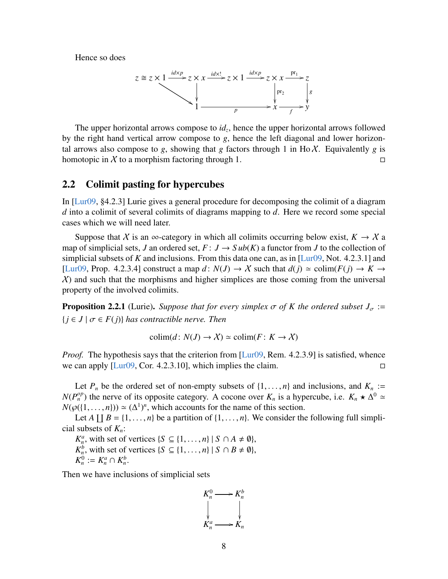Hence so does

$$
z \cong z \times 1 \xrightarrow{id \times p} z \times x \xrightarrow{id \times 1} z \times 1 \xrightarrow{id \times p} z \times x \xrightarrow{pr_1} z
$$
\n
$$
\downarrow \qquad \qquad \downarrow \qquad \qquad \downarrow \qquad \qquad \downarrow \qquad \qquad \downarrow \qquad \qquad \downarrow \qquad \qquad \downarrow \qquad \qquad \downarrow \qquad \qquad \downarrow \qquad \qquad \downarrow \qquad \qquad \downarrow \qquad \qquad \downarrow \qquad \qquad \downarrow \qquad \qquad \downarrow \qquad \qquad \downarrow \qquad \qquad \downarrow \qquad \qquad \downarrow \qquad \qquad \downarrow
$$

The upper horizontal arrows compose to *id<sup>z</sup>* , hence the upper horizontal arrows followed by the right hand vertical arrow compose to *g*, hence the left diagonal and lower horizontal arrows also compose to  $g$ , showing that  $g$  factors through 1 in Ho  $\chi$ . Equivalently  $g$  is homotopic in X to a morphism factoring through 1.

#### <span id="page-7-0"></span>2.2 Colimit pasting for hypercubes

In [\[Lur09,](#page-64-0) §4.2.3] Lurie gives a general procedure for decomposing the colimit of a diagram *d* into a colimit of several colimits of diagrams mapping to *d*. Here we record some special cases which we will need later.

Suppose that X is an  $\infty$ -category in which all colimits occurring below exist,  $K \to X$  a map of simplicial sets, *J* an ordered set,  $F: J \to Sub(K)$  a functor from *J* to the collection of simplicial subsets of *K* and inclusions. From this data one can, as in [\[Lur09,](#page-64-0) Not. 4.2.3.1] and [\[Lur09,](#page-64-0) Prop. 4.2.3.4] construct a map  $d: N(J) \to X$  such that  $d(j) \simeq \text{colim}(F(j) \to K \to Y)$  $X$ ) and such that the morphisms and higher simplices are those coming from the universal property of the involved colimits.

<span id="page-7-1"></span>**Proposition 2.2.1** (Lurie). *Suppose that for every simplex*  $\sigma$  *of K the ordered subset*  $J_{\sigma}$  :=  ${j \in J \mid \sigma \in F(j)}$  *has contractible nerve. Then* 

$$
\text{colim}(d: N(J) \to \mathcal{X}) \simeq \text{colim}(F: K \to \mathcal{X})
$$

*Proof.* The hypothesis says that the criterion from [\[Lur09,](#page-64-0) Rem. 4.2.3.9] is satisfied, whence we can apply  $[Lur09, Cor. 4.2.3.10]$  $[Lur09, Cor. 4.2.3.10]$ , which implies the claim.

Let  $P_n$  be the ordered set of non-empty subsets of  $\{1, \ldots, n\}$  and inclusions, and  $K_n :=$  $N(P_n^{op})$  the nerve of its opposite category. A cocone over  $K_n$  is a hypercube, i.e.  $K_n \star \Delta^0 \simeq N(\omega(1-n)) \sim (\Delta^1)^n$  which accounts for the name of this section  $N(\wp({1,\ldots,n})) \simeq (\Delta^1)^n$ , which accounts for the name of this section.<br>Let  $\Delta \amalg R = \{1, \ldots, n\}$  be a partition of  $\{1, \ldots, n\}$ . We consider the

Let *A*  $\coprod B = \{1, ..., n\}$  be a partition of  $\{1, ..., n\}$ . We consider the following full simpli-<br>subsets of *K* : cial subsets of *Kn*:

*K*<sup>*a*</sup>, with set of vertices {*S* ⊆ {1, . . . , *n*} | *S* ∩ *A* ≠ *0*},<br> *K*<sub>*h*</sub></sub>, with set of vertices {*S* ⊆ {1, . . . , *n*} | *S* ∩ *B* ≠ *0*},<br> *k*<sup>0</sup> :- *k*<sup>*a*</sup> ∩ *k*<sup>*b*</sup>

$$
K_n^0 := K_n^a \cap K_n^b.
$$

Then we have inclusions of simplicial sets

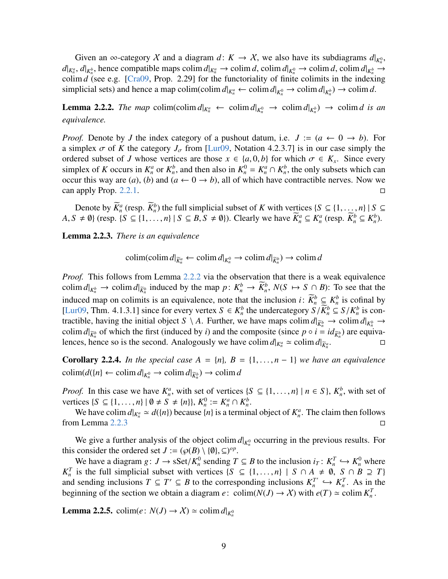Given an  $\infty$ -category X and a diagram  $d: K \to X$ , we also have its subdiagrams  $d|_{K_n^0}$ ,  $d|_{K_n^a}$ ,  $d|_{K_n^b}$ , hence compatible maps colim  $d|_{K_n^a} \to$  colim  $d$ , colim  $d|_{K_n^0} \to$  colim  $d$ , colim  $d|_{K_n^b} \to$ colim *d* (see e.g. [\[Cra09,](#page-63-0) Prop. 2.29] for the functoriality of finite colimits in the indexing simplicial sets) and hence a map colim(colim  $d|_{K_n^a} \leftarrow \text{colim } d|_{K_n^0} \rightarrow \text{colim } d|_{K_n^b}$ )  $\rightarrow \text{colim } d$ .

<span id="page-8-0"></span>**Lemma 2.2.2.** The map colim(colim  $d|_{K_n^a} \leftarrow \text{colim } d|_{K_n^0} \rightarrow \text{colim } d|_{K_n^b}$ )  $\rightarrow \text{colim } d$  is an *equivalence.*

*Proof.* Denote by *J* the index category of a pushout datum, i.e.  $J := (a \leftarrow 0 \rightarrow b)$ . For a simplex  $\sigma$  of K the category  $J_{\sigma}$  from [\[Lur09,](#page-64-0) Notation 4.2.3.7] is in our case simply the ordered subset of *J* whose vertices are those  $x \in \{a, 0, b\}$  for which  $\sigma \in K_x$ . Since every simplex of *K* occurs in  $K^a$  or  $K^b$  and then also in  $K^0 - K^a \cap K^b$  the only subsets which can simplex of *K* occurs in  $K_n^a$  or  $K_n^b$ , and then also in  $K_n^0 = K_n^a \cap K_n^b$ , the only subsets which can occur this way are (*a*), (*b*) and ( $a \leftarrow 0 \rightarrow b$ ), all of which have contractible nerves. Now we can apply Prop. [2.2.1.](#page-7-1)

Denote by  $\overline{K}_n^a$  (resp.  $\overline{K}_n^b$ ) the full simplicial subset of *K* with vertices  $\{S \subseteq \{1, ..., n\} \mid S \subseteq$ <br> $\neq \emptyset$ ) (resp.  $\{S \subseteq \{1, ..., n\} \mid S \subseteq R \mid S \neq \emptyset\}$ )) Clearly we have  $\overline{K}^a \subseteq K^a$  (resp.  $\overline{K}^b \subseteq K^b$ )  $A, S \neq \emptyset$  (resp.  $\{S \subseteq \{1, ..., n\} | S \subseteq B, S \neq \emptyset\}$ ). Clearly we have  $\widetilde{K}_n^a \subseteq K_n^a$  (resp.  $\widetilde{K}_n^b \subseteq K_n^b$ ).

<span id="page-8-1"></span>Lemma 2.2.3. *There is an equivalence*

$$
\operatorname{colim}(\operatorname{colim} d|_{\widetilde{K}_n^a} \leftarrow \operatorname{colim} d|_{K_n^0} \to \operatorname{colim} d|_{\widetilde{K}_n^b}) \to \operatorname{colim} d
$$

*Proof.* This follows from Lemma [2.2.2](#page-8-0) via the observation that there is a weak equivalence colim  $d|_{K_n^b} \to \text{colim } d|_{\widetilde{K}_n^b}$  induced by the map  $p: K_n^b \to \overline{K}_n^b$ ,  $N(S \mapsto S \cap B)$ : To see that the induced map on colimits is an equivalence, note that the inclusion *i*:  $\overline{K}_n^b \subseteq K_n^b$  is cofinal by [\[Lur09,](#page-64-0) Thm. 4.1.3.1] since for every vertex  $S \in K_n^b$  the undercategory  $S/\overline{K}_n^b \subseteq S/K_n^b$  is contractible having the initial object  $S \setminus A$ . Further we have mans colim  $d|_{\infty} \to \text{colim } d|_{\infty}$ tractible, having the initial object  $S \setminus A$ . Further, we have maps colim  $d|_{\widetilde{K}_n^b} \to \text{colim } d|_{K_n^b} \to$ colim  $d|_{\overline{K}^b_n}$  of which the first (induced by *i*) and the composite (since  $p \circ i = id_{\overline{K}^b_n}$ ) are equivalences, hence so is the second. Analogously we have colim  $d|_{K_n^a} \approx \text{colim } d|_{\widetilde{K}_n^a}$  $\Box_n$ 

<span id="page-8-3"></span>**Corollary 2.2.4.** *In the special case*  $A = \{n\}$ ,  $B = \{1, \ldots, n-1\}$  *we have an equivalence*  $\text{colim}(d({n}) \leftarrow \text{colim } d|_{K_n^0} \rightarrow \text{colim } d|_{\widetilde{K}_n^b}) \rightarrow \text{colim } d$ 

*Proof.* In this case we have  $K_n^a$ , with set of vertices  $\{S \subseteq \{1, ..., n\} \mid n \in S\}$ ,  $K_n^b$ , with set of vertices  $\{S \subseteq \{1, ..., n\} \mid n \in S\}$ ,  $K_n^b$ , with set of vertices  $\{S \subseteq \{1, ..., n\} | \emptyset \neq S \neq \{n\}\}, K_n^0 := K_n^a \cap K_n^b$ .<br>We have colin  $d_{\text{max}} \approx d(\{n\})$  because  $\{n\}$  is a termin

We have colim  $d|_{K_n^a} \simeq d({n})$  because  ${n}$  is a terminal object of  $K_n^a$ . The claim then follows from Lemma [2.2.3](#page-8-1)  $\Box$ 

We give a further analysis of the object colim  $d|_{K_n^0}$  occurring in the previous results. For this consider the ordered set  $J := (\wp(B) \setminus \{\emptyset\}, \subseteq)^{op}$ .<br>We have a diagram  $g : J \to s\text{Set}/K^0$  sending T

We have a diagram  $g: J \to \text{SSet}/K_n^0$  sending  $T \subseteq B$  to the inclusion  $i_T: K_n^T \hookrightarrow K_n^0$  where is the full simplicial subset with vertices  $\{S \subset \{1, \ldots, n\} \mid S \cap A \neq \emptyset, S \cap B \supset T\}$ *K*<sup>*T*</sup> *n*is the full simplicial subset with vertices {*S* ⊆ {1, ..., *n*} | *S* ∩ *A*  $\neq$  Ø, *S* ∩ *B* ⊇ *T*} *nd* sending inclusions *T* ⊂ *T'* ⊂ *B* to the corresponding inclusions  $K^{T'}$  ⇔  $K^{T}$  As in the and sending inclusions  $T \subseteq T' \subseteq B$  to the corresponding inclusions  $K_n^T$  $f_n^T \hookrightarrow K_n^T$ . As in the beginning of the section we obtain a diagram *e*: colim( $N(J) \rightarrow X$ ) with  $e(T) \simeq \text{colim } K_n^T$ .

<span id="page-8-2"></span>**Lemma 2.2.5.** colim(*e*:  $N(J) \rightarrow \mathcal{X}$ )  $\simeq$  colim  $d|_{K_n^0}$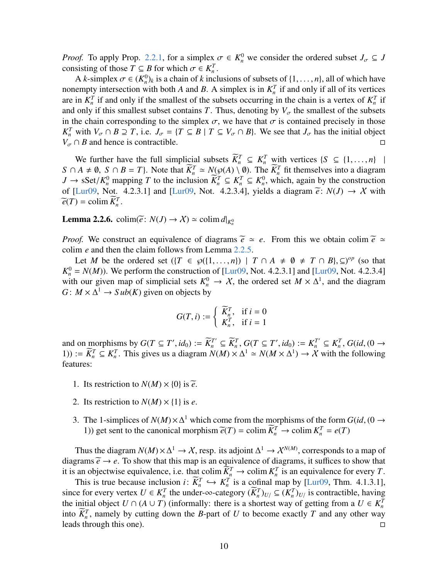*Proof.* To apply Prop. [2.2.1,](#page-7-1) for a simplex  $\sigma \in K_n^0$  we consider the ordered subset  $J_{\sigma} \subseteq J$  consisting of those  $T \subset R$  for which  $\sigma \in K^T$ consisting of those  $T \subseteq B$  for which  $\sigma \in K_n^T$ .<br>A *k*-simplex  $\sigma \in (K^0)$ , is a chain of *k* incl

A *k*-simplex  $\sigma \in (K_n^0)_k$  is a chain of *k* inclusions of subsets of  $\{1, \ldots, n\}$ , all of which have<br>empty intersection with both A and B. A simplex is in  $K^T$  if and only if all of its vertices nonempty intersection with both *A* and *B*. A simplex is in  $K_n^T$  if and only if all of its vertices are in  $K_n^T$  if and only if the smallest of the subsets occurring in the chain is a vertex of  $K_n^T$  if and only if this smallest subset contains *T*. Thus, denoting by  $V_{\sigma}$  the smallest of the subsets in the chain corresponding to the simplex  $\sigma$ , we have that  $\sigma$  is contained precisely in those *K*<sup>*T*</sup> *n* with *V<sub>σ</sub>* ∩ *B*  $\supseteq$  *T*, i.e. *J<sub>σ</sub>* = {*T* ⊆ *B* | *T* ⊆ *V<sub>σ</sub>* ∩ *B*}. We see that *J<sub>σ</sub>* has the initial object *N*<sub>0</sub> O *B* and have is setteratible.  $V_{\sigma} \cap B$  and hence is contractible.

We further have the full simplicial subsets  $\overline{K}_n^T \subseteq K_n^T$  with vertices  $\{S \subseteq \{1, ..., n\} \mid A \neq \emptyset \mid S \cap B = T\}$ . Note that  $\overline{K}^T \approx N(\mathcal{O}(A) \setminus \emptyset)$ . The  $\overline{K}^T$  fit themselves into a diagram  $S \cap A \neq \emptyset$ ,  $S \cap B = T$ }. Note that  $\overline{K}_n^T \simeq N(\wp(A) \setminus \emptyset)$ . The  $\overline{K}_n^T$  fit themselves into a diagram  $I \to s\mathcal{S}et/K^0$  mapping  $T$  to the inclusion  $\overline{K}^T \subset K^T \subset K^0$  which again by the construction *J* → sSet/ $K_n^0$  mapping *T* to the inclusion  $\overline{K}_n^T \subseteq K_n^T \subseteq K_n^0$ , which, again by the construction of *II* ur09. Not *A* 2.3.11 and *II* ur09. Not *A* 2.3.41, vields a diagram  $\tilde{e}$ ;  $N(I)$  → *X* with of [\[Lur09,](#page-64-0) Not. 4.2.3.1] and [Lur09, Not. 4.2.3.4], yields a diagram  $\tilde{e}$ :  $N(J) \rightarrow X$  with  $\widetilde{e}(T) = \operatorname{colim} \widetilde{K}_n^T.$ 

**Lemma 2.2.6.** colim $(\widetilde{e}: N(J) \to \mathcal{X}) \simeq \text{colim } d|_{K_n^0}$ 

*Proof.* We construct an equivalence of diagrams  $\tilde{e} \simeq e$ . From this we obtain colim  $\tilde{e} \simeq$ colim *e* and then the claim follows from Lemma [2.2.5.](#page-8-2)

Let *M* be the ordered set  $({T \in \wp({1, ..., n}) \mid T \cap A \neq \emptyset \neq T \cap B}, \subseteq)^{op}$  (so that  $-N(M)$ ). We perform the construction of  $\Pi$  ur09. Not 4.2.3.11 and  $\Pi$  ur09. Not 4.2.3.41  $K_n^0 = N(M)$ ). We perform the construction of [\[Lur09,](#page-64-0) Not. 4.2.3.1] and [Lur09, Not. 4.2.3.4] with our given map of simplicial sets  $K_n^0 \to X$ , the ordered set  $M \times \Delta^1$ , and the diagram  $G: M \times \Delta^1 \rightarrow Sub(K)$  given on objects by

$$
G(T, i) := \begin{cases} \widetilde{K}_n^T, & \text{if } i = 0\\ K_n^T, & \text{if } i = 1 \end{cases}
$$

and on morphisms by  $G(T \subseteq T', id_0) := \widetilde{K}_n^T \subseteq \widetilde{K}_n^T$ ,  $G(T \subseteq T', id_0) := K_n^{T'} \subseteq K_n^T$ ,  $G(id, (0 \to 1)) := \widetilde{K}_n^T \subset K_n^T$ . This gives us a diagram  $N(M) \times \Lambda^1 \sim N(M \times \Lambda^1) \to X$  with the following 1)) :=  $\overline{K}_n^T \subseteq K_n^T$ . This gives us a diagram  $N(M) \times \Delta^1 \simeq N(M \times \Delta^1) \to X$  with the following features:

- 1. Its restriction to  $N(M) \times \{0\}$  is  $\widetilde{e}$ .
- 2. Its restriction to  $N(M) \times \{1\}$  is *e*.
- 3. The 1-simplices of  $N(M) \times \Delta^1$  which come from the morphisms of the form  $G(id, (0 \rightarrow 1))$  get sent to the canonical morphism  $\widetilde{\mathcal{L}}(T) = \text{colim } \widetilde{K}^T \rightarrow \text{colim } K^T = e(T)$ 1)) get sent to the canonical morphism  $\tilde{e}(T) = \text{colim } \overline{K}_n^T \to \text{colim } K_n^T = e(T)$

Thus the diagram  $N(M) \times \Delta^1 \to X$ , resp. its adjoint  $\Delta^1 \to X^{N(M)}$ , corresponds to a map of diagrams  $\tilde{e} \rightarrow e$ . To show that this map is an equivalence of diagrams, it suffices to show that it is an objectwise equivalence, i.e. that colim  $\overline{K}_n^T \to$  colim  $K_n^T$  is an equivalence for every *T*.

This is true because inclusion  $i: \overline{K}_n^T \hookrightarrow K_n^T$  is a cofinal map by [\[Lur09,](#page-64-0) Thm. 4.1.3.1],<br>refore every vertex  $U \in K^T$  the under- $\infty$ -category  $(\overline{K}^T)_{\text{rel}} \subset (K^T)_{\text{rel}}$  is contractible, having since for every vertex  $U \in K_n^T$  the under- $\infty$ -category  $(\overline{K}_n^T)_{U/\leq K_n^T}$  is contractible, having the initial chiest  $U \circ (A \cup T)$  (informally there is a characterize of estimate from a  $U \in K_n^T$ the initial object  $U \cap (A \cup T)$  (informally: there is a shortest way of getting from a  $U \in K_n^T$ into  $\overline{K}_n^T$ , namely by cutting down the *B*-part of *U* to become exactly *T* and any other way leads through this one).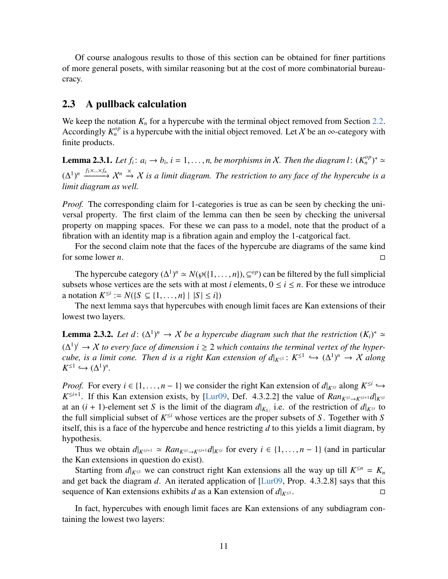Of course analogous results to those of this section can be obtained for finer partitions of more general posets, with similar reasoning but at the cost of more combinatorial bureaucracy.

#### <span id="page-10-0"></span>2.3 A pullback calculation

We keep the notation  $K_n$  for a hypercube with the terminal object removed from Section [2.2.](#page-7-0) Accordingly  $K_n^{op}$  is a hypercube with the initial object removed. Let X be an  $\infty$ -category with finite products.

<span id="page-10-2"></span>**Lemma 2.3.1.** Let  $f_i: a_i \to b_i$ ,  $i = 1, ..., n$ , be morphisms in X. Then the diagram  $l: (K_n^{op})^* \simeq$  $(\Delta^1)^n \xrightarrow{f_1 \times ... \times f_n} \mathcal{X}^n \xrightarrow{\times} \mathcal{X}$  is a limit diagram. The restriction to any face of the hypercube is a *limit diagram as well.*

*Proof.* The corresponding claim for 1-categories is true as can be seen by checking the universal property. The first claim of the lemma can then be seen by checking the universal property on mapping spaces. For these we can pass to a model, note that the product of a fibration with an identity map is a fibration again and employ the 1-catgorical fact.

For the second claim note that the faces of the hypercube are diagrams of the same kind for some lower *n*.

The hypercube category  $(\Delta^1)^n \simeq N(\wp({1,\ldots,n}), \subseteq^{op})$  can be filtered by the full simplicial sets whose vertices are the sets with at most *i* elements  $0 \le i \le n$ . For these we introduce subsets whose vertices are the sets with at most *i* elements,  $0 \le i \le n$ . For these we introduce a notation  $K^{\leq i} := N(\{S \subseteq \{1, ..., n\} \mid |S| \leq i\})$ <br>The next lemma says that hypercubes with

The next lemma says that hypercubes with enough limit faces are Kan extensions of their lowest two layers.

<span id="page-10-1"></span>**Lemma 2.3.2.** Let  $d: (\Delta^1)^n \to X$  be a hypercube diagram such that the restriction  $(K_i)^d \simeq$  $(∆<sup>1</sup>)<sup>i</sup> → X$  *to every face of dimension i*  $\geq$  2 *which contains the terminal vertex of the hypercube, is a limit cone. Then d is a right Kan extension of*  $d|_{K^{\leq 1}}: K^{\leq 1} \hookrightarrow (\Delta^1)^n \to X$  *along*<br> $K^{\leq 1} \hookrightarrow (\Delta^1)^n$  $K^{\leq 1} \hookrightarrow (\Delta^1)^n$ .

*Proof.* For every  $i \in \{1, ..., n-1\}$  we consider the right Kan extension of  $d|_{K \le i}$  along  $K^{\le i}$  →  $K^{\le i+1}$  if this Kan extension exists by **H** ur09. Def. *A* 3.2.21 the value of *Ranse smalled*  $K^{\leq i+1}$ . If this Kan extension exists, by [\[Lur09,](#page-64-0) Def. 4.3.2.2] the value of  $Ran_{K^{\leq i}\to K^{\leq i+1}}d|_{K^{\leq i}}$ at an  $(i + 1)$ -element set *S* is the limit of the diagram  $d|_{K_{S_i}}$  i.e. of the restriction of  $d|_{K^{\leq i}}$  to the full simplicial subset of  $K^{\leq i}$  whose vertices are the proper subsets of *S*. Together with *S* itself, this is a face of the hypercube and hence restricting *d* to this yields a limit diagram, by hypothesis.

Thus we obtain  $d|_{K^{\leq i+1}} \simeq Ran_{K^{\leq i} \to K^{\leq i+1}} d|_{K^{\leq i}}$  for every  $i \in \{1, \dots, n-1\}$  (and in particular the Kan extensions in question do exist).

Starting from  $d|_{K^{\leq 1}}$  we can construct right Kan extensions all the way up till  $K^{\leq n} = K_n$ and get back the diagram *d*. An iterated application of [\[Lur09,](#page-64-0) Prop. 4.3.2.8] says that this sequence of Kan extensions exhibits *d* as a Kan extension of  $d|_{K^{\leq 1}}$ .

In fact, hypercubes with enough limit faces are Kan extensions of any subdiagram containing the lowest two layers: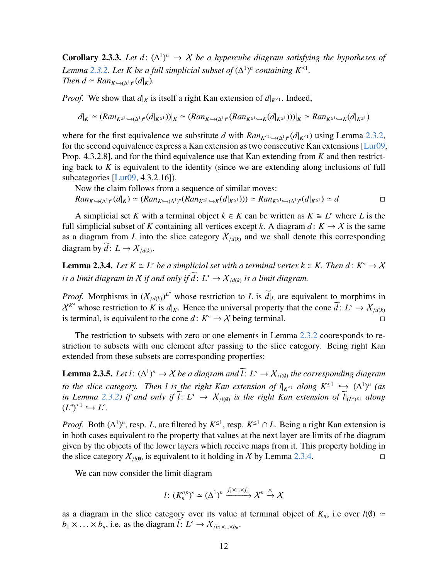**Corollary 2.3.3.** Let  $d: (\Delta^1)^n \to X$  be a hypercube diagram satisfying the hypotheses of *Lemma* [2.3.2.](#page-10-1) Let K be a full simplicial subset of  $(\Delta^1)^n$  containing  $K^{\leq 1}$ . *Then*  $d \simeq Ran_{K \hookrightarrow (\Delta^1)^n}(d|_K)$ .

*Proof.* We show that  $d|_K$  is itself a right Kan extension of  $d|_{K^{\leq 1}}$ . Indeed,

$$
d|_K \simeq (Ran_{K^{\leq 1} \hookrightarrow (\Delta^1)^n} (d|_{K^{\leq 1}}))|_K \simeq (Ran_{K^{\hookrightarrow (\Delta^1)^n}} (Ran_{K^{\leq 1} \hookrightarrow K} (d|_{K^{\leq 1}})))|_K \simeq Ran_{K^{\leq 1} \hookrightarrow K} (d|_{K^{\leq 1}})
$$

where for the first equivalence we substitute *d* with  $Ran_{K^{\leq 1} \hookrightarrow (\Delta^1)^n} (d|_{K^{\leq 1}})$  using Lemma [2.3.2,](#page-10-1) for the second equivalence surveyes a Kan extension as two consequitive Kan extensions H v=00. for the second equivalence express a Kan extension as two consecutive Kan extensions [\[Lur09,](#page-64-0) Prop. 4.3.2.8], and for the third equivalence use that Kan extending from *K* and then restricting back to *K* is equivalent to the identity (since we are extending along inclusions of full subcategories [\[Lur09,](#page-64-0) 4.3.2.16]).

Now the claim follows from a sequence of similar moves:  $Ran_{K \to (\Delta^1)^n}(d|_K) \simeq (Ran_{K \to (\Delta^1)^n}(Ran_{K^{\leq 1}} \to_K(d|_{K^{\leq 1}}))) \simeq Ran_{K^{\leq 1} \to (\Delta^1)^n}(d|_{K^{\leq 1}}) \simeq d$ 

A simplicial set *K* with a terminal object  $k \in K$  can be written as  $K \cong L^*$  where *L* is the full simplicial subset of *K* containing all vertices except *k*. A diagram  $d: K \to X$  is the same as a diagram from *L* into the slice category  $X_{/d(k)}$  and we shall denote this corresponding diagram by  $\tilde{d}: L \to \mathcal{X}_{/d(k)}$ .

<span id="page-11-0"></span>**Lemma 2.3.4.** Let  $K \cong L^*$  be a simplicial set with a terminal vertex  $k \in K$ . Then  $d: K^* \to X$ *is a limit diagram in X if and only if*  $d: L^{\triangleleft} \to X_{/d(k)}$  *is a limit diagram.* 

*Proof.* Morphisms in  $(X_{/d(k)})^{L^*}$  whose restriction to *L* is  $d|_L$  are equivalent to morphims in  $X^{K^*}$  whose restriction to *K* is  $d|_K$ . Hence the universal property that the cone  $\tilde{d}: L^* \to X_{/d(k)}$ is terminal, is equivalent to the cone  $d: K^* \to X$  being terminal.

The restriction to subsets with zero or one elements in Lemma [2.3.2](#page-10-1) cooresponds to restriction to subsets with one element after passing to the slice category. Being right Kan extended from these subsets are corresponding properties:

<span id="page-11-1"></span>**Lemma 2.3.5.** *Let*  $l: (\Delta^1)^n \to X$  *be a diagram and*  $\overline{l}: L^* \to X_{/l(\emptyset)}$  *the corresponding diagram to the slice category. Then l is the right Kan extension of*  $l_{K^{\leq 1}}$  *along*  $K^{\leq 1} \hookrightarrow (\Delta^1)^n$  *(as in Lemma 2.3.2) if and only if*  $\widetilde{l}: L^{\leq} \to X$  *we is the right Kan extension of*  $\widetilde{l}|_{\infty}$  *along in Lemma* [2.3.2\)](#page-10-1) *if and only if*  $l: L^4 \to X_{/l(0)}$  *is the right Kan extension of*  $l|_{(L^4)^{\leq l}}$  *along*  $(L^{\mathsf{q}})^{\leq 1} \hookrightarrow L^{\mathsf{q}}.$ 

*Proof.* Both  $(\Delta^1)^n$ , resp. *L*, are filtered by  $K^{\leq 1}$ , resp.  $K^{\leq 1} \cap L$ . Being a right Kan extension is in both cases equivalent to the property that values at the next layer are limits of the diagram given by the objects of the lower layers which receive maps from it. This property holding in the slice category  $X_{/l(0)}$  is equivalent to it holding in X by Lemma [2.3.4.](#page-11-0)

We can now consider the limit diagram

$$
l: (K_n^{op})^{\triangleleft} \simeq (\Delta^1)^n \xrightarrow{f_1 \times \ldots \times f_n} \mathcal{X}^n \xrightarrow{\times} \mathcal{X}
$$

as a diagram in the slice category over its value at terminal object of  $K_n$ , i.e over  $l(\emptyset) \simeq$  $b_1 \times \ldots \times b_n$ , i.e. as the diagram  $l: L^* \to \mathcal{X}_{/b_1 \times \ldots \times b_n}$ .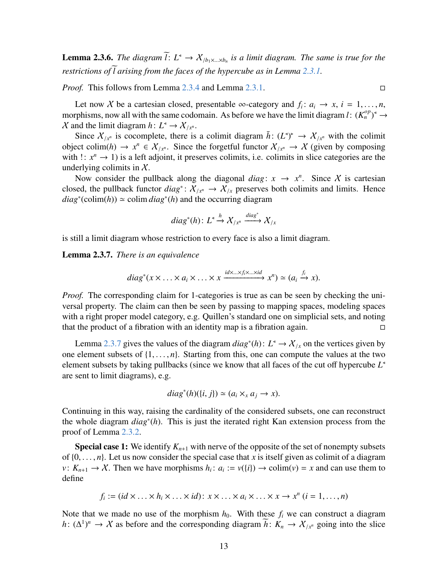**Lemma 2.3.6.** *The diagram*  $l: L^4 \to X_{/b_1 \times ... \times b_n}$  is a limit diagram. The same is true for the *restrictions of l arising from the faces of the hypercube as in Lemma [2.3.1.](#page-10-2)* 

*Proof.* This follows from Lemma [2.3.4](#page-11-0) and Lemma [2.3.1.](#page-10-2)

Let now X be a cartesian closed, presentable ∞-category and  $f_i: a_i \to x, i = 1, ..., n$ , replies now all with the same codomain. As before we have the limit diagram  $f_i: (K^{op})^4 \to$ morphisms, now all with the same codomain. As before we have the limit diagram *l*:  $(K_n^{op})^4 \to$ *X* and the limit diagram *h*:  $L^4 \rightarrow X/x^n$ .

Since  $X_{/x^n}$  is cocomplete, there is a colimit diagram  $\bar{h}: (L^*)^* \to X_{/x^n}$  with the colimit object colim(*h*) →  $x^n \in X_{/x^n}$ . Since the forgetful functor  $X_{/x^n}$  → X (given by composing with  $x^n$ ,  $x^n$ ,  $x^{n+1}$ ) is a left adjoint, it generates a slimite in align actors with a set with  $\cdots$   $x^n \to 1$ ) is a left adjoint, it preserves colimits, i.e. colimits in slice categories are the underlying colimits in  $X$ .

Now consider the pullback along the diagonal *diag*:  $x \rightarrow x^n$ . Since X is cartesian closed, the pullback functor  $diag^*: X_{/x^n} \to X_{/x}$  preserves both colimits and limits. Hence  $diag^*(\text{colim}(h)) \simeq \text{colim } diag^*(h)$  and the occurring diagram

$$
diag^*(h): L^4 \xrightarrow{h} X_{/x^n} \xrightarrow{diag^*} X_{/x}
$$

is still a limit diagram whose restriction to every face is also a limit diagram.

<span id="page-12-0"></span>Lemma 2.3.7. *There is an equivalence*

diag<sup>\*</sup>
$$
(x \times ... \times a_i \times ... \times x \xrightarrow{id \times ... \times f_i \times ... \times id} x^n) \simeq (a_i \xrightarrow{f_i} x)
$$
.

*Proof.* The corresponding claim for 1-categories is true as can be seen by checking the universal property. The claim can then be seen by passing to mapping spaces, modeling spaces with a right proper model category, e.g. Quillen's standard one on simplicial sets, and noting that the product of a fibration with an identity map is a fibration again.  $\Box$ 

Lemma [2.3.7](#page-12-0) gives the values of the diagram  $diag^*(h): L^* \to \mathcal{X}_{/\mathcal{X}}$  on the vertices given by alamant wheats of  $(1, \ldots, n)$ . Stephen from this age are assumed the values of the two one element subsets of  $\{1, \ldots, n\}$ . Starting from this, one can compute the values at the two element subsets by taking pullbacks (since we know that all faces of the cut off hypercube *L* / are sent to limit diagrams), e.g.

diag<sup>\*</sup>
$$
(h)(\{i, j\}) \simeq (a_i \times_x a_j \to x)
$$
.

Continuing in this way, raising the cardinality of the considered subsets, one can reconstruct the whole diagram *diag*<sup>∗</sup> (*h*). This is just the iterated right Kan extension process from the proof of Lemma [2.3.2.](#page-10-1)

**Special case 1:** We identify  $K_{n+1}$  with nerve of the opposite of the set of nonempty subsets of  $\{0, \ldots, n\}$ . Let us now consider the special case that *x* is itself given as colimit of a diagram *v*:  $K_{n+1} \to \mathcal{X}$ . Then we have morphisms  $h_i: a_i := v({i}) \to \text{colim}(v) = x$  and can use them to define

$$
f_i := (id \times \ldots \times h_i \times \ldots \times id) : x \times \ldots \times a_i \times \ldots \times x \to x^n \ (i = 1, \ldots, n)
$$

Note that we made no use of the morphism  $h_0$ . With these  $f_i$  we can construct a diagram *h*:  $(\Delta^1)^n$  → X as before and the corresponding diagram  $\bar{h}$ :  $K_n$  →  $X_{/x^n}$  going into the slice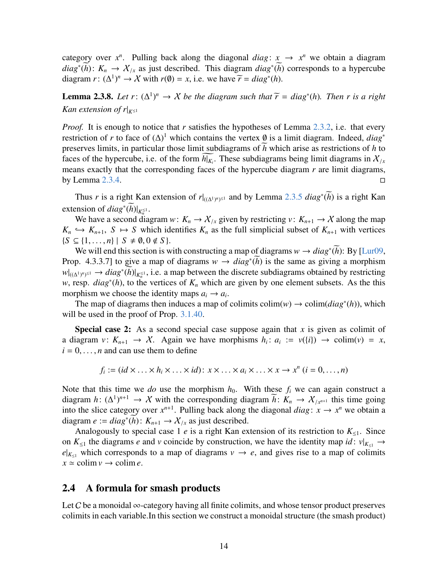category over  $x^n$ . Pulling back along the diagonal *diag*:  $x \rightarrow x^n$  we obtain a diagram *diag*<sup>∗</sup>( $\overline{h}$ ):  $K_n \to X_{/x}$  as just described. This diagram *diag*<sup>∗</sup>( $\overline{h}$ ) corresponds to a hypercube diagram *r*:  $(\Delta^1)^n \to \mathcal{X}$  with *r*( $\emptyset$ ) = *x*, i.e. we have  $\widetilde{r} = diag^*(h)$ .

<span id="page-13-1"></span>**Lemma 2.3.8.** *Let*  $r: (\Delta^1)^n \to X$  *be the diagram such that*  $\widetilde{r} = diag^*(h)$ *. Then*  $r$  *is a right Kan extension of r* $|K \leq 1$ 

*Proof.* It is enough to notice that *r* satisfies the hypotheses of Lemma [2.3.2,](#page-10-1) i.e. that every restriction of *r* to face of (∆) <sup>1</sup> which contains the vertex ∅ is a limit diagram. Indeed, *diag*<sup>∗</sup> preserves limits, in particular those limit subdiagrams of *h* which arise as restrictions of *h* to faces of the hypercube, i.e. of the form  $h|_{K_i}$ . These subdiagrams being limit diagrams in  $X/x$ <br>means such that the company which force of the hypergular diagrams were limitediagrams. means exactly that the corresponding faces of the hypercube diagram *r* are limit diagrams, by Lemma [2.3.4.](#page-11-0)

Thus *r* is a right Kan extension of  $r|_{((\Delta^1)^n)^{\leq 1}}$  and by Lemma [2.3.5](#page-11-1) *diag*<sup>∗</sup>( $\bar{h}$ ) is a right Kan extension of  $diag^*(\tilde{h})|_{K_n^{\leq 1}}$ .

We have a second diagram  $w: K_n \to X_{/x}$  given by restricting  $v: K_{n+1} \to X$  along the map  $K_n \hookrightarrow K_{n+1}$ ,  $S \mapsto S$  which identifies  $K_n$  as the full simplicial subset of  $K_{n+1}$  with vertices  ${S \subseteq \{1, ..., n\} \mid S \neq \emptyset, 0 \notin S}.$ 

We will end this section is with constructing a map of diagrams  $w \to diag^*(h)$ : By [\[Lur09,](#page-64-0) Prop. 4.3.3.7] to give a map of diagrams  $w \to diag^*(\bar{h})$  is the same as giving a morphism  $w|_{((\Delta^1)^n)^{\leq 1}} \to diag^*(\widetilde{h})|_{K_n^{\leq 1}}$ , i.e. a map between the discrete subdiagrams obtained by restricting *w*, resp. *diag*<sup>\*</sup>(*h*), to the vertices of *K<sub>n</sub>* which are given by one element subsets. As the this morphism we choose the identity maps  $a_i \rightarrow a_i$ .

The map of diagrams then induces a map of colimits  $\text{colim}(w) \rightarrow \text{colim}(diag^*(h))$ , which will be used in the proof of Prop. [3.1.40.](#page-35-0)

Special case 2: As a second special case suppose again that *x* is given as colimit of a diagram  $v: K_{n+1} \to X$ . Again we have morphisms  $h_i: a_i := v({i}) \to \text{colim}(v) = x$ ,  $i = 0, \ldots, n$  and can use them to define

$$
f_i := (id \times \ldots \times h_i \times \ldots \times id) : x \times \ldots \times a_i \times \ldots \times x \to x^n \ (i = 0, \ldots, n)
$$

Note that this time we *do* use the morphism  $h_0$ . With these  $f_i$  we can again construct a diagram *h*:  $(\Delta^1)^{n+1} \to X$  with the corresponding diagram *h*:  $K_n \to X_{/x^{n+1}}$  this time going<br>into the clien actoremy over  $x^{n+1}$ . Dulling healt along the diagonal diagram is  $x^n$  we abtain a into the slice category over  $x^{n+1}$ . Pulling back along the diagonal *diag*:  $x \to x^n$  we obtain a diagram  $e := diag^*(\bar{h}) : K_{n+1} \to X_{/x}$  as just described.

Analogously to special case 1 *e* is a right Kan extension of its restriction to  $K_{\leq 1}$ . Since on  $K_{\leq 1}$  the diagrams *e* and *v* coincide by construction, we have the identity map *id* :  $v|_{K_{\leq 1}} \to$  $e|_{K_{\leq 1}}$  which corresponds to a map of diagrams  $v \to e$ , and gives rise to a map of colimits  $x \approx \text{colim } v \rightarrow \text{colim } e$ .

#### <span id="page-13-0"></span>2.4 A formula for smash products

Let C be a monoidal  $\infty$ -category having all finite colimits, and whose tensor product preserves colimits in each variable.In this section we construct a monoidal structure (the smash product)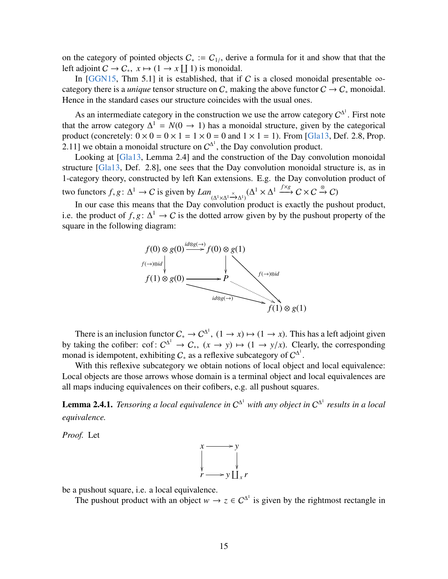on the category of pointed objects  $C_* := C_{1/}$ , derive a formula for it and show that that the left adjoint  $C \to C_*$ ,  $x \mapsto (1 \to x \coprod 1)$  is monoidal.<br>In [GGN15, Thm 5.11 it is established, that if

In [\[GGN15,](#page-63-1) Thm 5.1] it is established, that if C is a closed monoidal presentable  $\infty$ category there is a *unique* tensor structure on  $C_*$  making the above functor  $C \to C_*$  monoidal. Hence in the standard cases our structure coincides with the usual ones.

As an intermediate category in the construction we use the arrow category  $C^{\Delta^1}$ . First note that the arrow category  $\Delta^1 = N(0 \rightarrow 1)$  has a monoidal structure, given by the categorical product (concretely:  $0 \times 0 = 0 \times 1 = 1 \times 0 = 0$  and  $1 \times 1 = 1$ ). From [\[Gla13,](#page-63-2) Def. 2.8, Prop. 2.11] we obtain a monoidal structure on  $C^{\Delta^1}$ , the Day convolution product.

Looking at [\[Gla13,](#page-63-2) Lemma 2.4] and the construction of the Day convolution monoidal structure [\[Gla13,](#page-63-2) Def. 2.8], one sees that the Day convolution monoidal structure is, as in 1-category theory, constructed by left Kan extensions. E.g. the Day convolution product of two functors  $f, g: \Delta^1 \to C$  is given by  $Lan_{(\Delta^1 \times \Delta^1 \xrightarrow{\times} \Delta^1)} (\Delta^1 \times \Delta^1 \xrightarrow{f \times g} C \times C \xrightarrow{\otimes} C)$ 

In our case this means that the Day convolution product is exactly the pushout product, i.e. the product of *f*, *g*:  $\Delta^1 \rightarrow C$  is the dotted arrow given by by the pushout property of the square in the following diagram: square in the following diagram:



There is an inclusion functor  $C_* \to C^{\Delta^1}$ ,  $(1 \to x) \mapsto (1 \to x)$ . This has a left adjoint given<br>by taking the cofiber: cof:  $C^{\Delta^1} \to C_*$ ,  $(x \to y) \mapsto (1 \to y/x)$ . Clearly, the corresponding<br>monad is idempotent exhibiting C as a monad is idempotent, exhibiting  $C_*$  as a reflexive subcategory of  $C^{\Delta^1}$ .

With this reflexive subcategory we obtain notions of local object and local equivalence: Local objects are those arrows whose domain is a terminal object and local equivalences are all maps inducing equivalences on their cofibers, e.g. all pushout squares.

<span id="page-14-0"></span>**Lemma 2.4.1.** Tensoring a local equivalence in  $C^{\Delta^1}$  with any object in  $C^{\Delta^1}$  results in a local *equivalence.*

*Proof.* Let



be a pushout square, i.e. a local equivalence.

The pushout product with an object  $w \to z \in C^{\Delta^1}$  is given by the rightmost rectangle in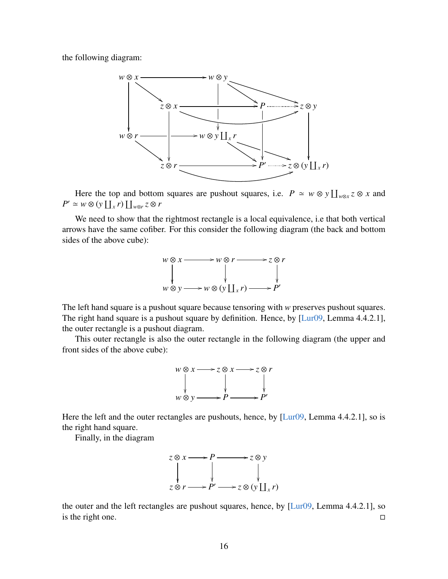the following diagram:



Here the top and bottom squares are pushout squares, i.e.  $P \approx w \otimes y \coprod_{w \otimes x} z \otimes x$  and  $P' \simeq w \otimes (y \coprod_x r) \coprod_{w \otimes r} z \otimes r$ 

We need to show that the rightmost rectangle is a local equivalence, i.e that both vertical arrows have the same cofiber. For this consider the following diagram (the back and bottom sides of the above cube):



The left hand square is a pushout square because tensoring with *w* preserves pushout squares. The right hand square is a pushout square by definition. Hence, by [\[Lur09,](#page-64-0) Lemma 4.4.2.1], the outer rectangle is a pushout diagram.

This outer rectangle is also the outer rectangle in the following diagram (the upper and front sides of the above cube):



Here the left and the outer rectangles are pushouts, hence, by [\[Lur09,](#page-64-0) Lemma 4.4.2.1], so is the right hand square.

Finally, in the diagram



the outer and the left rectangles are pushout squares, hence, by [\[Lur09,](#page-64-0) Lemma 4.4.2.1], so is the right one.  $\Box$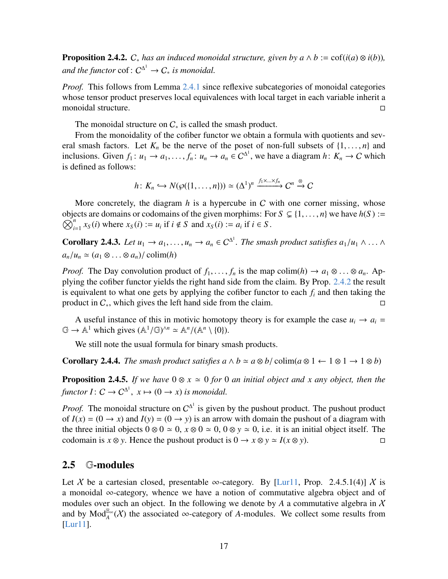<span id="page-16-1"></span>**Proposition 2.4.2.**  $C_*$  *has an induced monoidal structure, given by a*  $\wedge$  *b* := cof(*i*(*a*) ⊗ *i*(*b*)), and the functor  $\text{cof}: C^{\Delta^1} \to C_*$  is monoidal.

*Proof.* This follows from Lemma [2.4.1](#page-14-0) since reflexive subcategories of monoidal categories whose tensor product preserves local equivalences with local target in each variable inherit a monoidal structure.

The monoidal structure on  $C_*$  is called the smash product.

From the monoidality of the cofiber functor we obtain a formula with quotients and several smash factors. Let  $K_n$  be the nerve of the poset of non-full subsets of  $\{1, \ldots, n\}$  and inclusions. Given  $f_1: u_1 \to a_1, \ldots, f_n: u_n \to a_n \in C^{\Delta^1}$ , we have a diagram  $h: K_n \to C$  which is defined as follows: is defined as follows:

$$
h\colon K_n\hookrightarrow N(\wp(\{1,\ldots,n\}))\simeq (\Delta^1)^n\xrightarrow{f_1\times\ldots\times f_n}C^n\xrightarrow{\otimes}C
$$

More concretely, the diagram *h* is a hypercube in C with one corner missing, whose objects are domains or codomains of the given morphims: For  $S \subseteq \{1, ..., n\}$  we have  $h(S) := \bigotimes^n r_S(i)$  where  $r_S(i) := u$  if  $i \notin S$  and  $r_S(i) := a$  if  $i \in S$  $\tilde{\bigotimes}^n$ *n*<sub>*i*=1</sub></sub>  $x_S(i)$  where  $x_S(i) := u_i$  if  $i \notin S$  and  $x_S(i) := a_i$  if  $i \in S$ .

<span id="page-16-2"></span>**Corollary 2.4.3.** *Let*  $u_1 \rightarrow a_1, \ldots, u_n \rightarrow a_n \in C^{\Delta^1}$ . *The smash product satisfies*  $a_1/u_1 \wedge \ldots \wedge a_n$  $a_n/u_n \simeq (a_1 \otimes \ldots \otimes a_n)/$  colim $(h)$ 

*Proof.* The Day convolution product of  $f_1, \ldots, f_n$  is the map colim(*h*)  $\rightarrow a_1 \otimes \ldots \otimes a_n$ . Applying the cofiber functor yields the right hand side from the claim. By Prop. [2.4.2](#page-16-1) the result is equivalent to what one gets by applying the cofiber functor to each *f<sup>i</sup>* and then taking the product in  $C_*$ , which gives the left hand side from the claim.

A useful instance of this in motivic homotopy theory is for example the case  $u_i \rightarrow a_i$  =  $\mathbb{G} \to \mathbb{A}^1$  which gives  $(\mathbb{A}^1/\mathbb{G})^{\wedge n} \simeq \mathbb{A}^n/(\mathbb{A}^n \setminus \{0\}).$ 

We still note the usual formula for binary smash products.

**Corollary 2.4.4.** *The smash product satisfies a*  $\land$  *b*  $\simeq$  *a*  $\otimes$  *b*/ colim(*a*  $\otimes$  1  $\leftarrow$  1  $\otimes$  1  $\rightarrow$  1  $\otimes$  *b*)

**Proposition 2.4.5.** *If we have*  $0 \otimes x \simeq 0$  *for* 0 *an initial object and x any object, then the functor I*:  $C \to C^{\Delta^1}$ ,  $x \mapsto (0 \to x)$  *is monoidal.* 

*Proof.* The monoidal structure on  $C^{\Delta^1}$  is given by the pushout product. The pushout product of  $I(x) = (0 \rightarrow x)$  and  $I(y) = (0 \rightarrow y)$  is an arrow with domain the pushout of a diagram with the three initial objects  $0 \otimes 0 \simeq 0$ ,  $x \otimes 0 \simeq 0$ ,  $0 \otimes y \simeq 0$ , i.e. it is an initial object itself. The codomain is *x* ⊗ *y*. Hence the pushout product is  $0 \rightarrow x \otimes y \simeq I(x \otimes y)$ .

#### <span id="page-16-0"></span>2.5 G-modules

Let X be a cartesian closed, presentable  $\infty$ -category. By [\[Lur11,](#page-64-1) Prop. 2.4.5.1(4)] X is a monoidal  $\infty$ -category, whence we have a notion of commutative algebra object and of modules over such an object. In the following we denote by  $A$  a commutative algebra in  $X$ and by  $Mod_A^{\mathbb{E}_{\infty}}(\mathcal{X})$  the associated  $\infty$ -category of *A*-modules. We collect some results from [\[Lur11\]](#page-64-1).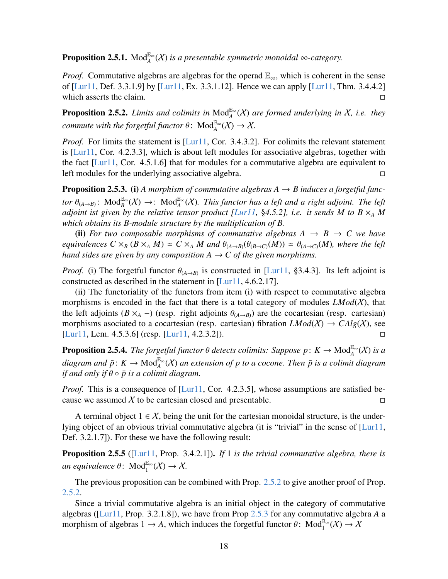**Proposition 2.5.1.** Mod<sup> $\mathbb{E}_{\alpha}^{\infty}$  *(X) is a presentable symmetric monoidal* ∞*-category.*</sup>

*Proof.* Commutative algebras are algebras for the operad  $\mathbb{E}_{\infty}$ , which is coherent in the sense of [\[Lur11,](#page-64-1) Def. 3.3.1.9] by [\[Lur11,](#page-64-1) Ex. 3.3.1.12]. Hence we can apply [\[Lur11,](#page-64-1) Thm. 3.4.4.2] which asserts the claim.

<span id="page-17-0"></span>**Proposition 2.5.2.** *Limits and colimits in*  $Mod_A^{\mathbb{E}_{\infty}}(X)$  *are formed underlying in* X, *i.e. they commute with the forgetful functor*  $\theta$ :  $Mod_A^{\mathbb{E}_{\infty}}(X) \to X$ .

*Proof.* For limits the statement is [\[Lur11,](#page-64-1) Cor. 3.4.3.2]. For colimits the relevant statement is [\[Lur11,](#page-64-1) Cor. 4.2.3.3], which is about left modules for associative algebras, together with the fact  $[Lur11, Cor. 4.5.1.6]$  $[Lur11, Cor. 4.5.1.6]$  that for modules for a commutative algebra are equivalent to left modules for the underlying associative algebra.

<span id="page-17-1"></span>**Proposition 2.5.3.** (i) A morphism of commutative algebras  $A \rightarrow B$  induces a forgetful func*tor*  $\theta_{(A\rightarrow B)}$ :  $\text{Mod}_{B}^{\mathbb{E}_{\infty}}(X) \rightarrow$ :  $\text{Mod}_{A}^{\mathbb{E}_{\infty}}(X)$ . This functor has a left and a right adjoint. The left adjoint. The left *adjoint ist given by the relative tensor product [\[Lur11,](#page-64-1) §4.5.2], i.e. it sends M to B*  $\times_A$  *M which obtains its B-module structure by the multiplication of B.*

(ii) *For two composable morphisms of commutative algebras*  $A \rightarrow B \rightarrow C$  *we have equivalences*  $C \times_B (B \times_A M) \simeq C \times_A M$  *and*  $\theta_{(A \to B)}(\theta_{(B \to C)}(M)) \simeq \theta_{(A \to C)}(M)$ *, where the left hand sides are given by any composition*  $A \rightarrow C$  *of the given morphisms.* 

*Proof.* (i) The forgetful functor  $\theta_{(A\rightarrow B)}$  is constructed in [\[Lur11,](#page-64-1) §3.4.3]. Its left adjoint is constructed as described in the statement in [Lur11, 4.6.2.17] constructed as described in the statement in [\[Lur11,](#page-64-1) 4.6.2.17].

(ii) The functoriality of the functors from item (i) with respect to commutative algebra morphisms is encoded in the fact that there is a total category of modules  $LMod(X)$ , that the left adjoints  $(B \times_A -)$  (resp. right adjoints  $\theta_{(A \to B)}$ ) are the cocartesian (resp. cartesian) morphisms asociated to a cocartesian (resp. cartesian) fibration  $LMod(X) \rightarrow Calg(X)$ , see [\[Lur11,](#page-64-1) Lem. 4.5.3.6] (resp. [\[Lur11,](#page-64-1) 4.2.3.2]).

**Proposition 2.5.4.** *The forgetful functor*  $\theta$  *detects colimits: Suppose p*:  $K \to \text{Mod}_{A}^{\mathbb{E}_{\infty}}(X)$  *is a*  $diagram$  and  $\bar{p}$ :  $K \to \text{Mod}_{A}^{\mathbb{E}_{\infty}}(X)$  an extension of p to a cocone. Then  $\bar{p}$  is a colimit diagram *if and only if*  $\theta \circ \bar{p}$  *is a colimit diagram.* 

*Proof.* This is a consequence of [\[Lur11,](#page-64-1) Cor. 4.2.3.5], whose assumptions are satisfied because we assumed  $\chi$  to be cartesian closed and presentable.

A terminal object  $1 \in \mathcal{X}$ , being the unit for the cartesian monoidal structure, is the underlying object of an obvious trivial commutative algebra (it is "trivial" in the sense of [\[Lur11,](#page-64-1) Def. 3.2.1.7]). For these we have the following result:

<span id="page-17-2"></span>Proposition 2.5.5 ([\[Lur11,](#page-64-1) Prop. 3.4.2.1]). *If* 1 *is the trivial commutative algebra, there is*  $an$  equivalence  $\theta$ :  $\text{Mod}^{\mathbb{E}_{\infty}}_1(X) \to X$ .

The previous proposition can be combined with Prop. [2.5.2](#page-17-0) to give another proof of Prop. [2.5.2.](#page-17-0)

Since a trivial commutative algebra is an initial object in the category of commutative algebras ([\[Lur11,](#page-64-1) Prop. 3.2.1.8]), we have from Prop [2.5.3](#page-17-1) for any commutative algebra *A* a morphism of algebras  $1 \to A$ , which induces the forgetful functor  $\theta$ : Mod<sup> $\mathbb{E}_{\infty}(\mathcal{X}) \to \mathcal{X}$ </sup>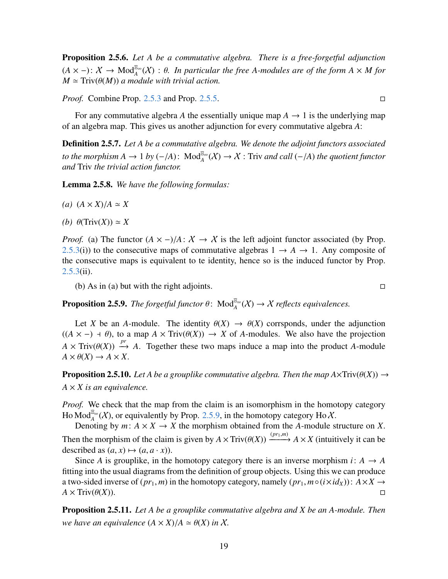Proposition 2.5.6. *Let A be a commutative algebra. There is a free-forgetful adjunction*  $(A \times -)$ :  $X \to Mod_{A}^{\mathbb{E}_{\infty}}(X)$ :  $\theta$ . In particular the free A-modules are of the form  $A \times M$  for  $M \sim Triv(\theta(M))$  a module with trivial action  $M \simeq Triv(\theta(M))$  *a module with trivial action.* 

*Proof.* Combine Prop. [2.5.3](#page-17-1) and Prop. [2.5.5.](#page-17-2)

For any commutative algebra A the essentially unique map  $A \rightarrow 1$  is the underlying map of an algebra map. This gives us another adjunction for every commutative algebra *A*:

Definition 2.5.7. *Let A be a commutative algebra. We denote the adjoint functors associated to the morphism A* → 1 *by* (−/*A*): Mod<sup> $E_{\infty}$ </sup>(*X*) → *X* : Triv *and call* (−/*A*) *the quotient functor and Triv the trivial action functor and* Triv *the trivial action functor.*

Lemma 2.5.8. *We have the following formulas:*

$$
(a) (A \times X)/A \simeq X
$$

*(b)*  $\theta$ (Triv(*X*))  $\simeq$  *X* 

*Proof.* (a) The functor  $(A \times -)/A: X \rightarrow X$  is the left adjoint functor associated (by Prop. [2.5.3\(](#page-17-1)i)) to the consecutive maps of commutative algebras  $1 \rightarrow A \rightarrow 1$ . Any composite of the consecutive maps is equivalent to te identity, hence so is the induced functor by Prop. [2.5.3\(](#page-17-1)ii).

(b) As in (a) but with the right adjoints.  $\square$ 

<span id="page-18-0"></span>**Proposition 2.5.9.** *The forgetful functor*  $\theta$ :  $\text{Mod}_{A}^{\mathbb{E}_{\infty}}(X) \to X$  *reflects equivalences.* 

Let *X* be an *A*-module. The identity  $\theta(X) \rightarrow \theta(X)$  corrsponds, under the adjunction  $((A \times -) + \theta)$ , to a map  $A \times Triv(\theta(X)) \rightarrow X$  of *A*-modules. We also have the projection  $A \times \text{Triv}(\theta(X)) \stackrel{pr}{\rightarrow} A$ . Together these two maps induce a map into the product *A*-module  $A \times \theta(X) \rightarrow A \times Y$  $A \times \theta(X) \rightarrow A \times X$ .

<span id="page-18-1"></span>**Proposition 2.5.10.** Let A be a grouplike commutative algebra. Then the map  $A \times Triv(\theta(X)) \rightarrow$  $A \times X$  *is an equivalence.* 

*Proof.* We check that the map from the claim is an isomorphism in the homotopy category Ho Mod<sup>E</sup><sup>∞</sup>(X), or equivalently by Prop. [2.5.9,](#page-18-0) in the homotopy category Ho X.

Denoting by  $m: A \times X \to X$  the morphism obtained from the *A*-module structure on *X*. Then the morphism of the claim is given by  $A \times Triv(\theta(X)) \xrightarrow{(pr_1,m)} A \times X$  (intuitively it can be described as  $(a, x) \mapsto (a, a, x)$ ) described as  $(a, x) \mapsto (a, a \cdot x)$ .

Since *A* is grouplike, in the homotopy category there is an inverse morphism  $i: A \rightarrow A$ fitting into the usual diagrams from the definition of group objects. Using this we can produce a two-sided inverse of ( $pr_1$ ,  $m$ ) in the homotopy category, namely ( $pr_1$ ,  $m ∘ (i × id_X)$ ):  $A × X → A × Triv(\theta(X))$ . □  $A \times \text{Triv}(\theta(X)).$ 

<span id="page-18-2"></span>Proposition 2.5.11. *Let A be a grouplike commutative algebra and X be an A-module. Then we have an equivalence*  $(A \times X)/A \simeq \theta(X)$  *in* X*.*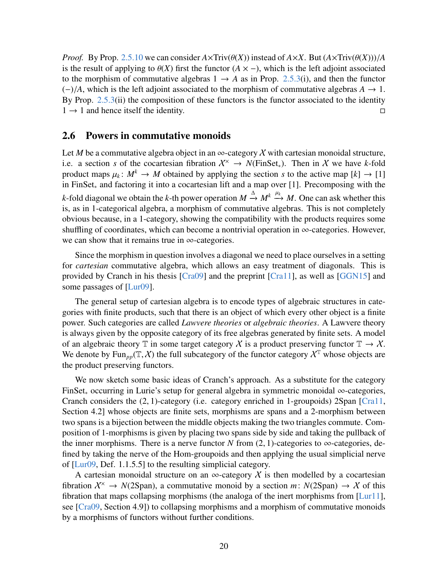*Proof.* By Prop. [2.5.10](#page-18-1) we can consider  $A \times Triv(\theta(X))$  instead of  $A \times X$ . But  $(A \times Triv(\theta(X)))/A$ is the result of applying to  $\theta(X)$  first the functor  $(A \times -)$ , which is the left adjoint associated to the morphism of commutative algebras  $1 \rightarrow A$  as in Prop. [2.5.3\(](#page-17-1)i), and then the functor (−)/*A*, which is the left adjoint associated to the morphism of commutative algebras *<sup>A</sup>* <sup>→</sup> 1. By Prop. [2.5.3\(](#page-17-1)ii) the composition of these functors is the functor associated to the identity  $1 \rightarrow 1$  and hence itself the identity.

#### <span id="page-19-0"></span>2.6 Powers in commutative monoids

Let *M* be a commutative algebra object in an  $\infty$ -category X with cartesian monoidal structure, i.e. a section *s* of the cocartesian fibration  $X^{\times} \rightarrow N(\text{FinSet}_{*})$ . Then in X we have k-fold product maps  $\mu_k: M^k \to M$  obtained by applying the section *s* to the active map  $[k] \to [1]$ <br>in FinSet, and factoring it into a cocartesian lift and a man over [1]. Precomposing with the in FinSet<sup>∗</sup> and factoring it into a cocartesian lift and a map over [1]. Precomposing with the *k*-fold diagonal we obtain the *k*-th power operation  $M \xrightarrow{\Delta} M^k \xrightarrow{\mu_k} M$ . One can ask whether this is, as in 1-categorical algebra, a morphism of commutative algebras. This is not completely obvious because, in a 1-category, showing the compatibility with the products requires some shuffling of coordinates, which can become a nontrivial operation in  $\infty$ -categories. However, we can show that it remains true in ∞-categories.

Since the morphism in question involves a diagonal we need to place ourselves in a setting for *cartesian* commutative algebra, which allows an easy treatment of diagonals. This is provided by Cranch in his thesis [\[Cra09\]](#page-63-0) and the preprint [\[Cra11\]](#page-63-3), as well as [\[GGN15\]](#page-63-1) and some passages of [\[Lur09\]](#page-64-0).

The general setup of cartesian algebra is to encode types of algebraic structures in categories with finite products, such that there is an object of which every other object is a finite power. Such categories are called *Lawvere theories* or *algebraic theories*. A Lawvere theory is always given by the opposite category of its free algebras generated by finite sets. A model of an algebraic theory T in some target category X is a product preserving functor  $\mathbb{T} \to \mathcal{X}$ . We denote by Fun<sub>np</sub>( $\mathbb{T}, \chi$ ) the full subcategory of the functor category  $\chi^T$  whose objects are the product preserving functors.

We now sketch some basic ideas of Cranch's approach. As a substitute for the category FinSet<sup>∗</sup> occurring in Lurie's setup for general algebra in symmetric monoidal ∞-categories, Cranch considers the (2, 1)-category (i.e. category enriched in 1-groupoids) 2Span [\[Cra11,](#page-63-3) Section 4.2] whose objects are finite sets, morphisms are spans and a 2-morphism between two spans is a bijection between the middle objects making the two triangles commute. Composition of 1-morphisms is given by placing two spans side by side and taking the pullback of the inner morphisms. There is a nerve functor *N* from  $(2, 1)$ -categories to  $\infty$ -categories, defined by taking the nerve of the Hom-groupoids and then applying the usual simplicial nerve of [\[Lur09,](#page-64-0) Def. 1.1.5.5] to the resulting simplicial category.

A cartesian monoidal structure on an  $\infty$ -category X is then modelled by a cocartesian fibration  $X^{\times} \to N(2Span)$ , a commutative monoid by a section *m*:  $N(2Span) \to X$  of this fibration that maps collapsing morphisms (the analoga of the inert morphisms from [\[Lur11\]](#page-64-1), see [\[Cra09,](#page-63-0) Section 4.9]) to collapsing morphisms and a morphism of commutative monoids by a morphisms of functors without further conditions.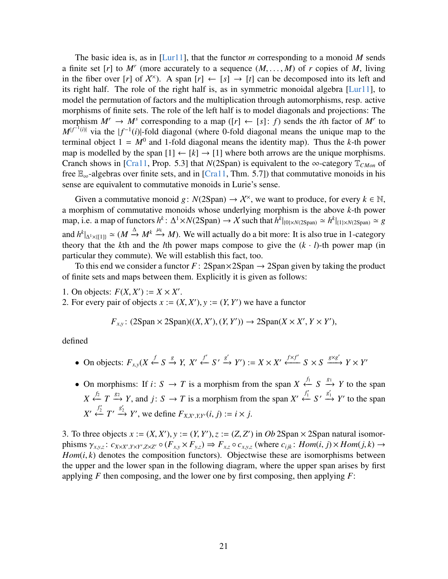The basic idea is, as in [\[Lur11\]](#page-64-1), that the functor *m* corresponding to a monoid *M* sends a finite set [*r*] to *M<sup>r</sup>* (more accurately to a sequence  $(M, \ldots, M)$  of *r* copies of *M*, living in the fiber over [*r*] of  $X^{\times}$ ) A span [*r*]  $\leftarrow$  [*s*]  $\rightarrow$  [*t*] can be decomposed into its left and in the fiber over [*r*] of  $\mathcal{X}^{\times}$ ). A span [*r*]  $\leftarrow$  [*s*]  $\rightarrow$  [*t*] can be decomposed into its left and its right half. The role of the right half is, as in symmetric monoidal algebra [\[Lur11\]](#page-64-1), to model the permutation of factors and the multiplication through automorphisms, resp. active morphisms of finite sets. The role of the left half is to model diagonals and projections: The morphism  $M^r \to M^s$  corresponding to a map ([r]  $\leftarrow$  [s]: f) sends the *i*th factor of M<sup>*r*</sup> to  $M|f^{-1}(i)|$  via the  $|f^{-1}(i)|$ -fold diagonal (where 0-fold diagonal means the unique map to the terminal object  $1 = M^0$  and 1-fold diagonal means the identity map). Thus the *k*-th power map is modelled by the span  $[1] \leftarrow [k] \rightarrow [1]$  where both arrows are the unique morphisms. Cranch shows in [\[Cra11,](#page-63-3) Prop. 5.3] that *N*(2Span) is equivalent to the ∞-category  $\mathbb{T}_{CMon}$  of free  $\mathbb{E}_{\infty}$ -algebras over finite sets, and in [\[Cra11,](#page-63-3) Thm. 5.7]) that commutative monoids in his sense are equivalent to commutative monoids in Lurie's sense.

Given a commutative monoid  $g: N(2Span) \to \mathcal{X}^{\times}$ , we want to produce, for every  $k \in \mathbb{N}$ , a morphism of commutative monoids whose underlying morphism is the above *k*-th power  $\text{map, i.e. a map of functors } h^k: \Delta^1 \times N(2\text{Span}) \to \mathcal{X} \text{ such that } h^k|_{\{0\} \times N(2\text{Span})} \simeq h^k|_{\{1\} \times N(2\text{Span})} \simeq g^k$ and  $h^k|_{\Delta^1\times\{(1\})}\simeq (M \xrightarrow{\Delta} M^k \xrightarrow{\mu_k} M)$ . We will actually do a bit more: It is also true in 1-category theory that the *k*th and the *l*th power maps compose to give the  $(k \cdot l)$ -th power map (in particular they commute). We will establish this fact, too.

To this end we consider a functor  $F: 2\text{Span} \times 2\text{Span} \rightarrow 2\text{Span}$  given by taking the product of finite sets and maps between them. Explicitly it is given as follows:

1. On objects:  $F(X, X') := X \times X'$ .<br>2. For every pair of objects  $x := 0$ .

2. For every pair of objects  $x := (X, X'), y := (Y, Y')$  we have a functor

$$
F_{x,y}
$$
: (2Span × 2Span)((X, X'), (Y, Y'))  $\rightarrow$  2Span(X × X', Y × Y'),

defined

- On objects:  $F_{x,y}(X \xleftarrow{f} S \xrightarrow{g} Y, X' \xleftarrow{f'} S' \xrightarrow{g'} Y') := X \times X' \xleftarrow{f \times f'} S \times S \xrightarrow{g \times g'} Y \times Y'$
- On morphisms: If  $i: S \to T$  is a morphism from the span  $X \stackrel{f_1}{\leftarrow} S \stackrel{g_1}{\to} Y$  to the span  $X \xleftarrow{f_2} T \xrightarrow{g_2} Y$ , and *j*:  $S \to T$  is a morphism from the span  $X' \xleftarrow{f'_1} S' \xrightarrow{g'_1} Y'$  to the span  $X' \xleftarrow{f'_2} T' \xrightarrow{g'_2} Y'$ , we define  $F_{X,X',Y,Y'}(i, j) := i \times j$ .

3. To three objects  $x := (X, X'), y := (Y, Y'), z := (Z, Z')$  in *Ob* 2Span × 2Span natural isomor-<br>phisms  $\chi : \mathcal{L}_{X,Y}$   $\longrightarrow$   $\mathcal{L}_{X,Y}$   $\longrightarrow$   $\mathcal{L}_{X,Y}$   $\longrightarrow$   $\mathcal{L}_{X,Y}$   $\longrightarrow$   $\mathcal{L}_{X,Y}$  (where  $\mathcal{L}_{X,Y}$   $\vdots$   $\mathcal{L}_{X,Y}$   $\longrightarrow$   $\mathcal{L}_{$ phisms  $\gamma_{x,y,z}$ :  $c_{X\times X',Y\times Y',Z\times Z'} \circ (F_{x,y} \times F_{y,z}) \Rightarrow F_{x,z} \circ c_{x,y,z}$  (where  $c_{ijk}$ :  $Hom(i, j) \times Hom(j, k) \rightarrow Hom(i, k)$  denotes the composition functors). Objectwise these are isomorphisms between *Hom*(*i*, *k*) denotes the composition functors). Objectwise these are isomorphisms between the upper and the lower span in the following diagram, where the upper span arises by first applying *F* then composing, and the lower one by first composing, then applying *F*: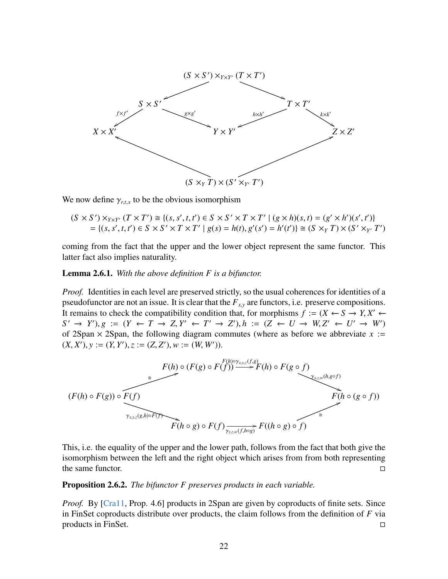

We now define  $\gamma_{r,t,x}$  to be the obvious isomorphism

 $(S \times S') \times_{Y \times Y'} (T \times T') \cong \{(s, s', t, t') \in S \times S' \times T \times T' \mid (g \times h)(s, t) = (g' \times h')(s', t')\}$ <br>  $- \{(s, s', t, t') \in S \times S' \times T \times T' \mid g(s) = h(t), g'(s') = h'(t') \} \cong (S \times T) \times (S' \times T')$ = { $(s, s', t, t') \in S \times S' \times T \times T' | g(s) = h(t), g'(s') = h'(t')$ }  $\cong (S \times_Y T) \times (S' \times_{Y'} T')$ 

coming from the fact that the upper and the lower object represent the same functor. This latter fact also implies naturality.

#### Lemma 2.6.1. *With the above definition F is a bifunctor.*

*Proof.* Identities in each level are preserved strictly, so the usual coherences for identities of a pseudofunctor are not an issue. It is clear that the  $F_{xx}$  are functors, i.e. preserve compositions. It remains to check the compatibility condition that, for morphisms *<sup>f</sup>* :<sup>=</sup> (*<sup>X</sup>* ←− *<sup>S</sup>* −→ *<sup>Y</sup>*, *<sup>X</sup>* <sup>0</sup> ←−  $S' \to Y'$ ,  $g := (Y \leftarrow T \to Z, Y' \leftarrow T' \to Z'$ ,  $h := (Z \leftarrow U \to W, Z' \leftarrow U' \to W')$ <br>of 2Span × 2Span, the following diagram commutes (where as before we abbreviate x :of 2Span  $\times$  2Span, the following diagram commutes (where as before we abbreviate  $x :=$  $(X, X'), y := (Y, Y'), z := (Z, Z'), w := (W, W')'.$ 



This, i.e. the equality of the upper and the lower path, follows from the fact that both give the isomorphism between the left and the right object which arises from from both representing the same functor.  $\Box$ 

#### Proposition 2.6.2. *The bifunctor F preserves products in each variable.*

*Proof.* By [\[Cra11,](#page-63-3) Prop. 4.6] products in 2Span are given by coproducts of finite sets. Since in FinSet coproducts distribute over products, the claim follows from the definition of *F* via products in FinSet.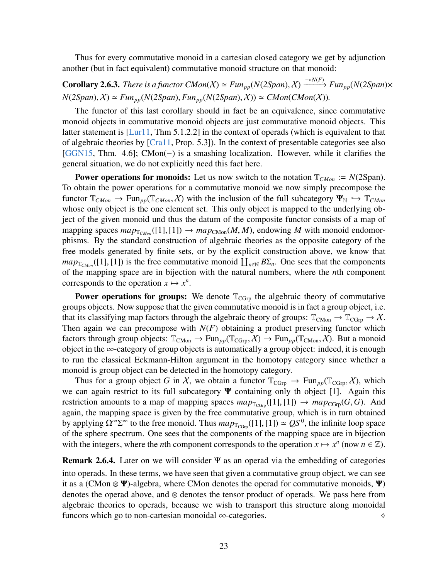Thus for every commutative monoid in a cartesian closed category we get by adjunction another (but in fact equivalent) commutative monoid structure on that monoid:

**Corollary 2.6.3.** *There is a functor CMon*( $X$ )  $\simeq Fun_{pp}(N(2Span), X) \xrightarrow{-\circ N(F)} Fun_{pp}(N(2Span) \times N(\mathbb{C}^n))$  $N(2Span), X \simeq Fun_{pp}(N(2Span), Fun_{pp}(N(2Span), X) \simeq CMon(CMon(X)).$ 

The functor of this last corollary should in fact be an equivalence, since commutative monoid objects in commutative monoid objects are just commutative monoid objects. This latter statement is [\[Lur11,](#page-64-1) Thm 5.1.2.2] in the context of operads (which is equivalent to that of algebraic theories by [\[Cra11,](#page-63-3) Prop. 5.3]). In the context of presentable categories see also [\[GGN15,](#page-63-1) Thm. 4.6]; CMon(−) is a smashing localization. However, while it clarifies the general situation, we do not explicitly need this fact here.

**Power operations for monoids:** Let us now switch to the notation  $T_{CMon}$  :=  $N(2Span)$ . To obtain the power operations for a commutative monoid we now simply precompose the functor  $\mathbb{T}_{CMon} \to \text{Fun}_{pp}(\mathbb{T}_{CMon}, \mathcal{X})$  with the inclusion of the full subcategory  $\Psi_{\mathbb{N}} \hookrightarrow \mathbb{T}_{CMon}$ whose only object is the one element set. This only object is mapped to the underlying object of the given monoid und thus the datum of the composite functor consists of a map of mapping spaces  $map_{\mathbb{T}_{CMon}}([1],[1]) \rightarrow map_{\mathbb{CMon}}(M,M)$ , endowing M with monoid endomorphisms. By the standard construction of algebraic theories as the opposite category of the free models generated by finite sets, or by the explicit construction above, we know that *map*<sub>TCMon</sub>([1], [1]) is the free commutative monoid  $\prod_{n\in\mathbb{N}} B\Sigma_n$ . One sees that the components of the mapping space are in bijection with the natural numbers, where the *n*th component of the mapping space are in bijection with the natural numbers, where the *n*th component corresponds to the operation  $x \mapsto x^n$ .

**Power operations for groups:** We denote  $T_{CGrp}$  the algebraic theory of commutative groups objects. Now suppose that the given commutative monoid is in fact a group object, i.e. that its classifying map factors through the algebraic theory of groups:  $\mathbb{T}_{\text{CMon}} \to \mathbb{T}_{\text{CGrp}} \to \chi$ . Then again we can precompose with  $N(F)$  obtaining a product preserving functor which factors through group objects:  $\mathbb{T}_{\text{CMon}} \to \text{Fun}_{pp}(\mathbb{T}_{\text{CGrp}}, X) \to \text{Fun}_{pp}(\mathbb{T}_{\text{CMon}}, X)$ . But a monoid object in the ∞-category of group objects is automatically a group object: indeed, it is enough to run the classical Eckmann-Hilton argument in the homotopy category since whether a monoid is group object can be detected in the homotopy category.

Thus for a group object *G* in X, we obtain a functor  $T_{CGrp} \to Fun_{pp}(T_{CGrp}, X)$ , which we can again restrict to its full subcategory  $\Psi$  containing only th object [1]. Again this restriction amounts to a map of mapping spaces  $map_{\mathbb{T}_{CGm}}([1],[1]) \rightarrow map_{CGrp}(G,G)$ . And again, the mapping space is given by the free commutative group, which is in turn obtained by applying  $\Omega^{\infty} \Sigma^{\infty}$  to the free monoid. Thus  $map_{T_{\text{CGrp}}}([1],[1]) \simeq QS^0$ , the infinite loop space<br>of the sphere spectrum. One sees that the components of the mapping space are in hijection of the sphere spectrum. One sees that the components of the mapping space are in bijection with the integers, where the *n*th component corresponds to the operation  $x \mapsto x^n$  (now  $n \in \mathbb{Z}$ ).

<span id="page-22-0"></span>**Remark 2.6.4.** Later on we will consider  $\Psi$  as an operad via the embedding of categories into operads. In these terms, we have seen that given a commutative group object, we can see it as a (CMon  $\otimes \Psi$ )-algebra, where CMon denotes the operad for commutative monoids,  $\Psi$ ) denotes the operad above, and ⊗ denotes the tensor product of operads. We pass here from algebraic theories to operads, because we wish to transport this structure along monoidal funcors which go to non-cartesian monoidal  $\infty$ -categories.  $\diamond$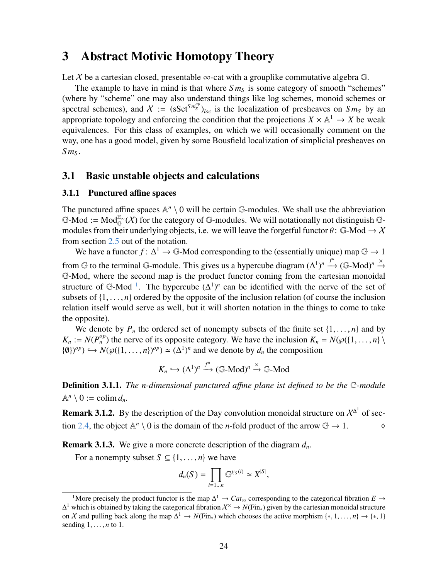# <span id="page-23-0"></span>3 Abstract Motivic Homotopy Theory

Let X be a cartesian closed, presentable  $\infty$ -cat with a grouplike commutative algebra  $\mathbb{G}$ .

The example to have in mind is that where  $Sm<sub>S</sub>$  is some category of smooth "schemes" (where by "scheme" one may also understand things like log schemes, monoid schemes or spectral schemes), and  $X := (sSet^{Sm_S^{op}})_{loc}$  is the localization of presheaves on  $Sm_S$  by an appropriate topology and enforcing the condition that the projections  $X \times \mathbb{A}^1 \to X$  be weak equivalences. For this class of examples, on which we will occasionally comment on the way, one has a good model, given by some Bousfield localization of simplicial presheaves on *S m<sup>S</sup>* .

### <span id="page-23-1"></span>3.1 Basic unstable objects and calculations

#### <span id="page-23-2"></span>3.1.1 Punctured affine spaces

The punctured affine spaces  $\mathbb{A}^n \setminus 0$  will be certain  $\mathbb{G}$ -modules. We shall use the abbreviation  $\mathbb{G}\text{-Mod} := \text{Mod}_{\mathbb{G}}^{\mathbb{E}_{\infty}}(\mathcal{X})$  for the category of  $\mathbb{G}\text{-modules}$ . We will notationally not distinguish  $\mathbb{G}\text{-}$ modules from their underlying objects, i.e. we will leave the forgetful functor  $\theta$ : G-Mod  $\rightarrow$  X from section [2.5](#page-16-0) out of the notation.

We have a functor  $f: \Delta^1 \to \mathbb{G}$ -Mod corresponding to the (essentially unique) map  $\mathbb{G} \to 1$ from G to the terminal G-module. This gives us a hypercube diagram  $(\Delta^1)^n \stackrel{f^n}{\longrightarrow} (\mathbb{G}\text{-Mod})^n \stackrel{\times}{\longrightarrow}$ G-Mod, where the second map is the product functor coming from the cartesian monoidal structure of G-Mod<sup>[1](#page-23-3)</sup>. The hypercube  $(\Delta^1)^n$  can be identified with the nerve of the set of subsets of  $\{1, \ldots, n\}$  ordered by the opposite of the inclusion relation (of course the inclusion relation itself would serve as well, but it will shorten notation in the things to come to take the opposite).

We denote by  $P_n$  the ordered set of nonempty subsets of the finite set  $\{1, \ldots, n\}$  and by  $K_n := N(P_n^{op})$  the nerve of its opposite category. We have the inclusion  $K_n = N(\wp({1, \ldots, n}) \setminus I(n) \geq N(\wp(1, \ldots, n) \geq N(\wp(1, \ldots, n)) \geq N(\wp(1, \ldots, n)) \geq N(\wp(1, \ldots, n) \geq N(\wp(1, \ldots, n)) \geq N(\wp(1, \ldots, n)) \geq N(\wp(1, \ldots, n))$  $\{(0)\}^{op} \rightarrow N(\wp(\{1,\ldots,n\})^{op}) \simeq (\Delta^1)^n$  and we denote by  $d_n$  the composition

$$
K_n \hookrightarrow (\Delta^1)^n \xrightarrow{f^n} (\mathbb{G}\text{-Mod})^n \xrightarrow{\times} \mathbb{G}\text{-Mod}
$$

Definition 3.1.1. *The n-dimensional punctured a*ffi*ne plane ist defined to be the* G*-module*  $\mathbb{A}^n \setminus 0 := \operatorname{colim} d_n$ .

**Remark 3.1.2.** By the description of the Day convolution monoidal structure on  $\chi^{\Delta}$  of sec-tion [2.4,](#page-13-0) the object  $\mathbb{A}^n \setminus 0$  is the domain of the *n*-fold product of the arrow  $\mathbb{G} \to 1$ .  $\diamond$ 

Remark 3.1.3. We give a more concrete description of the diagram *dn*.

For a nonempty subset  $S \subseteq \{1, \ldots, n\}$  we have

$$
d_n(S) = \prod_{i=1...n} \mathbb{G}^{\chi_S(i)} \simeq X^{|S|},
$$

<span id="page-23-3"></span><sup>&</sup>lt;sup>1</sup>More precisely the product functor is the map  $\Delta^1 \to \text{Cat}_{\infty}$  corresponding to the categorical fibration  $E \to$ ∆ <sup>1</sup> which is obtained by taking the categorical fibration X<sup>×</sup> → *N*(Fin∗) given by the cartesian monoidal structure on X and pulling back along the map  $\Delta^1 \to N(\text{Fin}_*)$  which chooses the active morphism  $\{*, 1, ..., n\} \to \{*, 1\}$ sending 1, . . . , *<sup>n</sup>* to 1.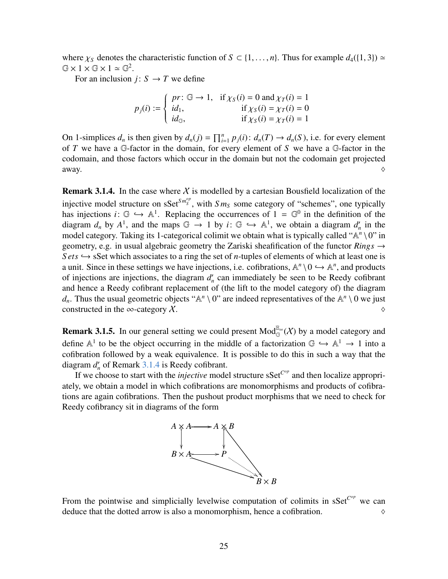where  $\chi_S$  denotes the characteristic function of  $S \subset \{1, \ldots, n\}$ . Thus for example  $d_4(\{1, 3\}) \simeq$  $G \times 1 \times G \times 1 \simeq G^2$ .

For an inclusion *j*:  $S \rightarrow T$  we define

$$
p_j(i) := \begin{cases} pr: \mathbb{G} \to 1, & \text{if } \chi_S(i) = 0 \text{ and } \chi_T(i) = 1 \\ id_1, & \text{if } \chi_S(i) = \chi_T(i) = 0 \\ id_{\mathbb{G}}, & \text{if } \chi_S(i) = \chi_T(i) = 1 \end{cases}
$$

On 1-simplices  $d_n$  is then given by  $d_n(j) = \prod_{i=1}^n p_j(i)$ :  $d_n(T) \to d_n(S)$ , i.e. for every element of *T* we have a G-factor in the domain, for every element of *S* we have a G-factor in the codomain, and those factors which occur in the domain but not the codomain get projected away.  $\Diamond$ 

<span id="page-24-0"></span>**Remark 3.1.4.** In the case where X is modelled by a cartesian Bousfield localization of the injective model structure on  $\text{sSet}^{Sm_{S}^{op}}$ , with  $Sm_{S}$  some category of "schemes", one typically has injections  $i: \mathbb{G} \hookrightarrow \mathbb{A}^1$ . Replacing the occurrences of  $1 = \mathbb{G}^0$  in the definition of the diagram d by  $A^1$  and the maps  $\mathbb{G} \hookrightarrow 1$  by  $i: \mathbb{G} \hookrightarrow \mathbb{A}^1$  we obtain a diagram d' in the diagram  $d_n$  by  $A^1$ , and the maps  $\mathbb{G} \to 1$  by  $i: \mathbb{G} \hookrightarrow \mathbb{A}^1$ , we obtain a diagram  $d'_n$  in the model category. Taking its 1-categorical colimit we obtain what is typically called " $\mathbb{A}^n \setminus 0$ " in model category. Taking its 1-categorical colimit we obtain what is typically called " $\mathbb{A}^n \setminus 0$ " in geometry, e.g. in usual algebraic geometry the Zariski sheafification of the functor  $Rings \rightarrow$  $Sets \rightarrow \text{SSet}$  which associates to a ring the set of *n*-tuples of elements of which at least one is a unit. Since in these settings we have injections, i.e. cofibrations,  $\mathbb{A}^n \setminus 0 \hookrightarrow \mathbb{A}^n$ , and products of injections are injections, the diagram d' can immediately be seen to be Reedy cofibrant of injections are injections, the diagram  $d'_n$  can immediately be seen to be Reedy cofibrant and hence a Reedy cofibrant replacement of (the lift to the model category of) the diagram *d<sub>n</sub>*. Thus the usual geometric objects " $\mathbb{A}^n \setminus 0$ " are indeed representatives of the  $\mathbb{A}^n \setminus 0$  we just constructed in the ∞-category  $\chi$ .

**Remark 3.1.5.** In our general setting we could present  $Mod_{\mathbb{G}}^{\mathbb{E}_{\infty}}(\mathcal{X})$  by a model category and define  $\mathbb{A}^1$  to be the object occurring in the middle of a factorization  $\mathbb{G} \hookrightarrow \mathbb{A}^1 \to 1$  into a cofibration followed by a weak equivalence. It is possible to do this in such a way that the cofibration followed by a weak equivalence. It is possible to do this in such a way that the diagram  $d'_n$  of Remark [3.1.4](#page-24-0) is Reedy cofibrant.

If we choose to start with the *injective* model structure  $sSet^{C^{op}}$  and then localize appropriately, we obtain a model in which cofibrations are monomorphisms and products of cofibrations are again cofibrations. Then the pushout product morphisms that we need to check for Reedy cofibrancy sit in diagrams of the form



From the pointwise and simplicially levelwise computation of colimits in sSet<sup>*Cop*</sup> we can deduce that the dotted arrow is also a monomorphism, hence a cofibration.  $\Diamond$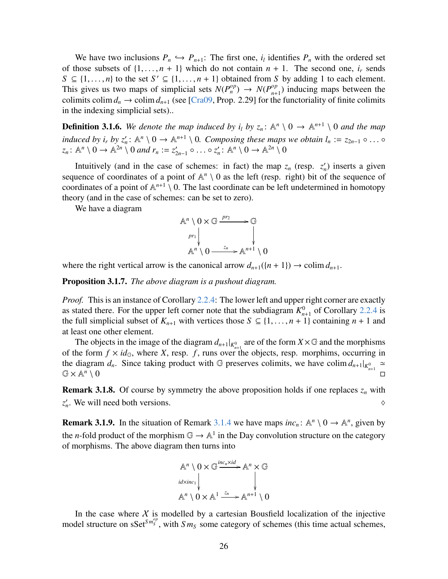We have two inclusions  $P_n \hookrightarrow P_{n+1}$ : The first one,  $i_l$  identifies  $P_n$  with the ordered set<br>hose subsets of 11  $n + 1$  which do not contain  $n + 1$ . The second one *i* sends of those subsets of  $\{1, \ldots, n+1\}$  which do not contain  $n+1$ . The second one,  $i_r$  sends  $S \subseteq \{1, \ldots, n\}$  to the set  $S' \subseteq \{1, \ldots, n+1\}$  obtained from *S* by adding 1 to each element.<br>This gives us two mans of simplicial sets  $N(P^{op}) \rightarrow N(P^{op})$  inducing mans between the This gives us two maps of simplicial sets  $N(P_n^{op}) \rightarrow N(P_{n+1}^{op})$  $_{n+1}^{op}$ ) inducing maps between the colimits colim  $d_n \to \text{colim } d_{n+1}$  (see [\[Cra09,](#page-63-0) Prop. 2.29] for the functoriality of finite colimits in the indexing simplicial sets)..

<span id="page-25-0"></span>**Definition 3.1.6.** We denote the map induced by  $i_l$  by  $z_n$ :  $\mathbb{A}^n \setminus 0 \to \mathbb{A}^{n+1} \setminus 0$  and the map induced by  $i_r$  by  $z'_n$ :  $\mathbb{A}^n \setminus 0 \to \mathbb{A}^{n+1} \setminus 0$ . Composing these maps we obtain  $l_n := z_{2n-1} \circ \dots \circ z_n$ :  $\mathbb{A}^n \setminus 0 \to \mathbb{A}^{2n} \setminus 0$  and  $r_n := z'_{2n-1} \circ \dots \circ z'_n$ :  $\mathbb{A}^n \setminus 0 \to \mathbb{A}^{2n} \setminus 0$  $z'_{2n-1} \circ \ldots \circ z'_n : \mathbb{A}^n \setminus 0 \to \mathbb{A}^{2n} \setminus 0$ 

Intuitively (and in the case of schemes: in fact) the map  $z_n$  (resp.  $z'_n$ ) inserts a given sequence of coordinates of a point of  $\mathbb{A}^n \setminus 0$  as the left (resp. right) bit of the sequence of coordinates of a point of  $\mathbb{A}^{n+1} \setminus 0$ . The last coordinate can be left undetermined in homotopy theory (and in the case of schemes: can be set to zero).

We have a diagram

$$
\mathbb{A}^{n} \setminus 0 \times \mathbb{G} \xrightarrow{pr_2} \mathbb{G}
$$
\n
$$
\downarrow p_{r_1} \downarrow \qquad \qquad \downarrow p_{r_2} \downarrow p_{r_1} \downarrow p_{r_2} \downarrow p_{r_1} \downarrow p_{r_2} \downarrow p_{r_1} \downarrow p_{r_2} \downarrow p_{r_1} \downarrow p_{r_2} \downarrow p_{r_1} \downarrow p_{r_2} \downarrow p_{r_1} \downarrow p_{r_2} \downarrow p_{r_1} \downarrow p_{r_2} \downarrow p_{r_1} \downarrow p_{r_2} \downarrow p_{r_1} \downarrow p_{r_2} \downarrow p_{r_1} \downarrow p_{r_2} \downarrow p_{r_1} \downarrow p_{r_2} \downarrow p_{r_1} \downarrow p_{r_2} \downarrow p_{r_1} \downarrow p_{r_2} \downarrow p_{r_1} \downarrow p_{r_2} \downarrow p_{r_1} \downarrow p_{r_2} \downarrow p_{r_1} \downarrow p_{r_2} \downarrow p_{r_1} \downarrow p_{r_2} \downarrow p_{r_1} \downarrow p_{r_2} \downarrow p_{r_1} \downarrow p_{r_2} \downarrow p_{r_1} \downarrow p_{r_2} \downarrow p_{r_1} \downarrow p_{r_2} \downarrow p_{r_1} \downarrow p_{r_2} \downarrow p_{r_1} \downarrow p_{r_2} \downarrow p_{r_1} \downarrow p_{r_2} \downarrow p_{r_1} \downarrow p_{r_2} \downarrow p_{r_1} \downarrow p_{r_2} \downarrow p_{r_1} \downarrow p_{r_2} \downarrow p_{r_1} \downarrow p_{r_2} \downarrow p_{r_1} \downarrow p_{r_2} \downarrow p_{r_1} \downarrow p_{r_2} \downarrow p_{r_1} \downarrow p_{r_2} \downarrow p_{r_1} \downarrow p_{r_2} \downarrow p_{r_1} \downarrow p_{r_2} \downarrow p_{r_1} \downarrow p_{r_2} \downarrow p_{r_1} \downarrow p_{r_2} \downarrow p_{r_1} \downarrow p_{r_2} \downarrow p_{r_1} \downarrow p_{r_2} \downarrow p_{r_1} \downarrow p_{r_2} \downarrow p_{
$$

where the right vertical arrow is the canonical arrow  $d_{n+1}(\{n+1\}) \to \text{colim } d_{n+1}$ .

<span id="page-25-1"></span>Proposition 3.1.7. *The above diagram is a pushout diagram.*

*Proof.* This is an instance of Corollary [2.2.4:](#page-8-3) The lower left and upper right corner are exactly as stated there. For the upper left corner note that the subdiagram  $K_n^0$  $_{n+1}^0$  of Corollary [2.2.4](#page-8-3) is the full simplicial subset of  $K_{n+1}$  with vertices those  $S \subseteq \{1, \ldots, n+1\}$  containing  $n+1$  and at least one other element.

The objects in the image of the diagram  $d_{n+1}|_{K^0_{n+1}}$  are of the form  $X \times \mathbb{G}$  and the morphisms of the form  $f \times id_{\mathbb{G}}$ , where *X*, resp. *f*, runs over the objects, resp. morphims, occurring in the diagram  $d_n$ . Since taking product with G preserves colimits, we have colim  $d_{n+1}|_{K_{n+1}^0} \approx$   $\mathbb{G} \times \mathbb{A}^n \setminus 0$  $G \times \mathbb{A}^n$ 

<span id="page-25-2"></span>**Remark 3.1.8.** Of course by symmetry the above proposition holds if one replaces  $z_n$  with  $z'_n$ . We will need both versions.  $\Diamond$ 

**Remark 3.1.9.** In the situation of Remark [3.1.4](#page-24-0) we have maps  $inc_n$ :  $\mathbb{A}^n \setminus 0 \to \mathbb{A}^n$ , given by the *n*-fold product of the morphism  $\mathbb{G} \to \mathbb{A}^1$  in the Day convolution structure on the category of morphisms. The above diagram then turns into



In the case where  $X$  is modelled by a cartesian Bousfield localization of the injective model structure on  $\text{sSet}^{Sm_S^{op}}$ , with  $Sm_S$  some category of schemes (this time actual schemes,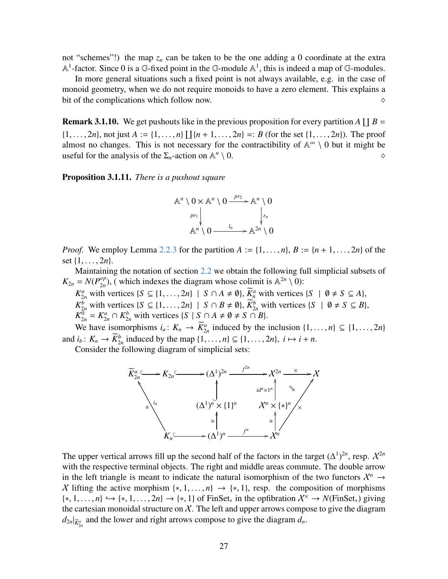not "schemes"!) the map  $z_n$  can be taken to be the one adding a 0 coordinate at the extra  $\mathbb{A}^1$ -factor. Since 0 is a G-fixed point in the G-module  $\mathbb{A}^1$ , this is indeed a map of G-modules.

In more general situations such a fixed point is not always available, e.g. in the case of monoid geometry, when we do not require monoids to have a zero element. This explains a bit of the complications which follow now.  $\Diamond$ 

**Remark 3.1.10.** We get pushouts like in the previous proposition for every partition  $A \coprod B =$  $\{1, \ldots, 2n\}$ , not just  $A := \{1, \ldots, n\} \coprod \{n + 1, \ldots, 2n\} =: B$  (for the set  $\{1, \ldots, 2n\}$ ). The proof almost no changes. This is not necessary for the contractibility of  $\mathbb{A}^{\infty} \setminus 0$  but it might be almost no changes. This is not necessary for the contractibility of  $\mathbb{A}^{\infty} \setminus 0$  but it might be useful for the analysis of the  $\Sigma_n$ -action on  $\mathbb{A}^n$  $\setminus 0.$ 

<span id="page-26-0"></span>Proposition 3.1.11. *There is a pushout square*



*Proof.* We employ Lemma [2.2.3](#page-8-1) for the partition  $A := \{1, \ldots, n\}$ ,  $B := \{n+1, \ldots, 2n\}$  of the set {1, . . . , <sup>2</sup>*n*}.

Maintaining the notation of section [2.2](#page-7-0) we obtain the following full simplicial subsets of  $K_{2n} = N(P_{2n}^{op})$  $\binom{op}{2n}$ , (which indexes the diagram whose colimit is  $\mathbb{A}^{2n} \setminus \{0\}$ :

*K*<sub>2*n*</sub></sub> with vertices {*S* ⊆ {1, ..., 2*n*} | *S* ∩ *A*  $\neq$  Ø},  $\widetilde{K}_n^a$  with vertices {*S* | Ø  $\neq$  *S* ⊆ *A*},<br> *K*<sup>b</sup> with vertices {*S* ⊆ (1, 2*n*) | *S* ⊙ *B*  $\neq$  Ø),  $\widetilde{K}_n^b$  with vertices {*S* | Ø *K*<sup>b</sup><sub>2*n*</sub></sub> with vertices {*S* ⊆ {1, ..., 2*n*} | *S* ∩ *B* ≠ Ø},  $\widetilde{K}$ <sup>b</sup><sub>2*n*</sub></sub> with vertices {*S* | Ø ≠ *S* ⊆ *B*},  $K$ <sup>0</sup> −  $K$ <sup>*a*</sup> ∩  $K$ <sup>b</sup> with vertices {*S* | *S* ∩ *A* + Ø + *S* ∩ *R*}  $K_{2n}^{\overline{0}} = K_{2n}^a \cap K_{2n}^b$  with vertices  $\{S \mid S \cap A \neq \emptyset \neq S \cap B\}.$ 

We have isomorphisms  $i_a: K_n \to \overline{K}_{2n}^a$  induced by the inclusion  $\{1, \ldots, n\} \subseteq \{1, \ldots, 2n\}$ <br> $\vdots: K \to \overline{K}_{p}^b$  induced by the map  $(1, \ldots, 2n) \subseteq \{1, \ldots, n\}$ and  $i_b: K_n \to \overline{K}_{2n}^b$  induced by the map  $\{1, \ldots, n\} \subseteq \{1, \ldots, 2n\}, i \mapsto i + n$ .<br>Consider the following diagram of simplicial sets:

Consider the following diagram of simplicial sets:



The upper vertical arrows fill up the second half of the factors in the target  $(\Delta^1)^{2n}$ , resp.  $\mathcal{X}^{2n}$ with the respective terminal objects. The right and middle areas commute. The double arrow in the left triangle is meant to indicate the natural isomorphism of the two functors  $\mathcal{X}^n \to$ X lifting the active morphism  $\{*, 1, \ldots, n\} \rightarrow \{*, 1\}$ , resp. the composition of morphisms  $\{*, 1, \ldots, n\} \hookrightarrow \{*, 1, \ldots, 2n\} \rightarrow \{*, 1\}$  of FinSet<sub>\*</sub> in the opfibration  $\mathcal{X}^{\times} \rightarrow N(\text{FinSet}_{*})$  giving the cartesian monoidal structure on  $X$ . The left and upper arrows compose to give the diagram  $d_{2n}|_{\widetilde{K}_{2n}^a}$  and the lower and right arrows compose to give the diagram  $d_n$ .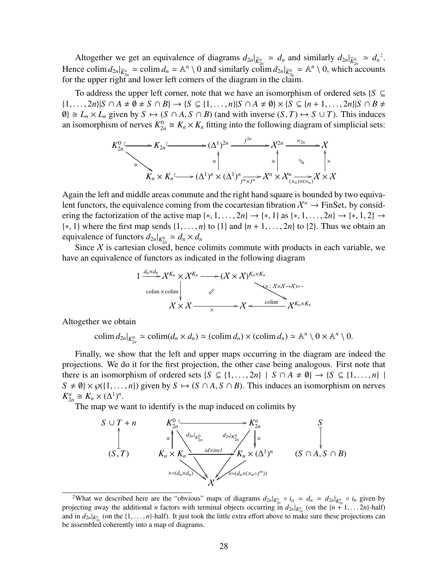Altogether we get an equivalence of diagrams  $d_{2n}|_{\overline{K}_{2n}^a} \approx d_n$  $d_{2n}|_{\overline{K}_{2n}^a} \approx d_n$  $d_{2n}|_{\overline{K}_{2n}^a} \approx d_n$  and similarly  $d_{2n}|_{\overline{K}_{2n}^b} \approx d_n^2$ . Hence colim  $d_{2n}|_{\overline{K}_{2n}^a} \simeq$  colim  $d_n \simeq \mathbb{A}^n \setminus 0$  and similarly colim  $d_{2n}|_{\overline{K}_{2n}^b} \simeq \mathbb{A}^n \setminus 0$ , which accounts for the upper right and lower left corners of the diagram in the claim.

To address the upper left corner, note that we have an isomorphism of ordered sets  $\{S \subseteq$ { $1, ..., 2n$ }|*S* ∩ *A*  $\neq$  *0*  $\neq$  *S* ∩ *B*} → {*S* ⊆ { $1, ..., n$ }|*S* ∩ *A*  $\neq$  *0*}  $\times$  {*S* ⊆ { $n + 1, ..., 2n$ }|*S* ∩ *B*  $\neq$  $\emptyset$ }  $\cong$   $L_n \times L_n$  given by  $S \mapsto (S \cap A, S \cap B)$  (and with inverse  $(S, T) \mapsto S \cup T$ ). This induces an isomorphism of nerves  $K_{2n}^0 \cong K_n \times K_n$  fitting into the following diagram of simplicial sets:

$$
K_{2n}^{0} \longrightarrow K_{2n} \longrightarrow (\Delta^{1})^{2n} \longrightarrow \chi^{2n} \longrightarrow \chi^{2n} \longrightarrow \chi^{2n}
$$
  
\n
$$
\cong \qquad \qquad \downarrow \qquad \qquad \downarrow
$$
  
\n
$$
K_{n} \times K_{n} \longrightarrow (\Delta^{1})^{n} \times (\Delta^{1})^{n} \xrightarrow{f^{2n}} \chi^{n} \times \chi^{n} \xrightarrow{\chi^{2n}} \chi^{n} \times \chi^{n}
$$

Again the left and middle areas commute and the right hand square is bounded by two equivalent functors, the equivalence coming from the cocartesian fibration  $\mathcal{X}^{\times} \to \text{FinSet}_*$  by considering the factorization of the active map  $\{*, 1, \ldots, 2n\} \rightarrow \{*, 1\}$  as  $\{*, 1, \ldots, 2n\} \rightarrow \{*, 1, 2\} \rightarrow$ {∗, <sup>1</sup>} where the first map sends {1, . . . , *<sup>n</sup>*} to {1} and {*<sup>n</sup>* <sup>+</sup> <sup>1</sup>, . . . , <sup>2</sup>*n*} to {2}. Thus we obtain an equivalence of functors  $d_{2n}|_{K_{2n}^0} \simeq d_n \times d_n$ 

Since X is cartesian closed, hence colimits commute with products in each variable, we have an equivalence of functors as indicated in the following diagram

$$
1 \xrightarrow{d_n \times d_n} X^{K_n} \times X^{K_n} \longrightarrow (X \times X)^{K_n \times K_n}
$$
  
colim × colim  

$$
\swarrow
$$
  

$$
X \times X \longrightarrow X \longleftarrow
$$
  

$$
X \times X \longrightarrow X \longleftarrow
$$
  

$$
X^{K_n \times K_n}
$$

Altogether we obtain

colim  $d_{2n}|_{K_{2n}^0} \simeq \text{colim}(d_n \times d_n) \simeq (\text{colim } d_n) \times (\text{colim } d_n) \simeq \mathbb{A}^n \setminus 0 \times \mathbb{A}^n \setminus 0.$ 

Finally, we show that the left and upper maps occurring in the diagram are indeed the projections. We do it for the first projection, the other case being analogous. First note that there is an isomorphism of ordered sets  $\{S \subseteq \{1, ..., 2n\} \mid S \cap A \neq \emptyset\} \rightarrow \{S \subseteq \{1, ..., n\} \mid$  $S \neq \emptyset$   $\times \wp({1, \ldots, n})$  given by  $S \mapsto (S \cap A, S \cap B)$ . This induces an isomorphism on nerves  $K_{2n}^a \cong K_n \times (\Delta^1)^n$ .

The map we want to identify is the map induced on colimits by



<span id="page-27-0"></span><sup>&</sup>lt;sup>2</sup>What we described here are the "obvious" maps of diagrams  $d_{2n}|_{K_{2n}^a} \circ i_a \simeq d_n \simeq d_{2n}|_{K_{2n}^b} \circ i_b$  given by projecting away the additional *n* factors with terminal objects occurring in  $d_{2n}|_{K_{\alpha}^a}$  (on the  $\{n + 1, \ldots 2n\}$ -half)<br>and in  $d_2|_{K_{\alpha}^a}$  (on the  $\{1, \ldots n\}$ -half). It just took the little extra effort above and in  $d_{2n}|_{K_{\mu}^a}$  (on the  $\{1, \ldots, n\}$ -half). It just took the little extra effort above to make sure these projections can<br>be assembled coherently into a man of diagrams be assembled coherently into a map of diagrams.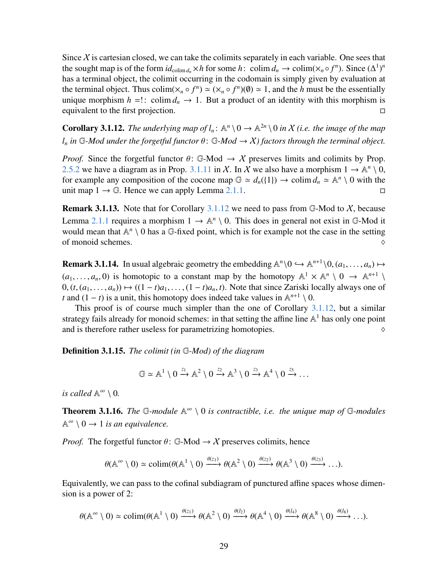Since  $X$  is cartesian closed, we can take the colimits separately in each variable. One sees that the sought map is of the form  $id_{\text{colim }d_n}\times h$  for some  $h: \text{ colim }d_n \to \text{colim}(\times_n \circ f^n)$ . Since  $(\Delta^1)^n$ has a terminal object, the colimit occurring in the codomain is simply given by evaluation at the terminal object. Thus colim( $\times_n \circ f^n$ )  $\cong (\times_n \circ f^n)(\emptyset) \cong 1$ , and the *h* must be the essentially unique morphism  $h =$ !: colim  $d_n \to 1$ . But a product of an identity with this morphism is equivalent to the first projection.

<span id="page-28-2"></span>**Corollary 3.1.12.** The underlying map of  $l_n: \mathbb{A}^n \setminus 0 \to \mathbb{A}^{2n} \setminus 0$  in X (i.e. the image of the map *l*<sub>*n*</sub> *in* G-Mod under the forgetful functor  $\theta$ : G-Mod  $\rightarrow$  X) factors through the terminal object.

*Proof.* Since the forgetful functor  $\theta$ : G-Mod  $\rightarrow$  X preserves limits and colimits by Prop. [2.5.2](#page-17-0) we have a diagram as in Prop. [3.1.11](#page-26-0) in X. In X we also have a morphism  $1 \rightarrow \mathbb{A}^n \setminus \overline{0}$ , for example any composition of the cocone map  $\mathbb{G} \simeq d_n({1}) \to \text{colim } d_n \simeq \mathbb{A}^n \setminus 0$  with the unit map  $1 \rightarrow \mathbb{G}$ . Hence we can apply Lemma [2.1.1.](#page-6-2)

**Remark 3.1.13.** Note that for Corollary [3.1.12](#page-28-2) we need to pass from  $\mathbb{G}\text{-Mod}$  to X, because Lemma [2.1.1](#page-6-2) requires a morphism  $1 \rightarrow \mathbb{A}^n \setminus 0$ . This does in general not exist in G-Mod it would mean that  $\mathbb{A}^n \setminus 0$  has a  $\mathbb{G}$ -fixed point, which is for example not the case in the setting of monoid schemes.  $\Diamond$ 

<span id="page-28-1"></span>**Remark 3.1.14.** In usual algebraic geometry the embedding  $\mathbb{A}^n \setminus 0 \hookrightarrow \mathbb{A}^{n+1} \setminus 0$ ,  $(a_1, \ldots, a_n) \mapsto$  $(a_1, \ldots, a_n, 0)$  is homotopic to a constant map by the homotopy  $\mathbb{A}^1 \times \mathbb{A}^n \setminus 0 \to \mathbb{A}^{n+1} \setminus$ <br> $(1, a_1, \ldots, a_n) \mapsto (1, a_1, \ldots, a_n) \mapsto (1, a_1, \ldots, a_n)$ . Note that since Zariski locally always one of  $(0, (t, (a_1, \ldots, a_n)) \mapsto ((1-t)a_1, \ldots, (1-t)a_n, t)$ . Note that since Zariski locally always one of *t* and  $(1 - t)$  is a unit, this homotopy does indeed take values in  $\mathbb{A}^{n+1} \setminus 0$ .

This proof is of course much simpler than the one of Corollary [3.1.12,](#page-28-2) but a similar strategy fails already for monoid schemes: in that setting the affine line  $\mathbb{A}^1$  has only one point and is therefore rather useless for parametrizing homotopies.  $\Diamond$ 

Definition 3.1.15. *The colimit (in* G*-Mod) of the diagram*

$$
\mathbb{G} \simeq \mathbb{A}^1 \setminus 0 \xrightarrow{z_1} \mathbb{A}^2 \setminus 0 \xrightarrow{z_2} \mathbb{A}^3 \setminus 0 \xrightarrow{z_3} \mathbb{A}^4 \setminus 0 \xrightarrow{z_5} \dots
$$

*is called*  $\mathbb{A}^{\infty} \setminus 0$ .

<span id="page-28-0"></span>**Theorem 3.1.16.** The G-module  $\mathbb{A}^{\infty} \setminus 0$  is contractible, i.e. the unique map of G-modules  $\mathbb{A}^{\infty} \setminus 0 \to 1$  *is an equivalence.* 

*Proof.* The forgetful functor  $\theta$ : G-Mod  $\rightarrow$  X preserves colimits, hence

$$
\theta(\mathbb{A}^{\infty} \setminus 0) \simeq \text{colim}(\theta(\mathbb{A}^1 \setminus 0) \xrightarrow{\theta(z_1)} \theta(\mathbb{A}^2 \setminus 0) \xrightarrow{\theta(z_2)} \theta(\mathbb{A}^3 \setminus 0) \xrightarrow{\theta(z_3)} \dots).
$$

Equivalently, we can pass to the cofinal subdiagram of punctured affine spaces whose dimension is a power of 2:

$$
\theta(\mathbb{A}^{\infty} \setminus 0) \simeq \text{colim}(\theta(\mathbb{A}^1 \setminus 0) \xrightarrow{\theta(z_1)} \theta(\mathbb{A}^2 \setminus 0) \xrightarrow{\theta(l_2)} \theta(\mathbb{A}^4 \setminus 0) \xrightarrow{\theta(l_4)} \theta(\mathbb{A}^8 \setminus 0) \xrightarrow{\theta(l_8)} \dots).
$$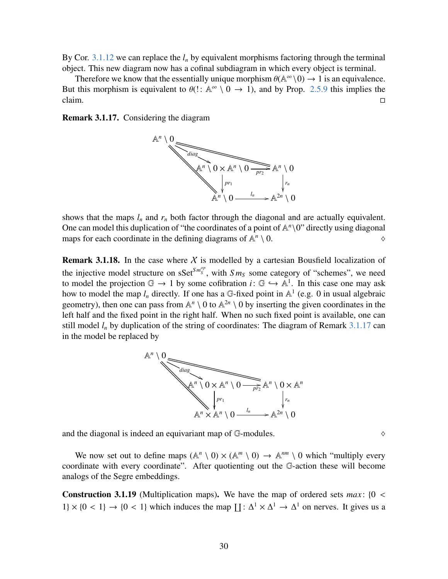By Cor.  $3.1.12$  we can replace the  $l_n$  by equivalent morphisms factoring through the terminal object. This new diagram now has a cofinal subdiagram in which every object is terminal.

Therefore we know that the essentially unique morphism  $\theta(\mathbb{A}^{\infty}\setminus 0) \to 1$  is an equivalence.<br>this morphism is equivalent to  $\theta(1 \cdot \mathbb{A}^{\infty} \setminus 0 \to 1)$  and by Prop. 2.5.9 this implies the But this morphism is equivalent to  $\theta$ !:  $\mathbb{A}^{\infty} \setminus [0 \to 1]$ , and by Prop. [2.5.9](#page-18-0) this implies the  $claim.$ 

<span id="page-29-0"></span>Remark 3.1.17. Considering the diagram



shows that the maps  $l_n$  and  $r_n$  both factor through the diagonal and are actually equivalent. One can model this duplication of "the coordinates of a point of  $\mathbb{A}^n\setminus 0$ " directly using diagonal maps for each coordinate in the defining diagrams of  $\mathbb{A}^n$  $\setminus 0.$ 

**Remark 3.1.18.** In the case where  $X$  is modelled by a cartesian Bousfield localization of the injective model structure on  $\text{sSet}^{Sm^{op}_S}$ , with  $Sm_S$  some category of "schemes", we need to model the projection  $\mathbb{G} \to 1$  by some cofibration  $i: \mathbb{G} \hookrightarrow \mathbb{A}^1$ . In this case one may ask how to model the man *l*, directly, If one has a  $\mathbb{G}$ -fixed point in  $\mathbb{A}^1$  (e.g. 0 in usual algebraic how to model the map  $l_n$  directly. If one has a G-fixed point in  $\mathbb{A}^1$  (e.g. 0 in usual algebraic geometry), then one can pass from  $\mathbb{A}^n \setminus 0$  to  $\mathbb{A}^{2n} \setminus 0$  by inserting the given coordinates in the left half and the fixed point in the right half. When no such fixed point is available, one can still model  $l_n$  by duplication of the string of coordinates: The diagram of Remark [3.1.17](#page-29-0) can in the model be replaced by



and the diagonal is indeed an equivariant map of  $G$ -modules.  $\diamond$ 

We now set out to define maps  $(\mathbb{A}^n \setminus 0) \times (\mathbb{A}^m \setminus 0) \to \mathbb{A}^{nm} \setminus 0$  which "multiply every coordinate with every coordinate". After quotienting out the G-action these will become analogs of the Segre embeddings.

<span id="page-29-1"></span>**Construction 3.1.19** (Multiplication maps). We have the map of ordered sets *max*: {0 <  $1\} \times \{0 < 1\} \rightarrow \{0 < 1\}$  which induces the map  $\prod : \Delta^1 \times \Delta^1 \rightarrow \Delta^1$  on nerves. It gives us a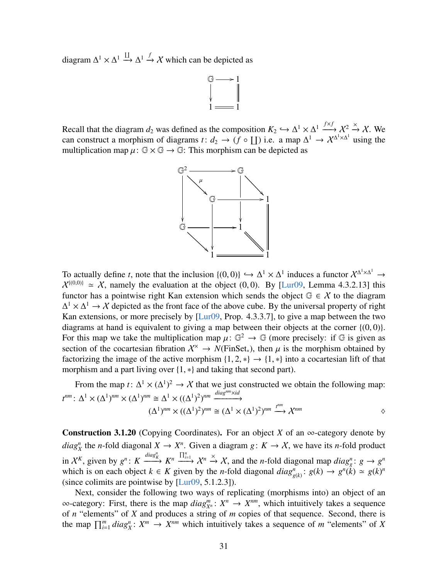diagram  $\Delta^1 \times \Delta^1 \stackrel{\text{II}}{\rightarrow} \Delta^1 \stackrel{f}{\rightarrow} X$  which can be depicted as



Recall that the diagram  $d_2$  was defined as the composition  $K_2 \hookrightarrow \Delta^1 \times \Delta^1 \xrightarrow{f \times f} \chi^2 \xrightarrow{\times} \chi$ . We can construct a morphism of diagrams  $f: d_2 \to (f \circ \Pi)$  i.e., a map  $\Lambda^1 \to \chi^{\Delta^1 \times \Delta^1}$  using the can construct a morphism of diagrams *t*:  $d_2 \to (f \circ \text{II})$  i.e. a map  $\Delta^1 \to \chi^{\Delta^1 \times \Delta^1}$  using the multiplication map  $\mu: \mathbb{G} \times \mathbb{G} \to \mathbb{G}$ : This morphism can be depicted as



To actually define *t*, note that the inclusion  $\{(0,0)\}\hookrightarrow \Delta^1 \times \Delta^1$  induces a functor  $\chi^{\Delta^1 \times \Delta^1} \to \chi^{\{(0,0)\}} \sim X$  namely the evaluation at the object  $(0, 0)$ . By H ur00, Lemma 4.3.2.131 this  $X^{\{(0,0)\}} \simeq X$ , namely the evaluation at the object (0,0). By [\[Lur09,](#page-64-0) Lemma 4.3.2.13] this functor has a pointwise right Kan extension which sends the object  $\mathbb{G} \in \mathcal{X}$  to the diagram  $\Delta^1 \times \Delta^1 \to \chi$  depicted as the front face of the above cube. By the universal property of right Kan extensions, or more precisely by [\[Lur09,](#page-64-0) Prop. 4.3.3.7], to give a map between the two diagrams at hand is equivalent to giving a map between their objects at the corner  $\{(0,0)\}$ . For this map we take the multiplication map  $\mu: \mathbb{G}^2 \to \mathbb{G}$  (more precisely: if  $\mathbb{G}$  is given as section of the cocartesian fibration  $X^{\times} \to N(\text{FinSet})$ , then  $\mu$  is the morphism obtained by section of the cocartesian fibration  $\mathcal{X}^{\times} \to N(\text{FinSet}_*)$ , then  $\mu$  is the morphism obtained by factorizing the image of the active morphism  $\{1, 2, *\} \rightarrow \{1, *\}$  into a cocartesian lift of that morphism and a part living over {1, ∗} and taking that second part).

From the map *t*:  $\Delta^1 \times (\Delta^1)^2 \rightarrow \mathcal{X}$  that we just constructed we obtain the following map:  $t^{nm}$ :  $\Delta^1 \times (\Delta^1)^{nm} \times (\Delta^1)^{nm} \cong \Delta^1 \times ((\Delta^1)^2)^{nm} \xrightarrow{diag^{nm} \times id}$  $(\Delta^1)^{nm} \times ((\Delta^1)^2)^{nm} \cong (\Delta^1 \times (\Delta^1)^2)^{nm} \stackrel{t^{nm}}{\longrightarrow} \mathcal{X}^{nm}$ 

<span id="page-30-0"></span>**Construction 3.1.20** (Copying Coordinates). For an object *X* of an  $\infty$ -category denote by  $diag_X^n$  the *n*-fold diagonal  $X \to X^n$ . Given a diagram  $g: K \to X$ , we have its *n*-fold product in  $\mathcal{X}^K$ , given by  $g^n$ : K  $\xrightarrow{diag_R^n} K^n \xrightarrow{\prod_{i=1}^n} X^n \xrightarrow{\times} X$ , and the *n*-fold diagonal map *diag<sub>g</sub>*:  $g \to g^n$ which is on each object  $k \in K$  given by the *n*-fold diagonal  $diag_{g(k)}^n : g(k) \to g^n(k) \simeq g(k)^n$ (since colimits are pointwise by [\[Lur09,](#page-64-0) 5.1.2.3]).

Next, consider the following two ways of replicating (morphisms into) an object of an  $\infty$ -category: First, there is the map *diag*<sup>*m*</sup>;  $X^n \to X^{nm}$ , which intuitively takes a sequence of *n* "elements" of *X* and produces a string of *m* copies of that sequence. Second, there is the map  $\prod_{i=1}^m diag_X^n : X^m \to X^{nm}$  which intuitively takes a sequence of *m* "elements" of *X*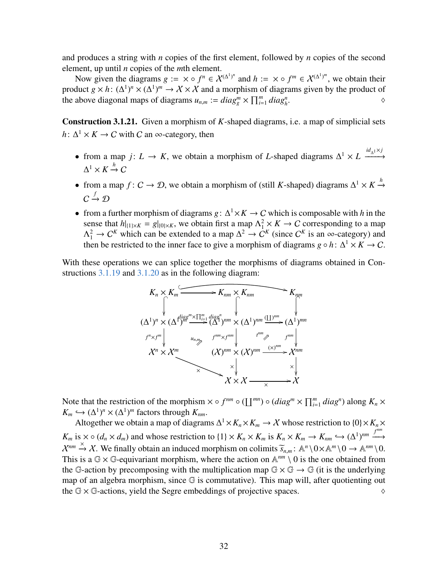and produces a string with *n* copies of the first element, followed by *n* copies of the second element, up until *n* copies of the *m*th element.

Now given the diagrams  $g := \times \circ f^n \in \mathcal{X}^{(\Delta^1)^n}$  and  $h := \times \circ f^m \in \mathcal{X}^{(\Delta^1)^m}$ , we obtain their product  $g \times h$ :  $(\Delta^1)^n \times (\Delta^1)^m \to \mathcal{X} \times \mathcal{X}$  and a morphism of diagrams given by the product of the above diagonal maps of diagrams  $u_{n,m} := diag_g^m \times \prod_{i=1}^m diag_h^n$ .  $\Diamond$ 

<span id="page-31-0"></span>Construction 3.1.21. Given a morphism of *K*-shaped diagrams, i.e. a map of simplicial sets  $h: \Delta^1 \times K \to C$  with *C* an ∞-category, then

- from a map *j*:  $L \rightarrow K$ , we obtain a morphism of *L*-shaped diagrams  $\Delta^1 \times L \xrightarrow{id_{\Delta} \uparrow \times j}$  $\Delta^1 \times K \xrightarrow{h} C$
- from a map *f* :  $C \to \mathcal{D}$ , we obtain a morphism of (still *K*-shaped) diagrams  $\Delta^1 \times K \xrightarrow{h}$  $C \stackrel{f}{\rightarrow} \mathcal{D}$
- from a further morphism of diagrams  $g: \Delta^1 \times K \to C$  which is composable with *h* in the sense that  $h|_{\{1\}\times K} = g|_{\{0\}\times K}$ , we obtain first a map  $\Lambda^2_1 \times K \to C$  corresponding to a map  $\Lambda_1^2 \to C^K$  which can be extended to a map  $\Delta^2 \to C^K$  (since  $C^K$  is an  $\infty$ -category) and then be restricted to the inner face to give a morphism of diagrams  $g \circ h: \Delta^1 \times K \to C$ .

With these operations we can splice together the morphisms of diagrams obtained in Con-structions [3.1.19](#page-29-1) and [3.1.20](#page-30-0) as in the following diagram:



Note that the restriction of the morphism  $\times \circ f^{nm} \circ (\coprod^{mn}) \circ (diag^{m} \times \prod_{i=1}^{m} diag^{n})$  along  $K_n \times$  $K_m \hookrightarrow (\Delta^1)^n \times (\Delta^1)^m$  factors through  $K_{nm}$ .<br>Altogether we obtain a map of diagram

Altogether we obtain a map of diagrams  $\Delta^1 \times K_n \times K_m \to \mathcal{X}$  whose restriction to  $\{0\} \times K_n \times$  $K_m$  is  $\times \circ (d_n \times d_m)$  and whose restriction to  $\{1\} \times K_n \times K_m$  is  $K_n \times K_m \to K_{nm} \hookrightarrow (\Delta^1)^{nm} \xrightarrow{f^{nm}}$ <br> $\vee^{mm}$ .  $\vee$  We finally aktain an induced magnition an activity  $\widetilde{\sim}$   $\cdots$  AR) O  $\wedge$  AR) O  $\cdots$  ARD  $\mathcal{X}^{nm} \stackrel{\times}{\rightarrow} \mathcal{X}$ . We finally obtain an induced morphism on colimits  $\widetilde{s}_{n,m}$ :  $\mathbb{A}^n \setminus 0 \times \mathbb{A}^m \setminus 0 \rightarrow \mathbb{A}^{nm} \setminus 0$ .<br>This is a  $\mathbb{G} \times \mathbb{G}$  conjugation morphism, where the action on  $\mathbb{A}^{nm} \setminus$ This is a  $\mathbb{G} \times \mathbb{G}$ -equivariant morphism, where the action on  $\mathbb{A}^{nm} \setminus 0$  is the one obtained from the G-action by precomposing with the multiplication map  $G \times G \rightarrow G$  (it is the underlying map of an algebra morphism, since G is commutative). This map will, after quotienting out the  $G \times G$ -actions, yield the Segre embeddings of projective spaces.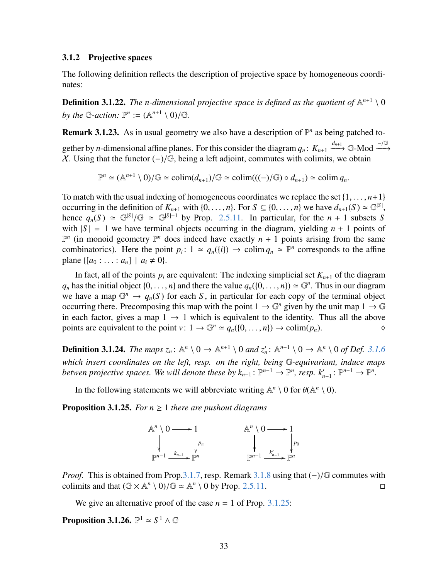#### <span id="page-32-0"></span>3.1.2 Projective spaces

The following definition reflects the description of projective space by homogeneous coordinates:

**Definition 3.1.22.** The n-dimensional projective space is defined as the quotient of  $\mathbb{A}^{n+1} \setminus 0$ by the G-action:  $\mathbb{P}^n := (\mathbb{A}^{n+1} \setminus 0) / \mathbb{G}$ .

<span id="page-32-2"></span>**Remark 3.1.23.** As in usual geometry we also have a description of  $\mathbb{P}^n$  as being patched to-

gether by *n*-dimensional affine planes. For this consider the diagram  $q_n: K_{n+1} \xrightarrow{d_{n+1}} \mathbb{G}$ -Mod  $\xrightarrow{-/ \mathbb{G}}$ X. Using that the functor  $(-)/\mathbb{G}$ , being a left adjoint, commutes with colimits, we obtain

 $\mathbb{P}^n \simeq (\mathbb{A}^{n+1} \setminus 0)/\mathbb{G} \simeq \text{colim}(d_{n+1})/\mathbb{G} \simeq \text{colim}((-)/\mathbb{G}) \circ d_{n+1}) \simeq \text{colim } q_n.$ 

To match with the usual indexing of homogeneous coordinates we replace the set  $\{1, \ldots, n+1\}$ occurring in the definition of  $K_{n+1}$  with {0, ..., *n*}. For *S* ⊆ {0, ..., *n*} we have  $d_{n+1}(S) \approx \mathbb{G}^{|S|}$ , hence *a* (*S*)  $\approx \mathbb{G}^{|S|}/\mathbb{G}$   $\approx \mathbb{G}^{|S|-1}$  by Prop. 2.5.11. In particular, for the *n* + 1 hence  $q_n(S) \simeq \mathbb{G}^{|S|}/\mathbb{G} \simeq \mathbb{G}^{|S|-1}$  by Prop. [2.5.11.](#page-18-2) In particular, for the *n* + 1 subsets *S* with  $|S| = 1$  we have terminal objects occurring in the diagram vielding  $n + 1$  points of with  $|S| = 1$  we have terminal objects occurring in the diagram, yielding  $n + 1$  points of  $\mathbb{P}^n$  (in monoid geometry  $\mathbb{P}^n$  does indeed have exactly  $n + 1$  points arising from the same combinatorics). Here the point  $p_i: 1 \approx q_n({i}) \rightarrow \text{colim } q_n \approx \mathbb{P}^n$  corresponds to the affine plane  $\{[a_0 : \ldots : a_n] \mid a_i \neq 0\}.$ 

In fact, all of the points  $p_i$  are equivalent: The indexing simplicial set  $K_{n+1}$  of the diagram  $q_n$  has the initial object  $\{0, \ldots, n\}$  and there the value  $q_n(\{0, \ldots, n\}) \simeq \mathbb{G}^n$ . Thus in our diagram we have a map  $\mathbb{G}^n \to q_n(S)$  for each *S*, in particular for each copy of the terminal object occurring there. Precomposing this map with the point  $1 \to \mathbb{G}^n$  given by the unit map  $1 \to \mathbb{G}^n$ in each factor, gives a map  $1 \rightarrow 1$  which is equivalent to the identity. Thus all the above points are equivalent to the point  $v: 1 \to \mathbb{G}^n \simeq q_n(\{0, \ldots, n\}) \to \text{colim}(p_n)$ .

<span id="page-32-4"></span>**Definition 3.1.24.** *The maps*  $z_n$ :  $\mathbb{A}^n \setminus 0 \to \mathbb{A}^{n+1} \setminus 0$  and  $z'_n$ :  $\mathbb{A}^{n-1} \setminus 0 \to \mathbb{A}^n \setminus 0$  of Def. [3.1.6](#page-25-0) *which insert coordinates on the left, resp. on the right, being* G*-equivariant, induce maps betwen projective spaces. We will denote these by*  $k_{n-1}$ *:*  $\mathbb{P}^{n-1} \to \mathbb{P}^n$ *, <i>resp.*  $k'_{n-1}$ :  $\mathbb{P}^{n-1} \to \mathbb{P}^n$ .

In the following statements we will abbreviate writing  $\mathbb{A}^n \setminus 0$  for  $\theta(\mathbb{A}^n \setminus 0)$ .

<span id="page-32-1"></span>**Proposition 3.1.25.** *For*  $n \geq 1$  *there are pushout diagrams* 



*Proof.* This is obtained from Prop[.3.1.7,](#page-25-1) resp. Remark [3.1.8](#page-25-2) using that  $(-)/\mathbb{G}$  commutes with colimits and that  $(\mathbb{G} \times \mathbb{A}^n \setminus 0)/\mathbb{G} \simeq \mathbb{A}^n \setminus 0$  by Prop. 2.5.11. colimits and that  $(\mathbb{G} \times \mathbb{A}^n \setminus 0)/\mathbb{G} \simeq \mathbb{A}^n \setminus 0$  by Prop. [2.5.11.](#page-18-2)

We give an alternative proof of the case  $n = 1$  of Prop. [3.1.25:](#page-32-1)

<span id="page-32-3"></span>**Proposition 3.1.26.**  $\mathbb{P}^1 \simeq S^1 \wedge \mathbb{G}$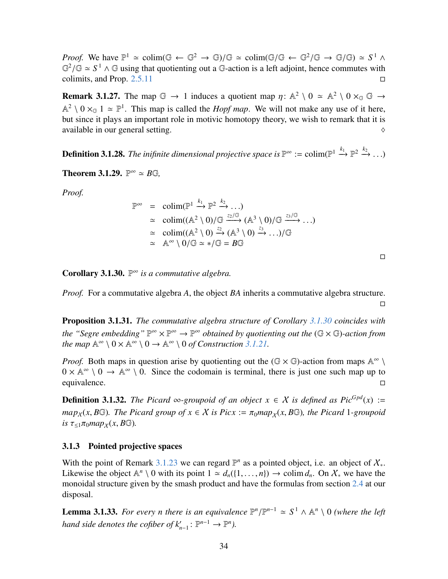*Proof.* We have  $\mathbb{P}^1 \simeq \text{colim}(\mathbb{G} \leftarrow \mathbb{G}^2 \rightarrow \mathbb{G})/\mathbb{G} \simeq \text{colim}(\mathbb{G}/\mathbb{G} \leftarrow \mathbb{G}^2/\mathbb{G} \rightarrow \mathbb{G}/\mathbb{G}) \simeq S^1 \wedge \mathbb{G}^2/\mathbb{G} \simeq S^1 \wedge \mathbb{G}^2/\mathbb{G} \simeq S^1 \wedge \mathbb{G}$  $\mathbb{G}^2/\mathbb{G} \simeq S^1 \wedge \mathbb{G}$  using that quotienting out a G-action is a left adjoint, hence commutes with colimits and Prop. 2.5.11 colimits, and Prop.  $2.5.11$ 

**Remark 3.1.27.** The map  $\mathbb{G} \to 1$  induces a quotient map  $\eta: \mathbb{A}^2 \setminus 0 \simeq \mathbb{A}^2 \setminus 0 \times_{\mathbb{G}} \mathbb{G} \to$  $\mathbb{A}^2 \setminus 0 \times_{\mathbb{G}} 1 \simeq \mathbb{P}^1$ . This map is called the *Hopf map*. We will not make any use of it here, but since it plays an important role in motivic homotopy theory, we wish to remark that it is available in our general setting.

**Definition 3.1.28.** The inifinite dimensional projective space is  $\mathbb{P}^{\infty}$  := colim( $\mathbb{P}^{1} \xrightarrow{k_1} \mathbb{P}^{2} \xrightarrow{k_2} \ldots$ )

**Theorem 3.1.29.**  $\mathbb{P}^{\infty} \simeq B\mathbb{G}$ ,

*Proof.*

$$
\mathbb{P}^{\infty} = \operatorname{colim}(\mathbb{P}^{1} \xrightarrow{k_1} \mathbb{P}^{2} \xrightarrow{k_2} \dots)
$$
  
\n
$$
\approx \operatorname{colim}((\mathbb{A}^{2} \setminus 0)/\mathbb{G} \xrightarrow{z_2/\mathbb{G}} (\mathbb{A}^{3} \setminus 0)/\mathbb{G} \xrightarrow{z_3/\mathbb{G}} \dots)
$$
  
\n
$$
\approx \operatorname{colim}((\mathbb{A}^{2} \setminus 0) \xrightarrow{z_2} (\mathbb{A}^{3} \setminus 0) \xrightarrow{z_3} \dots)/\mathbb{G}
$$
  
\n
$$
\approx \mathbb{A}^{\infty} \setminus 0/\mathbb{G} \approx \sqrt{\mathbb{G}} = B\mathbb{G}
$$

 $\Box$ 

 $\Box$ 

<span id="page-33-1"></span>Corollary 3.1.30. P <sup>∞</sup> *is a commutative algebra.*

*Proof.* For a commutative algebra *A*, the object *BA* inherits a commutative algebra structure.

Proposition 3.1.31. *The commutative algebra structure of Corollary [3.1.30](#page-33-1) coincides with* the "Segre embedding"  $\mathbb{P}^{\infty} \times \mathbb{P}^{\infty} \to \mathbb{P}^{\infty}$  obtained by quotienting out the  $(\mathbb{G} \times \mathbb{G})$ -action from *the map*  $\mathbb{A}^{\infty} \setminus 0 \times \mathbb{A}^{\infty} \setminus 0 \to \mathbb{A}^{\infty} \setminus 0$  *of Construction [3.1.21.](#page-31-0)* 

*Proof.* Both maps in question arise by quotienting out the  $(\mathbb{G} \times \mathbb{G})$ -action from maps  $\mathbb{A}^{\infty} \setminus$  $0 \times \mathbb{A}^{\infty} \setminus 0 \to \mathbb{A}^{\infty} \setminus 0$ . Since the codomain is terminal, there is just one such map up to equivalence.

**Definition 3.1.32.** *The Picard* ∞*-groupoid of an object*  $x \in X$  *is defined as Pic*<sup>*Gpd*</sup>(*x*) :=  $map_X(x, B\mathbb{G})$ . The Picard group of  $x \in \mathcal{X}$  is Picx :=  $\pi_0 map_Y(x, B\mathbb{G})$ , the Picard 1*-groupoid*  $i\in \tau_{\leq 1}\pi_0 map_X(x, B\mathbb{G})$ .

#### <span id="page-33-0"></span>3.1.3 Pointed projective spaces

With the point of Remark [3.1.23](#page-32-2) we can regard  $\mathbb{P}^n$  as a pointed object, i.e. an object of  $X_*$ . Likewise the object  $\mathbb{A}^n \setminus 0$  with its point  $1 \approx d_n({1, \ldots, n}) \rightarrow \text{colim } d_n$ . On  $\mathcal{X}_*$  we have the monoidal structure given by the smash product and have the formulas from section 2.4 at our monoidal structure given by the smash product and have the formulas from section [2.4](#page-13-0) at our disposal.

**Lemma 3.1.33.** *For every n there is an equivalence*  $\mathbb{P}^n/\mathbb{P}^{n-1} \simeq S^1 \wedge \mathbb{A}^n \setminus 0$  *(where the left*) *hand side denotes the cofiber of*  $k'_{n-1}$ :  $\mathbb{P}^{n-1} \to \mathbb{P}^n$ *).*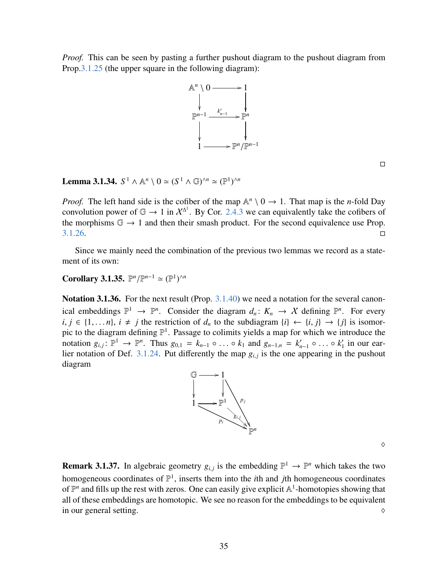*Proof.* This can be seen by pasting a further pushout diagram to the pushout diagram from Prop[.3.1.25](#page-32-1) (the upper square in the following diagram):



 $\Box$ 

Lemma 3.1.34.  $S^1 \wedge \mathbb{A}^n \setminus 0 \simeq (S^1 \wedge \mathbb{G})^{\wedge n} \simeq (\mathbb{P}^1)^{\wedge n}$ 

*Proof.* The left hand side is the cofiber of the map  $\mathbb{A}^n \setminus 0 \to 1$ . That map is the *n*-fold Day convolution power of  $\mathbb{G} \to 1$  in  $\mathcal{X}^{\Delta^1}$ . By Cor. [2.4.3](#page-16-2) we can equivalently take the cofibers of the morphisms  $\mathbb{G} \to 1$  and then their smash product. For the second equivalence use Prop.  $3.1.26.$ 

Since we mainly need the combination of the previous two lemmas we record as a statement of its own:

<span id="page-34-0"></span>**Corollary 3.1.35.**  $\mathbb{P}^n/\mathbb{P}^{n-1} \simeq (\mathbb{P}^1)^{\wedge n}$ 

Notation 3.1.36. For the next result (Prop. [3.1.40\)](#page-35-0) we need a notation for the several canonical embeddings  $\mathbb{P}^1 \to \mathbb{P}^n$ . Consider the diagram  $d_n: K_n \to X$  defining  $\mathbb{P}^n$ . For every  $i, j \in \{1, \ldots n\}, i \neq j$  the restriction of  $d_n$  to the subdiagram  $\{i\} \leftarrow \{i, j\} \rightarrow \{j\}$  is isomorpic to the diagram defining  $\mathbb{P}^1$ . Passage to colimits yields a map for which we introduce the notation  $g_{i,j}: \mathbb{P}^1 \to \mathbb{P}^n$ . Thus  $g_{0,1} = k_{n-1} \circ \dots \circ k_1$  and  $g_{n-1,n} = k'_n$ <br>lier notation of Def. 3.1.24. Put differently the man  $g_{i,j}$  is the one a *n*−1 ○ ... ○  $k'_1$ <br>annearing in  $\frac{1}{1}$  in our ear-lier notation of Def. [3.1.24.](#page-32-4) Put differently the map  $g_{i,j}$  is the one appearing in the pushout diagram diagram



 $\Diamond$ 

**Remark 3.1.37.** In algebraic geometry  $g_{i,j}$  is the embedding  $\mathbb{P}^1 \to \mathbb{P}^n$  which takes the two homogeneous coordinates of  $\mathbb{P}^1$ , inserts them into the *i*th and *j*th homogeneous coordinates of  $\mathbb{P}^n$  and fills up the rest with zeros. One can easily give explicit  $\mathbb{A}^1$ -homotopies showing that all of these embeddings are homotopic. We see no reason for the embeddings to be equivalent in our general setting.  $\Diamond$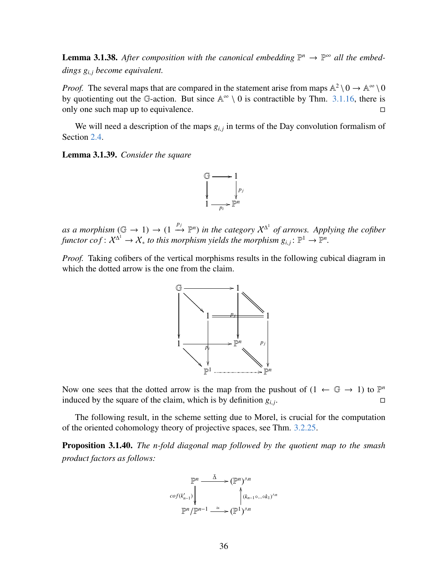<span id="page-35-2"></span>**Lemma 3.1.38.** After composition with the canonical embedding  $\mathbb{P}^n \to \mathbb{P}^{\infty}$  all the embed*dings g<sup>i</sup>*, *<sup>j</sup> become equivalent.*

*Proof.* The several maps that are compared in the statement arise from maps  $\mathbb{A}^2 \setminus 0 \to \mathbb{A}^\infty \setminus 0$ by quotienting out the G-action. But since  $\mathbb{A}^{\infty} \setminus 0$  is contractible by Thm. [3.1.16,](#page-28-0) there is only one such map up to equivalence.

We will need a description of the maps  $g_{i,j}$  in terms of the Day convolution formalism of Section [2.4.](#page-13-0)

<span id="page-35-1"></span>Lemma 3.1.39. *Consider the square*



as a morphism  $(\mathbb{G} \to 1) \to (1 \stackrel{p_j}{\to} \mathbb{P}^n)$  in the category  $\mathcal{X}^{\Delta^1}$  of arrows. Applying the cofiber *functor cof* :  $X^{\Delta^1} \to X_*$  *to this morphism yields the morphism*  $g_{i,j} : \mathbb{P}^1 \to \mathbb{P}^n$ .

*Proof.* Taking cofibers of the vertical morphisms results in the following cubical diagram in which the dotted arrow is the one from the claim.



Now one sees that the dotted arrow is the map from the pushout of  $(1 \leftarrow \mathbb{G} \rightarrow 1)$  to  $\mathbb{P}^n$ induced by the square of the claim, which is by definition  $g_{i,j}$ . . В последните последните и последните и последните и последните и последните и последните и последните и посл<br>В последните и последните и последните и последните и последните и последните и последните и последните и посл

The following result, in the scheme setting due to Morel, is crucial for the computation of the oriented cohomology theory of projective spaces, see Thm. [3.2.25.](#page-45-0)

<span id="page-35-0"></span>Proposition 3.1.40. *The n-fold diagonal map followed by the quotient map to the smash product factors as follows:*

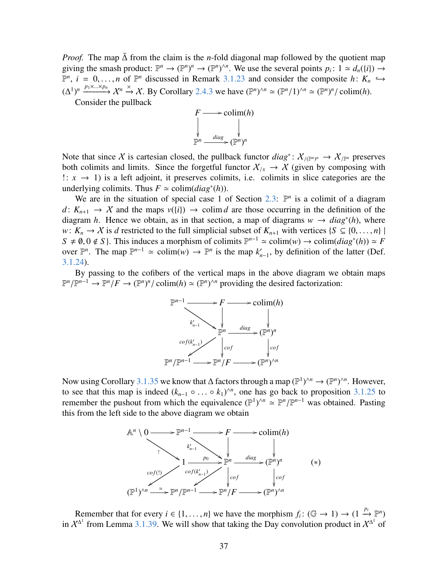*Proof.* The map  $\Delta$  from the claim is the *n*-fold diagonal map followed by the quotient map giving the smash product:  $\mathbb{P}^n \to (\mathbb{P}^n)^n \to (\mathbb{P}^n)^{n}$ . We use the several points  $p_i: 1 \simeq d_n(\{i\}) \to$  $\mathbb{P}^n$ , *i* = 0, ..., *n* of  $\mathbb{P}^n$  discussed in Remark [3.1.23](#page-32-2) and consider the composite *h*:  $K_n$  →  $\leftarrow$   $\left(\frac{1}{n}\right)^n e^{n\left(\frac{1}{n}\right)\left(\frac{n}{n}\right)}$  ,  $K_n$  →  $\left(\frac{1}{n}\right)^n e^{n\left(\frac{n}{n}\right)\left(\frac{n}{n}\right)}$  ,  $\left(\frac{n}{n}\right)^n e^{n\left(\$  $(\Delta^1)^n \xrightarrow{p_1 \times ... \times p_n} \mathcal{X}^n \xrightarrow{\times} \mathcal{X}$ . By Corollary [2.4.3](#page-16-2) we have  $(\mathbb{P}^n)^{\wedge n} \simeq (\mathbb{P}^n/1)^{\wedge n} \simeq (\mathbb{P}^n)^n/\operatorname{colim}(h)$ .<br>Consider the pullback

Consider the pullback



Note that since X is cartesian closed, the pullback functor  $diag^*: X_{/(p^n)^n} \to X_{/p^n}$  preserves both colimits and limits. Since the forgetful functor  $X_{/x} \to X$  (given by composing with !: *x* → 1) is a left adjoint, it preserves colimits, i.e. colimits in slice categories are the underlying colimits. Thus  $F \approx \text{colim}(diag^*(h))$ .

We are in the situation of special case 1 of Section [2.3:](#page-10-0)  $\mathbb{P}^n$  is a colimit of a diagram  $d: K_{n+1} \to X$  and the maps  $v({i}) \to \text{colim } d$  are those occurring in the definition of the diagram *h*. Hence we obtain, as in that section, a map of diagrams  $w \rightarrow diag^{*}(h)$ , where *w*:  $K_n \to X$  is *d* restricted to the full simplicial subset of  $K_{n+1}$  with vertices {*S*  $\subseteq$  {0, ..., *n*} |  $S \neq \emptyset, 0 \notin S$ . This induces a morphism of colimits  $\mathbb{P}^{n-1} \simeq \text{colim}(w) \rightarrow \text{colim}(diag^*(h)) \simeq F$ <br> *Note*  $\mathbb{P}^n$  The map  $\mathbb{P}^{n-1} \simeq \text{colim}(w) \rightarrow \mathbb{P}^n$  is the map  $k'$  by definition of the latter (Def over  $\mathbb{P}^n$ . The map  $\mathbb{P}^{n-1} \simeq \text{colim}(w) \to \mathbb{P}^n$  is the map  $k'_n$  $n'_{n-1}$ , by definition of the latter (Def. [3.1.24\)](#page-32-4).

By passing to the cofibers of the vertical maps in the above diagram we obtain maps  $\mathbb{P}^n/\mathbb{P}^{n-1} \to \mathbb{P}^n/F \to (\mathbb{P}^n)^n/\text{colim}(h) \simeq (\mathbb{P}^n)^{n}\text{ providing the desired factorization:}$ 



Now using Corollary [3.1.35](#page-34-0) we know that  $\Delta$  factors through a map ( $\mathbb{P}^1$ )<sup> $\wedge n \to (\mathbb{P}^n)^{\wedge n}$ . However,</sup> to see that this map is indeed  $(k_{n-1} \circ \dots \circ k_1)^{\wedge n}$ , one has go back to proposition 3.1.25 to remember the pushout from which the equivalence  $(\mathbb{P}^1)^{\wedge n} \simeq \mathbb{P}^n / \mathbb{P}^{n-1}$  was obtained. Pasting this from the ∧*n* , one has go back to proposition [3.1.25](#page-32-1) to this from the left side to the above diagram we obtain



Remember that for every  $i \in \{1, ..., n\}$  we have the morphism  $f_i: (\mathbb{G} \to 1) \to (1 \stackrel{p_i}{\to} \mathbb{P}^n)$ <br>  $f^{\Delta^1}$  from I emma 3.1.39. We will show that taking the Day convolution product in  $X^{\Delta^1}$  of in  $X^{\Delta^1}$  from Lemma [3.1.39.](#page-35-1) We will show that taking the Day convolution product in  $X^{\Delta^1}$  of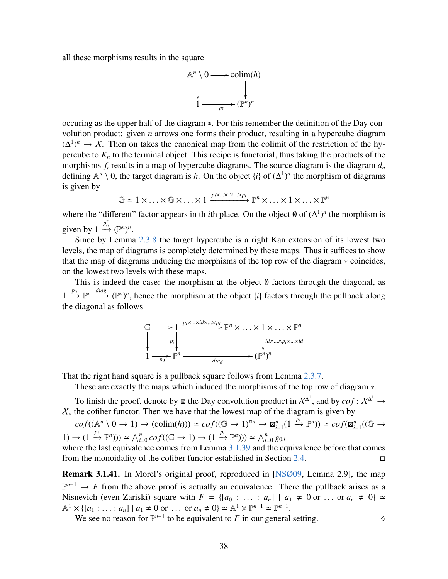all these morphisms results in the square



occuring as the upper half of the diagram ∗. For this remember the definition of the Day convolution product: given *n* arrows one forms their product, resulting in a hypercube diagram  $(\Delta^1)^n \to \mathcal{X}$ . Then on takes the canonical map from the colimit of the restriction of the hypercube to  $K_n$  to the terminal object. This recipe is functorial, thus taking the products of the morphisms  $f_i$  results in a map of hypercube diagrams. The source diagram is the diagram  $d_n$ defining  $\mathbb{A}^n \setminus 0$ , the target diagram is *h*. On the object {*i*} of  $(\Delta^1)^n$  the morphism of diagrams is given by

$$
\mathbb{G} \simeq 1 \times \ldots \times \mathbb{G} \times \ldots \times 1 \xrightarrow{p_i \times \ldots \times 1 \times \ldots \times p_i} \mathbb{P}^n \times \ldots \times 1 \times \ldots \times \mathbb{P}^n
$$

where the "different" factor appears in th *i*th place. On the object  $\emptyset$  of  $(\Delta^1)^n$  the morphism is given by  $1 \xrightarrow{p_0^n} (\mathbb{P}^n)^n$ .

Since by Lemma [2.3.8](#page-13-1) the target hypercube is a right Kan extension of its lowest two levels, the map of diagrams is completely determined by these maps. Thus it suffices to show that the map of diagrams inducing the morphisms of the top row of the diagram ∗ coincides, on the lowest two levels with these maps.

This is indeed the case: the morphism at the object ∅ factors through the diagonal, as 1  $\stackrel{p_0}{\longrightarrow}$   $\stackrel{diag}{\longrightarrow}$   $(\mathbb{P}^n)^n$ , hence the morphism at the object {*i*} factors through the pullback along the diagonal as follows



That the right hand square is a pullback square follows from Lemma [2.3.7.](#page-12-0)

These are exactly the maps which induced the morphisms of the top row of diagram ∗.

To finish the proof, denote by  $\boxtimes$  the Day convolution product in  $X^{\Delta^1}$ , and by  $cof: X^{\Delta^1} \to$  $X^*$  the cofiber functor. Then we have that the lowest map of the diagram is given by

 $cof((\mathbb{A}^n \setminus 0 \to 1) \to (colim(h))) \simeq cof((\mathbb{G} \to 1)^{\boxtimes n} \to \mathbb{Z}_h^n)$  $\lim_{i=1}^n (1 \xrightarrow{\tilde{p}_i} \mathbb{P}^n)) \simeq cof(\mathbb{Z}_{i}^n)$  $\sum_{i=1}^n ((\mathbb{G} \rightarrow$  $(1) \rightarrow (1 \stackrel{p_i}{\rightarrow} \mathbb{P}^n)) \simeq \bigwedge_{i=0}^n cof((\mathbb{G} \rightarrow 1) \rightarrow (1 \stackrel{p_i}{\rightarrow} \mathbb{P}^n))) \simeq \bigwedge_{i=0}^n g_{0,i}$ 

where the last equivalence comes from Lemma [3.1.39](#page-35-1) and the equivalence before that comes from the monoidality of the cofiber functor established in Section [2.4.](#page-13-0)  $\Box$ 

Remark 3.1.41. In Morel's original proof, reproduced in [\[NSØ09,](#page-64-2) Lemma 2.9], the map  $\mathbb{P}^{n-1} \to F$  from the above proof is actually an equivalence. There the pullback arises as a Nisnevich (even Zariski) square with  $F = \{[a_0 : \ldots : a_n] \mid a_1 \neq 0 \text{ or } \ldots \text{ or } a_n \neq 0\} \simeq$  $\mathbb{A}^1 \times \{ [a_1 : \dots : a_n] \mid a_1 \neq 0 \text{ or } \dots \text{ or } a_n \neq 0 \} \simeq \mathbb{A}^1 \times \mathbb{P}^{n-1} \simeq \mathbb{P}^{n-1}.$ <br>We see no reason for  $\mathbb{P}^{n-1}$  to be equivalent to *F* in our general

We see no reason for  $\mathbb{P}^{n-1}$  to be equivalent to *F* in our general setting.  $\diamond$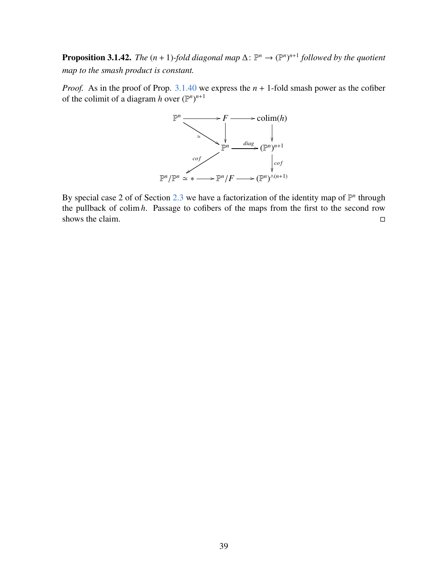<span id="page-38-0"></span>**Proposition 3.1.42.** *The*  $(n + 1)$ -fold diagonal map  $\Delta: \mathbb{P}^n \to (\mathbb{P}^n)^{n+1}$  followed by the quotient *map to the smash product is constant.*

*Proof.* As in the proof of Prop. [3.1.40](#page-35-0) we express the *n* + 1-fold smash power as the cofiber of the colimit of a diagram *h* over  $(\mathbb{P}^n)^{n+1}$ 



By special case 2 of of Section [2.3](#page-10-0) we have a factorization of the identity map of  $\mathbb{P}^n$  through the pullback of colim *h*. Passage to cofibers of the maps from the first to the second row shows the claim.  $\Box$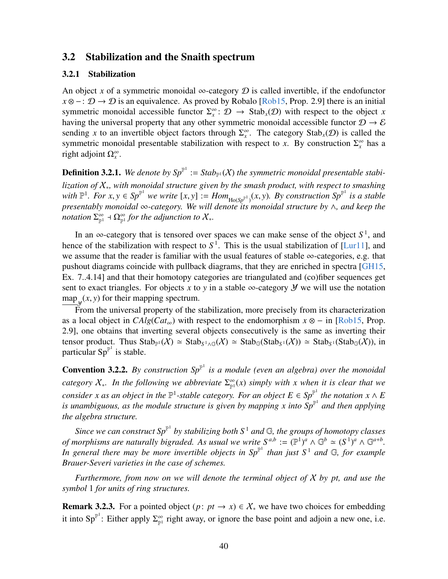#### <span id="page-39-0"></span>3.2 Stabilization and the Snaith spectrum

#### <span id="page-39-1"></span>3.2.1 Stabilization

An object x of a symmetric monoidal  $\infty$ -category  $\mathcal D$  is called invertible, if the endofunctor  $x \otimes -$ :  $D \rightarrow D$  is an equivalence. As proved by Robalo [\[Rob15,](#page-64-3) Prop. 2.9] there is an initial symmetric monoidal accessible functor  $\Sigma_x^{\infty}$ :  $\mathcal{D} \to \text{Stab}_x(\mathcal{D})$  with respect to the object *x* having the universal property that any other symmetric monoidal accessible functor  $\mathcal{D} \rightarrow \mathcal{E}$ sending x to an invertible object factors through  $\Sigma_x^{\infty}$ . The category Stab<sub>x</sub>( $\mathcal{D}$ ) is called the symmetric monoidal presentable stabilization with respect to *x*. By construction  $\Sigma_x^{\infty}$  has a right adjoint  $\Omega_x^{\infty}$ .

**Definition 3.2.1.** We denote by  $Sp^{\mathbb{P}^1} := Stab_{\mathbb{P}^1}(X)$  the symmetric monoidal presentable stabi*lization of* X∗*, with monoidal structure given by the smash product, with respect to smashing with*  $\mathbb{P}^1$ *. For x, y*  $\in$  *Sp*<sup>P1</sup> *we write* [*x, y*]  $:= Hom_{Ho(Sp^{\mathbb{P}^1})}(x, y)$ *. By construction Sp*<sup>P1</sup> *is a stable*<br>*presentably monoidal*  $\infty$ -category. We will denote its monoidal structure by  $\wedge$  and kee *presentably monoidal* ∞*-category. We will denote its monoidal structure by* ∧*, and keep the notation*  $\Sigma^{\infty}_{\mathbb{P}^1}$  +  $\Omega^{\infty}_{\mathbb{P}^1}$  for the adjunction to  $\mathcal{X}_*$ .

In an  $\infty$ -category that is tensored over spaces we can make sense of the object  $S^1$ , and hence of the stabilization with respect to  $S<sup>1</sup>$ . This is the usual stabilization of [\[Lur11\]](#page-64-1), and we assume that the reader is familiar with the usual features of stable ∞-categories, e.g. that pushout diagrams coincide with pullback diagrams, that they are enriched in spectra [\[GH15,](#page-63-4) Ex. 7..4.14] and that their homotopy categories are triangulated and (co)fiber sequences get sent to exact triangles. For objects x to y in a stable  $\infty$ -category  $\mathcal Y$  we will use the notation  $\frac{\text{map}_y(x, y)}{\text{From the universal property of the } y}$ 

 $\mathbb{F}_y^{(1)}$  for the universal property of the stabilization, more precisely from its characterization as a local object in  $CAlg(Cat_{\infty})$  with respect to the endomorphism  $x \otimes -$  in [\[Rob15,](#page-64-3) Prop. 2.9], one obtains that inverting several objects consecutively is the same as inverting their tensor product. Thus  $\text{Stab}_{\mathbb{P}^1}(\mathcal{X}) \simeq \text{Stab}_{S^1 \wedge \mathbb{G}}(\mathcal{X}) \simeq \text{Stab}_{\mathbb{G}}(\text{Stab}_{S^1}(\mathcal{X})) \simeq \text{Stab}_{S^1}(\text{Stab}_{\mathbb{G}}(\mathcal{X})),$  in particular  $Sp^{\mathbb{P}^1}$  is stable.

**Convention 3.2.2.** By construction  $Sp<sup>\mathbb{P}^1</sup>$  is a module (even an algebra) over the monoidal category  $X_*$ . In the following we abbreviate  $\sum_{p=1}^{\infty} f(x)$  *simply with x when it is clear that we consider x as an object in the*  $\mathbb{P}^1$ -stable category. For an object  $E \in Sp^{\mathbb{P}^1}$  the notation  $x \wedge E$ *is unambiguous, as the module structure is given by mapping x into*  $\hat{Sp}^{\mathbb{P}^1}$  *and then applying the algebra structure.*

Since we can construct  $Sp^{\mathbb{P}^1}$  by stabilizing both  $S^1$  and  $\mathbb{G}$ , the groups of homotopy classes *of morphisms are naturally bigraded. As usual we write*  $S^{a,b} := (\mathbb{P}^1)^a \wedge \mathbb{G}^b \simeq (S^1)^a \wedge \mathbb{G}^{a+b}$ . In general there may be more invertible objects in  $Sp^{\mathbb{P}^1}$  than just  $S^1$  and  $\mathbb{G}$ *, for example Brauer-Severi varieties in the case of schemes.*

*Furthermore, from now on we will denote the terminal object of* X *by pt, and use the symbol* 1 *for units of ring structures.*

<span id="page-39-2"></span>**Remark 3.2.3.** For a pointed object  $(p: pt \rightarrow x) \in \mathcal{X}_{*}$  we have two choices for embedding it into Sp<sup>P1</sup>: Either apply  $\Sigma_{\mathbb{P}^1}^{\infty}$  right away, or ignore the base point and adjoin a new one, i.e.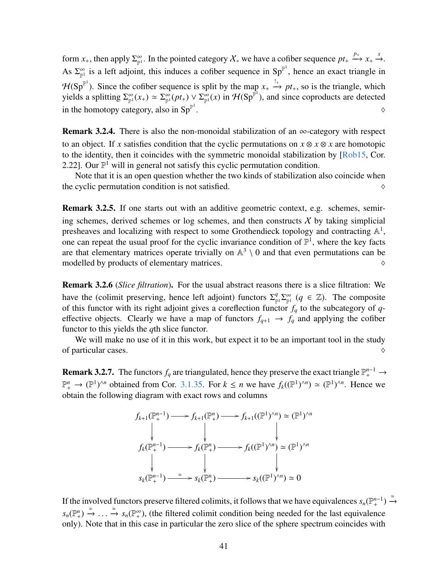form  $x_+$ , then apply  $\Sigma_{\mathbb{P}^1}^{\infty}$ . In the pointed category  $\mathcal{X}_*$  we have a cofiber sequence  $pt_+ \xrightarrow{p_+} x_+ \xrightarrow{x}$ . As  $\Sigma_{\mathbb{P}^1}^{\infty}$  is a left adjoint, this induces a cofiber sequence in  $Sp^{\mathbb{P}^1}$ , hence an exact triangle in  $H(\text{Sp}^{\mathbb{P}^1})$ . Since the cofiber sequence is split by the map  $x_+ \stackrel{!+}{\to} pt_+$ , so is the triangle, which yields a splitting  $\Sigma_{\mathbb{P}^1}^{\infty}(x_+) \simeq \Sigma_{\mathbb{P}^1}^{\infty}(pt_+) \vee \Sigma_{\mathbb{P}^1}^{\infty}(x)$  in  $\mathcal{H}(Sp^{\mathbb{P}^1})$ , and since coproducts are detected in the homotopy category, also in  $Sp^{\mathbb{P}^1}$ . As a set of the set of the set of the set of the set of the set of the set of the set of the set of the set of the set of the set of the set of the set of the set of the set of the set of the set of the set of the set o

**Remark 3.2.4.** There is also the non-monoidal stabilization of an  $\infty$ -category with respect to an object. If *x* satisfies condition that the cyclic permutations on  $x \otimes x \otimes x$  are homotopic to the identity, then it coincides with the symmetric monoidal stabilization by [\[Rob15,](#page-64-3) Cor. 2.22]. Our  $\mathbb{P}^1$  will in general not satisfy this cyclic permutation condition.

Note that it is an open question whether the two kinds of stabilization also coincide when the cyclic permutation condition is not satisfied.  $\Diamond$ 

Remark 3.2.5. If one starts out with an additive geometric context, e.g. schemes, semiring schemes, derived schemes or log schemes, and then constructs  $X$  by taking simplicial presheaves and localizing with respect to some Grothendieck topology and contracting  $\mathbb{A}^1$ , one can repeat the usual proof for the cyclic invariance condition of  $\mathbb{P}^1$ , where the key facts are that elementary matrices operate trivially on  $\mathbb{A}^3 \setminus 0$  and that even permutations can be modelled by products of elementary matrices.  $\Diamond$ 

Remark 3.2.6 (*Slice filtration*). For the usual abstract reasons there is a slice filtration: We have the (colimit preserving, hence left adjoint) functors  $\Sigma^q_{\mu}$  $P_{\mathbb{P}^1}^q \Sigma_{\mathbb{P}^1}^{\infty}$  ( $q \in \mathbb{Z}$ ). The composite of this functor with its right adjoint gives a coreflection functor  $f_q$  to the subcategory of  $q$ effective objects. Clearly we have a map of functors  $f_{q+1} \rightarrow f_q$  and applying the cofiber functor to this yields the *q*th slice functor.

We will make no use of it in this work, but expect it to be an important tool in the study of particular cases.  $\Diamond$ 

**Remark 3.2.7.** The functors  $f_q$  are triangulated, hence they preserve the exact triangle  $\mathbb{P}^{n-1}_+ \to$  $\mathbb{P}^n_+ \to (\mathbb{P}^1)^{\wedge n}$  obtained from Cor. [3.1.35.](#page-34-0) For  $k \le n$  we have  $f_k((\mathbb{P}^1)^{\wedge n}) \simeq (\mathbb{P}^1)^{\wedge n}$ . Hence we obtain the following diagram with exact rows and columns

$$
f_{k+1}(\mathbb{P}_{+}^{n-1}) \longrightarrow f_{k+1}(\mathbb{P}_{+}^{n}) \longrightarrow f_{k+1}((\mathbb{P}^{1})^{\wedge n}) \simeq (\mathbb{P}^{1})^{\wedge n}
$$
\n
$$
f_{k}(\mathbb{P}_{+}^{n-1}) \longrightarrow f_{k}(\mathbb{P}_{+}^{n}) \longrightarrow f_{k}((\mathbb{P}^{1})^{\wedge n}) \simeq (\mathbb{P}^{1})^{\wedge n}
$$
\n
$$
\downarrow \qquad \qquad \downarrow
$$
\n
$$
s_{k}(\mathbb{P}_{+}^{n-1}) \xrightarrow{\simeq} s_{k}(\mathbb{P}_{+}^{n}) \longrightarrow s_{k}((\mathbb{P}^{1})^{\wedge n}) \simeq 0
$$

If the involved functors preserve filtered colimits, it follows that we have equivalences  $s_n(\mathbb{P}^{n-1}_+) \stackrel{\simeq}{\to}$  $s_n(\mathbb{P}^n_+) \stackrel{\simeq}{\to} \ldots \stackrel{\simeq}{\to} s_n(\mathbb{P}^{\infty}_+)$ , (the filtered colimit condition being needed for the last equivalence<br>only). Note that in this case in particular the zero slice of the sphere spectrum coincides with only). Note that in this case in particular the zero slice of the sphere spectrum coincides with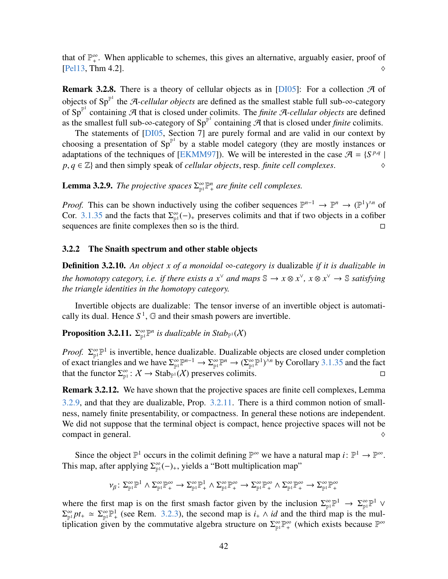that of  $\mathbb{P}^{\infty}_+$ . When applicable to schemes, this gives an alternative, arguably easier, proof of  $[$ Pel13, Thm 4.2].  $\Diamond$ 

<span id="page-41-3"></span>**Remark 3.2.8.** There is a theory of cellular objects as in [\[DI05\]](#page-63-5): For a collection  $\mathcal{A}$  of objects of Sp<sup> $p$ 1</sup> the A-*cellular objects* are defined as the smallest stable full sub-∞-category of Sp<sup>p1</sup> containing A that is closed under colimits. The *finite* A-cellular objects are defined as the smallest full sub- $\infty$ -category of Sp<sup>P1</sup> containing  $\tilde{\mathcal{A}}$  that is closed under *finite* colimits.

The statements of [\[DI05,](#page-63-5) Section 7] are purely formal and are valid in our context by choosing a presentation of  $Sp<sup>{\mathbb{P}^1}</sup>$  by a stable model category (they are mostly instances or adaptations of the techniques of [\[EKMM97\]](#page-63-6)). We will be interested in the case  $\mathcal{A} = \{S^{p,q} | S^{p,q} \}$  $p, q \in \mathbb{Z}$  and then simply speak of *cellular objects*, resp. *finite cell complexes*.  $\Diamond$ 

<span id="page-41-1"></span>**Lemma 3.2.9.** The projective spaces  $\sum_{p=1}^{\infty} P_+^n$  are finite cell complexes.

*Proof.* This can be shown inductively using the cofiber sequences  $\mathbb{P}^{n-1} \to \mathbb{P}^n \to (\mathbb{P}^1)^{\wedge n}$  of Cor. [3.1.35](#page-34-0) and the facts that  $\Sigma_{\mathbb{P}^1}^{\infty}(-)$  preserves colimits and that if two objects in a cofiber sequences are finite complexes then so is the third.

#### <span id="page-41-0"></span>3.2.2 The Snaith spectrum and other stable objects

**Definition 3.2.10.** An object x of a monoidal ∞-category is dualizable *if it is dualizable in the homotopy category, i.e. if there exists a*  $x^{\vee}$  *and maps*  $\mathbb{S} \to x \otimes x^{\vee}$ ,  $x \otimes x^{\vee} \to \mathbb{S}$  *satisfying the triangle identities in the homotopy category.*

Invertible objects are dualizable: The tensor inverse of an invertible object is automatically its dual. Hence  $S^1$ ,  $\mathbb G$  and their smash powers are invertible.

<span id="page-41-2"></span>**Proposition 3.2.11.**  $\Sigma_{\mathbb{P}^1}^{\infty} \mathbb{P}^n$  is dualizable in Stab<sub>P<sup>1</sub></sup>(X)</sub>

*Proof.*  $\Sigma_{\mathbb{P}^1}^{\infty} \mathbb{P}^1$  is invertible, hence dualizable. Dualizable objects are closed under completion of exact triangles and we have  $\Sigma_{\mathbb{P}^1}^{\infty} \mathbb{P}^{n-1} \to \Sigma_{\mathbb{P}^1}^{\infty} \mathbb{P}^n \to (\Sigma_{\mathbb{P}^1}^{\infty} \mathbb{P}^1)^{\wedge n}$  by Corollary [3.1.35](#page-34-0) and the fact that the functor  $\Sigma_{\mathbb{P}^1}^{\infty}$ :  $X \to \text{Stab}_{\mathbb{P}^1}(X)$  preserves colimits.

**Remark 3.2.12.** We have shown that the projective spaces are finite cell complexes, Lemma [3.2.9,](#page-41-1) and that they are dualizable, Prop. [3.2.11.](#page-41-2) There is a third common notion of smallness, namely finite presentability, or compactness. In general these notions are independent. We did not suppose that the terminal object is compact, hence projective spaces will not be compact in general.  $\Diamond$ 

Since the object  $\mathbb{P}^1$  occurs in the colimit defining  $\mathbb{P}^{\infty}$  we have a natural map  $i: \mathbb{P}^1 \to \mathbb{P}^{\infty}$ . This map, after applying  $\Sigma_{\mathbb{P}^1}^{\infty}(-)_{+}$ , yields a "Bott multiplication map"

$$
\nu_{\beta} \colon \Sigma_{\mathbb{P}^1}^{\infty} \mathbb{P}^1 \wedge \Sigma_{\mathbb{P}^1}^{\infty} \mathbb{P}^{\infty}_+ \to \Sigma_{\mathbb{P}^1}^{\infty} \mathbb{P}^1_+ \wedge \Sigma_{\mathbb{P}^1}^{\infty} \mathbb{P}^{\infty}_+ \to \Sigma_{\mathbb{P}^1}^{\infty} \mathbb{P}^{\infty}_+ \wedge \Sigma_{\mathbb{P}^1}^{\infty} \mathbb{P}^{\infty}_+ \to \Sigma_{\mathbb{P}^1}^{\infty} \mathbb{P}^{\infty}_+
$$

where the first map is on the first smash factor given by the inclusion  $\Sigma_{\mathbb{P}^1}^{\infty} \mathbb{P}^1 \to \Sigma_{\mathbb{P}^1}^{\infty} \mathbb{P}^1$  $\Sigma_{\mathbb{P}^1}^{\infty} p t_+ \simeq \Sigma_{\mathbb{P}^1}^{\infty} \mathbb{P}^1_+$  (see Rem. [3.2.3\)](#page-39-2), the second map is *i*<sub>+</sub>  $\wedge$  *id* and the third map is the multiplication given by the commutative algebra structure on  $\Sigma^{\infty}_{\mathbb{P}^1} \mathbb{P}^{\infty}_+$  (which exists because  $\mathbb{P}^{\infty}$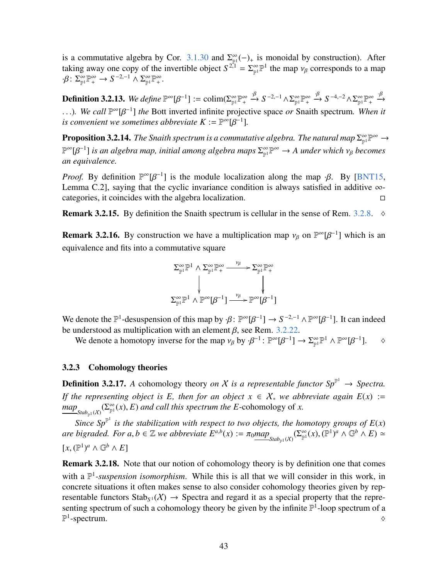is a commutative algebra by Cor. [3.1.30](#page-33-1) and  $\Sigma_{\mathbb{P}^1}^{\infty}(-)_{+}$  is monoidal by construction). After taking away one copy of the invertible object  $S^{2,1} = \sum_{\mathbb{P}^1} \mathbb{P}^1$  the map  $v_\beta$  corresponds to a map  $\mathcal{B} \cdot S^{\infty} \mathbb{P}^{\infty} \to S^{-2,-1} \wedge \sum_{\mathbb{P}^3} \mathbb{P}^{\infty}$  $\cdot \beta \colon \Sigma_{\mathbb{P}^1}^{\infty} \mathbb{P}^{\infty}_+ \to S^{-2,-1} \wedge \Sigma_{\mathbb{P}^1}^{\infty} \mathbb{P}^{\infty}_+.$ 

<span id="page-42-2"></span>**Definition 3.2.13.** We define  $\mathbb{P}^{\infty}[\beta^{-1}] := \text{colim}(\Sigma_{\mathbb{P}^1}^{\infty} \mathbb{P}^{\infty}_+ \xrightarrow{\beta} S^{-2,-1} \wedge \Sigma_{\mathbb{P}^1}^{\infty} \mathbb{P}^{\infty}_+ \xrightarrow{\beta} S^{-4,-2} \wedge \Sigma_{\mathbb{P}^1}^{\infty} \mathbb{P}^{\infty}_+ \xrightarrow{\beta}$ ...). We call  $\mathbb{P}^{\infty}[\beta^{-1}]$  *the* Bott inverted infinite projective space *or* Snaith spectrum. When it is convenient we sometimes abbreviate *K* : −  $\mathbb{P}^{\infty}[R^{-1}]$ *is convenient we sometimes abbreviate*  $K := \mathbb{P}^{\infty}[\beta^{-1}]$ *.* 

**Proposition 3.2.14.** The Snaith spectrum is a commutative algebra. The natural map  $\Sigma_{\mathbb{P}^1}^{\infty} \to$  $\mathbb{P}^{\infty}[\beta^{-1}]$  is an algebra map, initial among algebra maps  $\Sigma_{\mathbb{P}^1}^{\infty} \mathbb{P}^{\infty} \to A$  under which v<sub>β</sub> becomes<br>an equivalence *an equivalence.*

*Proof.* By definition  $\mathbb{P}^{\infty}[\beta^{-1}]$  is the module localization along the map  $\beta$ . By [\[BNT15,](#page-63-7) I emma C 21, saving that the cyclic invariance condition is always satisfied in additive  $\infty$ . Lemma C.2], saying that the cyclic invariance condition is always satisfied in additive  $\infty$ categories, it coincides with the algebra localization.

**Remark 3.2.15.** By definition the Snaith spectrum is cellular in the sense of Rem.  $3.2.8$ .  $\diamond$ 

<span id="page-42-1"></span>**Remark 3.2.16.** By construction we have a multiplication map  $v_\beta$  on  $\mathbb{P}^\infty[\beta^{-1}]$  which is an equivalence and fits into a commutative square

$$
\Sigma_{\mathbb{P}^1}^{\infty} \mathbb{P}^1 \wedge \Sigma_{\mathbb{P}^1}^{\infty} \mathbb{P}^{\infty}_+ \longrightarrow \Sigma_{\mathbb{P}^1}^{\infty} \mathbb{P}^{\infty}_+
$$
\n
$$
\downarrow \qquad \qquad \downarrow \qquad \qquad \downarrow
$$
\n
$$
\Sigma_{\mathbb{P}^1}^{\infty} \mathbb{P}^1 \wedge \mathbb{P}^{\infty}[\beta^{-1}] \xrightarrow{\nu_{\beta}} \mathbb{P}^{\infty}[\beta^{-1}]
$$

We denote the  $\mathbb{P}^1$ -desuspension of this map by  $\cdot \beta$ :  $\mathbb{P}^{\infty}[\beta^{-1}] \to S^{-2,-1} \wedge \mathbb{P}^{\infty}[\beta^{-1}]$ . It can indeed be understood as multiplication with an element  $\beta$  see Rem 3.2.22 be understood as multiplication with an element  $\beta$ , see Rem. [3.2.22.](#page-44-1)<br>We denote a homotopy inverse for the man  $v_0$  by  $\beta^{-1}$ .  $\mathbb{P}^{\infty}[R^{-1}]$ .

We denote a homotopy inverse for the map  $v_\beta$  by  $\cdot \beta^{-1}$ :  $\mathbb{P}^\infty[\beta^{-1}] \to \sum_{\mathbb{P}^1} \mathbb{P}^1 \wedge \mathbb{P}^\infty[\beta^{-1}]$ .  $\diamond$ 

#### <span id="page-42-0"></span>3.2.3 Cohomology theories

**Definition 3.2.17.** A cohomology theory *on* X is a representable functor  $Sp^{\mathbb{P}^1} \to Spectra$ . *If the representing object is E, then for an object*  $x \in X_*$  *we abbreviate again*  $E(x) :=$  $\frac{map_{\text{Stab}_{\mathbb{P}^1}(X)}(\sum_{\mathbb{P}^1}^{\infty}(x), E)$  *and call this spectrum the E*-cohomology of *x*.

*Since Sp*<sup> $\mathbb{P}^1$  is the stabilization with respect to two objects, the homotopy groups of  $E(x)$ </sup> *are bigraded. For a, b*  $\in \mathbb{Z}$  *we abbreviate*  $E^{a,b}(x) := \pi_0 \underline{map}_{\text{Stab}_{\mathbb{P}^1}(X)}(\Sigma_{\mathbb{P}^1}^{\infty})$  $(x)$ ,  $(\mathbb{P}^1)^a \wedge \mathbb{G}^b \wedge E$   $\simeq$  $[x, (\mathbb{P}^1)^a \wedge \mathbb{G}^b \wedge E]$ 

Remark 3.2.18. Note that our notion of cohomology theory is by definition one that comes with a  $\mathbb{P}^1$ -suspension isomorphism. While this is all that we will consider in this work, in concrete situations it often makes sense to also consider cohomology theories given by representable functors  $\text{Stab}_{S^1}(X) \to \text{Spectra}$  and regard it as a special property that the representing spectrum of such a cohomology theory be given by the infinite  $\mathbb{P}^1$ -loop spectrum of a  $\mathbb{P}^1$ -spectrum.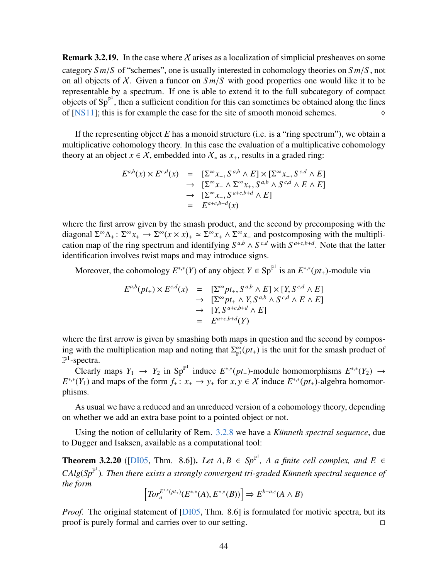**Remark 3.2.19.** In the case where X arises as a localization of simplicial presheaves on some category *S m*/*<sup>S</sup>* of "schemes", one is usually interested in cohomology theories on *S m*/*<sup>S</sup>* , not on all objects of  $X$ . Given a funcor on  $Sm/S$  with good properties one would like it to be representable by a spectrum. If one is able to extend it to the full subcategory of compact objects of  $Sp^{\mathbb{P}^1}$ , then a sufficient condition for this can sometimes be obtained along the lines of [\[NS11\]](#page-64-5); this is for example the case for the site of smooth monoid schemes.  $\Diamond$ 

If the representing object *E* has a monoid structure (i.e. is a "ring spectrum"), we obtain a multiplicative cohomology theory. In this case the evaluation of a multiplicative cohomology theory at an object  $x \in \mathcal{X}$ , embedded into  $\mathcal{X}_*$  as  $x_+$ , results in a graded ring:

$$
E^{a,b}(x) \times E^{c,d}(x) = \left[\sum^{\infty} x_+, S^{a,b} \wedge E\right] \times \left[\sum^{\infty} x_+, S^{c,d} \wedge E\right]
$$
  
\n
$$
\rightarrow \left[\sum^{\infty} x_+, \sum^{\infty} x_+, S^{a,b} \wedge S^{c,d} \wedge E \wedge E\right]
$$
  
\n
$$
\rightarrow \left[\sum^{\infty} x_+, S^{a+c,b+d} \wedge E\right]
$$
  
\n
$$
= E^{a+c,b+d}(x)
$$

where the first arrow given by the smash product, and the second by precomposing with the diagonal  $\Sigma^{\infty}\Delta_+$ :  $\Sigma^{\infty}x_+ \to \Sigma^{\infty}(x \times x)_+ \simeq \Sigma^{\infty}x_+ \wedge \Sigma^{\infty}x_+$  and postcomposing with the multiplication map of the ring spectrum and identifying  $S^{a,b} \wedge S^{c,d}$  with  $S^{a+c,b+d}$ . Note that the latter identification involves twist maps and may introduce signs.

Moreover, the cohomology  $E^{*,*}(Y)$  of any object  $Y \in \text{Sp}^{\mathbb{P}^1}$  is an  $E^{*,*}(pt_+)$ -module via

$$
E^{a,b}(pt_+) \times E^{c,d}(x) = [\Sigma^\infty pt_+, S^{a,b} \wedge E] \times [Y, S^{c,d} \wedge E]
$$
  
\n
$$
\rightarrow [\Sigma^\infty pt_+ \wedge Y, S^{a,b} \wedge S^{c,d} \wedge E \wedge E]
$$
  
\n
$$
\rightarrow [Y, S^{a+c,b+d} \wedge E]
$$
  
\n
$$
= E^{a+c,b+d}(Y)
$$

where the first arrow is given by smashing both maps in question and the second by composing with the multiplication map and noting that  $\Sigma_{\mathbb{P}^1}^{\infty}(pt_+)$  is the unit for the smash product of  $\mathbb{P}^1$ -spectra.

Clearly maps  $Y_1 \rightarrow Y_2$  in Sp<sup>p1</sup> induce  $E^{*,*}(pt_+)$ -module homomorphisms  $E^{*,*}(Y_2) \rightarrow$  $E^{*,*}(Y_1)$  and maps of the form  $f_+ : x_+ \to y_+$  for  $x, y \in X$  induce  $E^{*,*}(pt_+)$ -algebra homomor-<br>phisms phisms.

As usual we have a reduced and an unreduced version of a cohomology theory, depending on whether we add an extra base point to a pointed object or not.

Using the notion of cellularity of Rem. [3.2.8](#page-41-3) we have a *Künneth spectral sequence*, due to Dugger and Isaksen, available as a computational tool:

<span id="page-43-0"></span>**Theorem 3.2.20** ([\[DI05,](#page-63-5) Thm. 8.6]). *Let*  $A, B \in Sp^{\mathbb{P}^1}$ ,  $A$  a finite cell complex, and  $E \in$ <br> $G \oplus \{S, F\}$ ,  $T' = \{A, G, F\}$  $CAlg(Sp^{\mathbb{P}^1})$ . Then there exists a strongly convergent tri-graded Künneth spectral sequence of *the form*

$$
\left[Tor_a^{E^{*,*}(pt_+)}(E^{*,*}(A),E^{*,*}(B))\right] \Rightarrow E^{b-a,c}(A \wedge B)
$$

*Proof.* The original statement of [\[DI05,](#page-63-5) Thm. 8.6] is formulated for motivic spectra, but its proof is purely formal and carries over to our setting.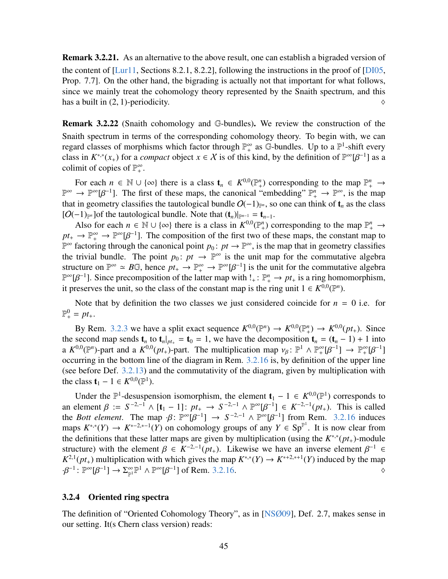Remark 3.2.21. As an alternative to the above result, one can establish a bigraded version of the content of [\[Lur11,](#page-64-1) Sections 8.2.1, 8.2.2], following the instructions in the proof of [\[DI05,](#page-63-5) Prop. 7.7]. On the other hand, the bigrading is actually not that important for what follows, since we mainly treat the cohomology theory represented by the Snaith spectrum, and this has a built in  $(2, 1)$ -periodicity.

<span id="page-44-1"></span>Remark 3.2.22 (Snaith cohomology and G-bundles). We review the construction of the Snaith spectrum in terms of the corresponding cohomology theory. To begin with, we can regard classes of morphisms which factor through  $\mathbb{P}^{\infty}$  as G-bundles. Up to a  $\mathbb{P}^1$ -shift every class in  $K^{*,*}(x_+)$  for a *compact* object  $x \in X$  is of this kind, by the definition of  $\mathbb{P}^{\infty}[\beta^{-1}]$  as a colimit of copies of  $\mathbb{P}^{\infty}$ colimit of copies of  $\mathbb{P}^{\infty}_+$ .

For each  $n \in \mathbb{N} \cup \{\infty\}$  there is a class  $\mathbf{t}_n \in K^{0,0}(\mathbb{P}^n_+)$  corresponding to the map  $\mathbb{P}^n_+ \to$  $\mathbb{P}^{\infty} \to \mathbb{P}^{\infty}[\beta^{-1}]$ . The first of these maps, the canonical "embedding"  $\mathbb{P}^{n}_{+} \to \mathbb{P}^{\infty}$ , is the map that in geometry classifies the tautological bundle  $O(-1)$ . so one can think of t as the class that in geometry classifies the tautological bundle  $O(-1)_{\mathbb{P}^n}$ , so one can think of  $t_n$  as the class [ $O(-1)_{\mathbb{P}^n}$ ] of the tautological bundle. Note that  $(\mathbf{t}_n)|_{\mathbb{P}^{n-1}} = \mathbf{t}_{n-1}$ .

Also for each  $n \in \mathbb{N} \cup \{\infty\}$  there is a class in  $K^{0,0}(\mathbb{P}^n_+)$  corresponding to the map  $\mathbb{P}^n_+ \to$  $pt_+ \rightarrow \mathbb{P}^{\infty}_+ \rightarrow \mathbb{P}^{\infty}[\beta^{-1}]$ . The composition of the first two of these maps, the constant map to  $\mathbb{P}^{\infty}$  factoring through the canonical point  $p_0 : pt \rightarrow \mathbb{P}^{\infty}$  is the map that in geometry classifies  $\mathbb{P}^{\infty}$  factoring through the canonical point  $p_0: pt \to \mathbb{P}^{\infty}$ , is the map that in geometry classifies the trivial bundle. The point  $p_0: pt \to \mathbb{P}^\infty$  is the unit map for the commutative algebra structure on  $\mathbb{P}^{\infty} \simeq B\mathbb{G}$ , hence  $pt_{+} \to \mathbb{P}^{\infty}_{+} \to \mathbb{P}^{\infty}[\beta^{-1}]$  is the unit for the commutative algebra  $\mathbb{P}^{\infty}[B^{-1}]$ . Since precomposition of the latter map with  $! \cdot \mathbb{P}^{n} \to pt$  is a ring homom  $\mathbb{P}^{\infty}[\beta^{-1}]$ . Since precomposition of the latter map with !<sub>+</sub> :  $\mathbb{P}^n_+$  → *pt*<sub>+</sub> is a ring homomorphism, it preserves the unit so the class of the constant map is the ring unit 1 ∈  $K^{0,0}(\mathbb{P}^n)$ it preserves the unit, so the class of the constant map is the ring unit  $1 \in K^{0,0}(\mathbb{P}^n)$ .

Note that by definition the two classes we just considered coincide for  $n = 0$  i.e. for  $\mathbb{P}^0_+ = pt_+.$ 

By Rem. [3.2.3](#page-39-2) we have a split exact sequence  $K^{0,0}(\mathbb{P}^n) \to K^{0,0}(\mathbb{P}^n_+) \to K^{0,0}(pt_+)$ . Since the second map sends  $\mathbf{t}_n$  to  $\mathbf{t}_n|_{pt_+} = \mathbf{t}_0 = 1$ , we have the decomposition  $\mathbf{t}_n = (\mathbf{t}_n - 1) + 1$  into a  $K^{0,0}(\mathbb{P}^n)$ -part and a  $K^{0,0}(pt_+)$ -part. The multiplication map  $v_\beta: \mathbb{P}^1 \wedge \mathbb{P}^\infty_+[\beta^{-1}] \rightarrow \mathbb{P}^\infty_+[\beta^{-1}]$ <br>occurring in the bottom line of the diagram in Rem. 3.2.16 is by definition of the upper line occurring in the bottom line of the diagram in Rem. [3.2.16](#page-42-1) is, by definition of the upper line (see before Def. [3.2.13\)](#page-42-2) and the commutativity of the diagram, given by multiplication with the class  $t_1 - 1 \in K^{0,0}(\mathbb{P}^1)$ .

Under the  $\mathbb{P}^1$ -desuspension isomorphism, the element **t**<sub>1</sub> − 1 ∈  $K^{0,0}(\mathbb{P}^1)$  corresponds to an element  $\beta := S^{-2,-1} \wedge [\mathbf{t}_1 - 1] : pt_+ \to S^{-2,-1} \wedge \mathbb{P}^{\infty}[\beta^{-1}] \in K^{-2,-1}(pt_+).$  This is called<br>the *Rott element* The man  $\beta : \mathbb{P}^{\infty}[B^{-1}] \to S^{-2,-1} \wedge \mathbb{P}^{\infty}[B^{-1}]$  from Rem 3.2.16 induces the *Bott element*. The map  $\cdot \beta$ :  $\mathbb{P}^{\infty}[\beta^{-1}] \rightarrow S^{-2,-1} \wedge \mathbb{P}^{\infty}[\beta^{-1}]$  from Rem. [3.2.16](#page-42-1) induces maps  $K^{*,*}(Y) \rightarrow K^{*-2,*-1}(Y)$  on cohomology groups of any  $Y \in Sn^{\mathbb{P}^1}$  It is now clear from maps  $K^{*,*}(Y) \to K^{*-2,*-1}(Y)$  on cohomology groups of any  $Y \in Sp^{\mathbb{P}^1}$ . It is now clear from the definitions that these latter maps are given by multiplication (using the  $K^{*,*}(pt_+)$ -module structure) with the element  $\beta \in K^{-2,-1}(pt_+)$ . Likewise we have an inverse element  $\beta^{-1} \in K^{2,1}(pt_+)$  multiplication with which gives the man  $K^{*,*}(V) \to K^{*+2,*+1}(V)$  induced by the man  $K^{2,1}(pt_+)$  multiplication with which gives the map  $K^{*,*}(Y) \to K^{*+2,*+1}(Y)$  induced by the map  $\cdot \beta^{-1} \colon \mathbb{P}^{\infty}[\beta^{-1}] \to \Sigma^{\infty}_{\mathbb{P}^1} \mathbb{P}^1 \wedge \mathbb{P}^{\infty}[\beta^{-1}]$  of Rem. [3.2.16.](#page-42-1)

#### <span id="page-44-0"></span>3.2.4 Oriented ring spectra

The definition of "Oriented Cohomology Theory", as in [\[NSØ09\]](#page-64-2), Def. 2.7, makes sense in our setting. It(s Chern class version) reads: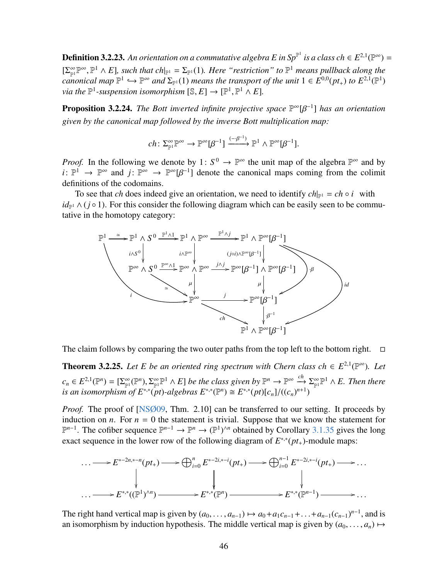**Definition 3.2.23.** An orientation on a commutative algebra E in Sp<sup>p1</sup> is a class ch  $\in E^{2,1}(\mathbb{P}^\infty) =$  $[\sum_{p}^{\infty} \mathbb{P}^{\infty}, \mathbb{P}^1 \wedge E]$ , such that ch|<sub>P1</sub> =  $\Sigma_{\mathbb{P}^1}(1)$ . Here "restriction" to  $\mathbb{P}^1$  means pullback along the<br>canonical map  $\mathbb{P}^1 \hookrightarrow \mathbb{P}^{\infty}$  and  $\Sigma_{\mathbb{P}^1}(1)$  means the transport of the *canonical map*  $\mathbb{P}^1 \hookrightarrow \mathbb{P}^{\infty}$  *and*  $\Sigma_{\mathbb{P}^1}(1)$  *means the transport of the unit*  $1 \in E^{0,0}(pt_+)$  *to*  $E^{2,1}(\mathbb{P}^1)$ <br>via the  $\mathbb{P}^1$ -suspension isomorphism  $\mathbb{R}^1 \times E^1 \longrightarrow \mathbb{P}^1 \times E^1$ *via the*  $\mathbb{P}^1$ -suspension isomorphism  $[\mathbb{S}, E] \to [\mathbb{P}^1, \mathbb{P}^1 \wedge E]$ .

**Proposition 3.2.24.** *The Bott inverted infinite projective space*  $\mathbb{P}^{\infty}[\beta^{-1}]$  *has an orientation given by the canonical map followed by the inverse Bott multiplication map:*

$$
ch\colon \Sigma_{\mathbb{P}^1}^{\infty} \mathbb{P}^{\infty} \to \mathbb{P}^{\infty}[\beta^{-1}] \xrightarrow{(-\beta^{-1})} \mathbb{P}^1 \wedge \mathbb{P}^{\infty}[\beta^{-1}].
$$

*Proof.* In the following we denote by 1:  $S^0 \to \mathbb{P}^\infty$  the unit map of the algebra  $\mathbb{P}^\infty$  and by *i*:  $\mathbb{P}^1 \to \mathbb{P}^{\infty}$  and *j*:  $\mathbb{P}^{\infty} \to \mathbb{P}^{\infty}[\beta^{-1}]$  denote the canonical maps coming from the colimit definitions of the codomains definitions of the codomains.

To see that *ch* does indeed give an orientation, we need to identify  $ch_{\mathbb{P}^1} = ch \circ i$  with  $id_{\mathbb{P}^1} \wedge (j \circ 1)$ . For this consider the following diagram which can be easily seen to be commutative in the homotopy category:



The claim follows by comparing the two outer paths from the top left to the bottom right.  $\Box$ 

<span id="page-45-0"></span>**Theorem 3.2.25.** Let E be an oriented ring spectrum with Chern class ch  $\in E^{2,1}(\mathbb{P}^{\infty})$ . Let  $c_n \in E^{2,1}(\mathbb{P}^n) = [\Sigma_{\mathbb{P}^1}^{\infty}(\mathbb{P}^n), \Sigma_{\mathbb{P}^1}^{\infty} \mathbb{P}^1 \wedge E]$  *be the class given by*  $\mathbb{P}^n \to \mathbb{P}^{\infty} \xrightarrow{ch} \Sigma_{\mathbb{P}^1}^{\infty} \mathbb{P}^1 \wedge E$ . Then there<br>*is an isomorphism of*  $F^{*,*}(pt)$ *-algebras*  $F^{*,*$ *is an isomorphism* of  $E^{*,*}(\mathit{pt})$ -algebras  $E^{*,*}(\mathbb{P}^n) \cong E^{*,*}(\mathit{pt})[c_n]/((c_n)^{n+1})$ 

*Proof.* The proof of [\[NSØ09,](#page-64-2) Thm. 2.10] can be transferred to our setting. It proceeds by induction on *n*. For  $n = 0$  the statement is trivial. Suppose that we know the statement for  $\mathbb{P}^{n-1}$ . The cofiber sequence  $\mathbb{P}^{n-1}$  →  $\mathbb{P}^n$  →  $(\mathbb{P}^1)^{\wedge n}$  obtained by Corollary [3.1.35](#page-34-0) gives the long exact sequence in the lower row of the following diagram of  $E^{*,*}(pt_+)$ -module maps:

$$
\cdots \longrightarrow E^{*-2n,*-n}(pt_+) \longrightarrow \bigoplus_{i=0}^n E^{*-2i,*-i}(pt_+) \longrightarrow \bigoplus_{i=0}^{n-1} E^{*-2i,*-i}(pt_+) \longrightarrow \cdots
$$
  
\n
$$
\downarrow \qquad \qquad \downarrow \qquad \qquad \downarrow
$$
  
\n
$$
\cdots \longrightarrow E^{*,*}((\mathbb{P}^1)^{\wedge n}) \longrightarrow E^{*,*}(\mathbb{P}^n) \longrightarrow E^{*,*}(\mathbb{P}^n) \longrightarrow \cdots
$$

The right hand vertical map is given by  $(a_0, \ldots, a_{n-1}) \mapsto a_0 + a_1 c_{n-1} + \ldots + a_{n-1} (c_{n-1})^{n-1}$ , and is<br>an isomorphism by induction by pothesis. The middle vertical map is given by  $(a_0, \ldots, a_n) \mapsto$ an isomorphism by induction hypothesis. The middle vertical map is given by  $(a_0, \ldots, a_n) \mapsto$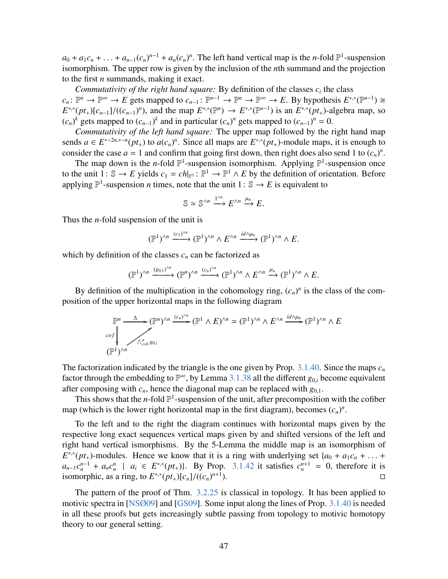$a_0 + a_1c_n + \ldots + a_{n-1}(c_n)^{n-1} + a_n(c_n)^n$ . The left hand vertical map is the *n*-fold  $\mathbb{P}^1$ -suspension isomorphism. The upper row is given by the inclusion of the *n*th summand and the projection isomorphism. The upper row is given by the inclusion of the *n*th summand and the projection to the first *n* summands, making it exact.

*Commutativity of the right hand square:* By definition of the classes  $c_i$  the class  $c_n: \mathbb{P}^n \to \mathbb{P}^{\infty} \to E$  gets mapped to  $c_{n-1}: \mathbb{P}^{n-1} \to \mathbb{P}^n \to \mathbb{P}^{\infty} \to E$ . By hypothesis  $E^{*,*}(\mathbb{P}^{n-1}) \cong E$  $E^{*,*}(pt_+)[c_{n-1}]/((c_{n-1})^n)$ , and the map  $E^{*,*}(\mathbb{P}^n) \to E^{*,*}(\mathbb{P}^{n-1})$  is an  $E^{*,*}(pt_+)$ -algebra map, so  $(c_+)^k$  gets mapped to  $(c_+)^k$  and in particular  $(c_+)^n$  gets mapped to  $(c_+)^n = 0$  $(c_n)^k$  gets mapped to  $(c_{n-1})^k$  and in particular  $(c_n)^n$  gets mapped to  $(c_{n-1})^n = 0$ .

*Commutativity of the left hand square:* The upper map followed by the right hand map sends  $a \in E^{*-2n,*-n}(pt_+)$  to  $a(c_n)^n$ . Since all maps are  $E^{*,*}(pt_+)$ -module maps, it is enough to consider the case  $a = 1$  and confirm that going first down, then right does also send 1 to  $(c_n)^n$ .

The map down is the *n*-fold  $\mathbb{P}^1$ -suspension isomorphism. Applying  $\mathbb{P}^1$ -suspension once to the unit  $1: \mathbb{S} \to E$  yields  $c_1 = ch|_{\mathbb{P}^1} : \mathbb{P}^1 \to \mathbb{P}^1 \land E$  by the definition of orientation. Before applying  $\mathbb{P}^1$ -suspension *n* times, note that the unit  $1: \mathbb{S} \to E$  is equivalent to

$$
\mathbb{S} \simeq \mathbb{S}^{\wedge n} \xrightarrow{1^{\wedge n}} E^{\wedge n} \xrightarrow{\mu_n} E.
$$

Thus the *n*-fold suspension of the unit is

$$
(\mathbb{P}^1)^{\wedge n} \xrightarrow{(c_1)^{\wedge n}} (\mathbb{P}^1)^{\wedge n} \wedge E^{\wedge n} \xrightarrow{id \wedge \mu_n} (\mathbb{P}^1)^{\wedge n} \wedge E.
$$

which by definition of the classes  $c_n$  can be factorized as

$$
(\mathbb{P}^1)^{\wedge n} \xrightarrow{(g_{0,1})^{\wedge n}} (\mathbb{P}^n)^{\wedge n} \xrightarrow{(c_n)^{\wedge n}} (\mathbb{P}^1)^{\wedge n} \wedge E^{\wedge n} \xrightarrow{\mu_n} (\mathbb{P}^1)^{\wedge n} \wedge E.
$$

By definition of the multiplication in the cohomology ring,  $(c_n)^n$  is the class of the composition of the upper horizontal maps in the following diagram

$$
\mathbb{P}^n \xrightarrow{\Delta} (\mathbb{P}^n)^{\wedge n} \xrightarrow{(c_n)^{\wedge n}} (\mathbb{P}^1 \wedge E)^{\wedge n} \simeq (\mathbb{P}^1)^{\wedge n} \wedge E^{\wedge n} \xrightarrow{id \wedge \mu_n} (\mathbb{P}^1)^{\wedge n} \wedge E
$$
  

$$
\xrightarrow{(p^1)^{\wedge n}} (\mathbb{P}^1)^{\wedge n}
$$

The factorization indicated by the triangle is the one given by Prop.  $3.1.40$ . Since the maps  $c<sub>n</sub>$ factor through the embedding to  $\mathbb{P}^{\infty}$ , by Lemma [3.1.38](#page-35-2) all the different  $g_{0,i}$  become equivalent after composing with  $c_n$ , hence the diagonal map can be replaced with  $g_{0,1}$ .

This shows that the *n*-fold  $\mathbb{P}^1$ -suspension of the unit, after precomposition with the cofiber map (which is the lower right horizontal map in the first diagram), becomes  $(c_n)^n$ .

To the left and to the right the diagram continues with horizontal maps given by the respective long exact sequences vertical maps given by and shifted versions of the left and right hand vertical ismorphisms. By the 5-Lemma the middle map is an isomorphism of  $E^{*,*}(pt_+)$ -modules. Hence we know that it is a ring with underlying set  $\{a_0 + a_1c_n + \ldots + a_nc^{n-1} + a_1c^n\}$  and  $E^{*,*}(pt_+)$  By Prop. 3, 1.42 it satisfies  $c^{n+1} = 0$  therefore it is  $a_{n-1}c_n^{n-1} + a_n c_n^n$  |  $a_i \in E^{*,*}(pt_+)$ }. By Prop. [3.1.42](#page-38-0) it satisfies  $c_n^{n+1} = 0$ , therefore it is isomorphic, as a ring, to  $E^{**}(pt_+)[c_n]/((c_n)^{n+1})$ ).  $\Box$ 

The pattern of the proof of Thm. [3.2.25](#page-45-0) is classical in topology. It has been applied to motivic spectra in [\[NSØ09\]](#page-64-2) and [\[GS09\]](#page-63-8). Some input along the lines of Prop. [3.1.40](#page-35-0) is needed in all these proofs but gets increasingly subtle passing from topology to motivic homotopy theory to our general setting.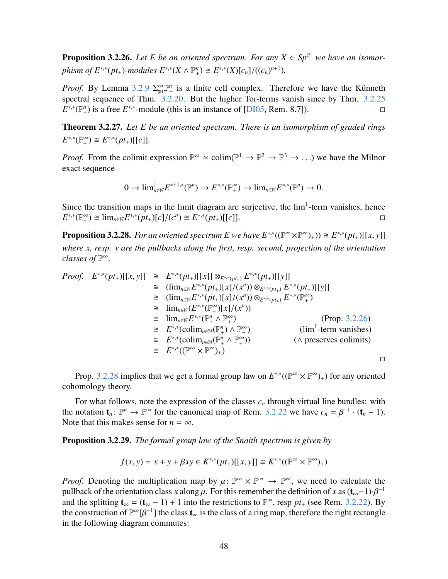<span id="page-47-0"></span>**Proposition 3.2.26.** Let E be an oriented spectrum. For any  $X \in Sp^{\mathbb{P}^1}$  we have an isomor*phism of*  $E^{*,*}(pt_+)$ *-modules*  $E^{*,*}(X \wedge \mathbb{P}^n_+) \cong E^{*,*}(X)[c_n]/((c_n)^{n+1})$ *.* 

*Proof.* By Lemma [3.2.9](#page-41-1)  $\Sigma_{\mathbb{P}^1}^{\infty} \mathbb{P}^n_+$  is a finite cell complex. Therefore we have the Künneth spectral sequence of Thm. [3.2.20.](#page-43-0) But the higher Tor-terms vanish since by Thm. [3.2.25](#page-45-0)  $E^{*,*}(\mathbb{P}^n_+)$  is a free  $E^{*,*}$ -module (this is an instance of [\[DI05,](#page-63-5) Rem. 8.7]).

Theorem 3.2.27. *Let E be an oriented spectrum. There is an isomorphism of graded rings*  $E^{*,*}(\mathbb{P}^{\infty}_+) \cong E^{*,*}(pt_+)[[c]].$ 

*Proof.* From the colimit expression  $\mathbb{P}^{\infty} \simeq \text{colim}(\mathbb{P}^1 \to \mathbb{P}^2 \to \mathbb{P}^3 \to \ldots)$  we have the Milnor exact sequence

$$
0 \to \lim_{n \in \mathbb{N}} E^{*+1,*}(\mathbb{P}^n) \to E^{*,*}(\mathbb{P}^{\infty}_+) \to \lim_{n \in \mathbb{N}} E^{*,*}(\mathbb{P}^n) \to 0.
$$

Since the transition maps in the limit diagram are surjective, the  $lim<sup>1</sup>$ -term vanishes, hence  $E^{*,*}(\mathbb{P}^{\infty}_{+}) \cong \lim_{n \in \mathbb{N}} E^{*,*}(pt_{+})[c]/(c^{n}) \cong E^{*,*}(pt_{+})[[c]].$ 

<span id="page-47-1"></span>**Proposition 3.2.28.** *For an oriented spectrum E we have*  $E^{*,*}((\mathbb{P}^{\infty} \times \mathbb{P}^{\infty})_{+})) \cong E^{*,*}(pt_+)[[x, y]]$ *where x, resp. y are the pullbacks along the first, resp. second, projection of the orientation classes of* P ∞*.*

Proof. 
$$
E^{*,*}(pt_+)[[x, y]] \cong E^{*,*}(pt_+)[[x]] \otimes_{E^{*,*}(pt_+)} E^{*,*}(pt_+)[[y]]
$$
  
\n $\cong (\lim_{n\in\mathbb{N}} E^{*,*}(pt_+)[x]/(x^n)) \otimes_{E^{*,*}(pt_+)} E^{*,*}(pt_+)[[y]]$   
\n $\cong (\lim_{n\in\mathbb{N}} E^{*,*}(pt_+)[x]/(x^n)) \otimes_{E^{*,*}(pt_+)} E^{*,*}(\mathbb{P}^{\infty}_+)$   
\n $\cong \lim_{n\in\mathbb{N}} (E^{*,*}(\mathbb{P}^{\infty}_+)[x]/(x^n))$   
\n $\cong \lim_{n\in\mathbb{N}} E^{*,*}(\mathbb{P}^n_+ \wedge \mathbb{P}^{\infty}_+)$  (Prop. 3.2.26)  
\n $\cong E^{*,*}(\text{colim}_{n\in\mathbb{N}}(\mathbb{P}^n_+ \wedge \mathbb{P}^{\infty}_+)$  (lim<sup>1</sup>-term vanishes)  
\n $\cong E^{*,*}(\text{colim}_{n\in\mathbb{N}}(\mathbb{P}^n_+ \wedge \mathbb{P}^{\infty}_+))$  (A preserves colimits)  
\n $\cong E^{*,*}((\mathbb{P}^{\infty} \times \mathbb{P}^{\infty})_+)$ 

Prop. [3.2.28](#page-47-1) implies that we get a formal group law on  $E^{*,*}((\mathbb{P}^{\infty} \times \mathbb{P}^{\infty})_{+})$  for any oriented cohomology theory.

 $\Box$ 

For what follows, note the expression of the classes  $c_n$  through virtual line bundles: with the notation  $\mathbf{t}_n : \mathbb{P}^n \to \mathbb{P}^\infty$  for the canonical map of Rem. [3.2.22](#page-44-1) we have  $c_n = \beta^{-1} \cdot (\mathbf{t}_n - 1)$ .<br>Note that this makes sense for  $n = \infty$ Note that this makes sense for  $n = \infty$ .

<span id="page-47-2"></span>Proposition 3.2.29. *The formal group law of the Snaith spectrum is given by*

$$
f(x, y) = x + y + \beta xy \in K^{*,*}(pt_+)[[x, y]] \cong K^{*,*}((\mathbb{P}^\infty \times \mathbb{P}^\infty)_+)
$$

*Proof.* Denoting the multiplication map by  $\mu: \mathbb{P}^{\infty} \times \mathbb{P}^{\infty} \to \mathbb{P}^{\infty}$ , we need to calculate the pullback of the orientation class x along  $\mu$ . For this remember the definition of x as  $(t, -1) \cdot \mathcal{B}^{-1}$ pullback of the orientation class *x* along  $\mu$ . For this remember the definition of *x* as  $(t_{\infty}-1)\cdot\beta^{-1}$ <br>and the splitting  $t = (t - 1) + 1$  into the restrictions to  $\mathbb{P}^{\infty}$  resp. *nt* (see Rem. 3.2.22). By and the splitting  $\mathbf{t}_{\infty} = (\mathbf{t}_{\infty} - 1) + 1$  into the restrictions to  $\mathbb{P}^{\infty}$ , resp  $pt_+$  (see Rem. [3.2.22\)](#page-44-1). By the construction of  $\mathbb{P}^{\infty}[\beta^{-1}]$  the class  $\mathbf{t}_{\infty}$  is the class of a ring map, therefore the right rectangle<br>in the following diagram commutes: in the following diagram commutes: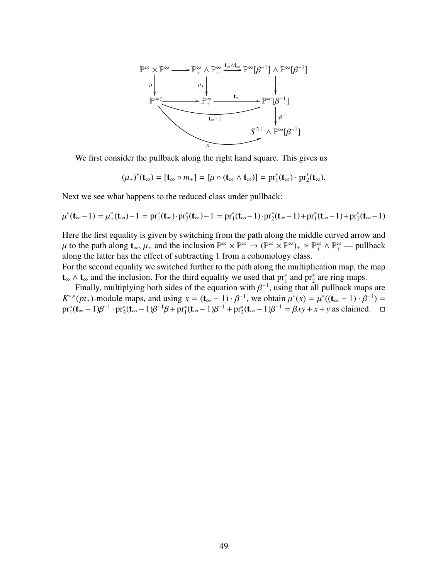

We first consider the pullback along the right hand square. This gives us

 $(\mu_+)^*(t_\infty) = [t_\infty \circ m_+] = [\mu \circ (t_\infty \wedge t_\infty)] = pr_1^*(t_\infty) \cdot pr_2^*(t_\infty).$ 

Next we see what happens to the reduced class under pullback:

$$
\mu^*(\mathbf{t}_{\infty}-1) = \mu_+^*(\mathbf{t}_{\infty}) - 1 = pr_1^*(\mathbf{t}_{\infty}) \cdot pr_2^*(\mathbf{t}_{\infty}) - 1 = pr_1^*(\mathbf{t}_{\infty}-1) \cdot pr_2^*(\mathbf{t}_{\infty}-1) + pr_1^*(\mathbf{t}_{\infty}-1) + pr_2^*(\mathbf{t}_{\infty}-1)
$$

Here the first equality is given by switching from the path along the middle curved arrow and μ to the path along  $\mathbf{t}_{\infty}, \mu_{+}$  and the inclusion  $\mathbb{P}^{\infty} \times \mathbb{P}^{\infty} \to (\mathbb{P}^{\infty} \times \mathbb{P}^{\infty})_{+} \simeq \mathbb{P}^{\infty}_{+} \wedge \mathbb{P}^{\infty}_{+} \to \text{pullback}$ <br>along the latter has the effect of subtracting 1 from a cohomology along the latter has the effect of subtracting 1 from a cohomology class.

For the second equality we switched further to the path along the multiplication map, the map  $t_{\infty} \wedge t_{\infty}$  and the inclusion. For the third equality we used that pr<sup>\*</sup><sub>1</sub> and pr<sup>\*</sup><sub>2</sub> are ring maps.

Finally, multiplying both sides of the equation with  $\beta^{-1}$ , using that all pullback maps are  $(\alpha t)$ . module maps and using  $x = (t - 1) \cdot \beta^{-1}$  we obtain  $u^*(x) = u^*(t - 1) \cdot \beta^{-1}$ .  $K^{*,*}(pt_+)$ -module maps, and using  $x = (\mathbf{t}_{\infty} - 1) \cdot \beta^{-1}$ , we obtain  $\mu^*(x) = \mu^*((\mathbf{t}_{\infty} - 1) \cdot \beta^{-1}) =$ <br>pr<sup>\*</sup>(**t** = 1) $\beta^{-1}$ , pr<sup>\*</sup>(**t** = 1) $\beta^{-1}\beta$  + pr<sup>\*</sup>(**t** = 1) $\beta^{-1}$  + pr<sup>\*</sup>(**t** = 1) $\beta^{-1}$  =  $\beta$  xy + x + y as  $pr_1^*(t_\infty - 1)\beta^{-1} \cdot pr_2^*(t_\infty - 1)\beta^{-1}\beta + pr_1^*(t_\infty - 1)\beta^{-1} + pr_2^*(t_\infty - 1)\beta^{-1} = \beta xy + x + y$  as claimed. □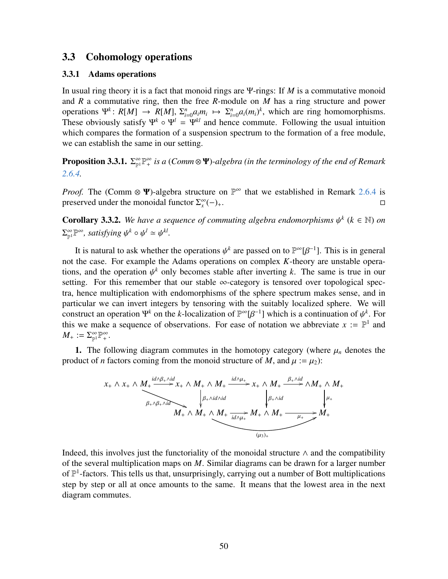#### <span id="page-49-0"></span>3.3 Cohomology operations

#### <span id="page-49-1"></span>3.3.1 Adams operations

In usual ring theory it is a fact that monoid rings are Ψ-rings: If *M* is a commutative monoid and *R* a commutative ring, then the free *R*-module on *M* has a ring structure and power operations  $\Psi^k$ :  $R[M] \rightarrow R[M], \Sigma_i^n$ <br>These obviously satisfy  $\Psi^k \circ \Psi^l$  $\sum_{i=0}^{n} a_i m_i \mapsto \sum_{i=1}^{n} a_i$  $\int_{i=0}^{n} a_i (m_i)^k$ , which are ring homomorphisms. These obviously satisfy  $\Psi^k \circ \Psi^l = \Psi^{kl}$  and hence commute. Following the usual intuition which compares the formation of a suspension spectrum to the formation of a free module, we can establish the same in our setting.

Proposition 3.3.1.  $\Sigma_{\mathbb{P}^1}^{\infty} \mathbb{P}^{\infty}_+$  is a (Comm⊗ Ψ)-algebra (in the terminology of the end of Remark *[2.6.4.](#page-22-0)*

*Proof.* The (Comm  $\otimes \Psi$ )-algebra structure on  $\mathbb{P}^{\infty}$  that we established in Remark [2.6.4](#page-22-0) is preserved under the monoidal functor  $\Sigma_x^{\infty}$  $(-)_{+}$ .  $□$ 

<span id="page-49-2"></span>**Corollary 3.3.2.** We have a sequence of commuting algebra endomorphisms  $\psi^k$  ( $k \in \mathbb{N}$ ) on  $\sum_{\mathbb{P}^1}^{\infty} \mathbb{P}^{\infty}$ , satisfying  $\psi^k \circ \psi^l \simeq$  ψ *kl .*

It is natural to ask whether the operations  $\psi^k$  are passed on to  $\mathbb{P}^{\infty}[\beta^{-1}]$ . This is in general the case. For example the Adams operations on complex *K*-theory are unstable operanot the case. For example the Adams operations on complex *K*-theory are unstable operations, and the operation  $\psi^k$  only becomes stable after inverting *k*. The same is true in our setting. For this remember that our stable  $\infty$ -category is tensored over topological specsetting. For this remember that our stable  $\infty$ -category is tensored over topological spectra, hence multiplication with endomorphisms of the sphere spectrum makes sense, and in particular we can invert integers by tensoring with the suitably localized sphere. We will construct an operation  $\Psi^k$  on the *k*-localization of  $\mathbb{P}^{\infty}[\beta^{-1}]$  which is a continuation of  $\psi^k$ . For this we make a sequence of observations. For ease of notation we abbreviate  $x := \mathbb{P}^1$  and this we make a sequence of observations. For ease of notation we abbreviate  $x := \mathbb{P}^1$  and  $M_+ := \sum_{\mathbb{P}^1}^{\infty} \mathbb{P}^{\infty}_+$ .

1. The following diagram commutes in the homotopy category (where  $\mu_n$  denotes the product of *n* factors coming from the monoid structure of *M*, and  $\mu := \mu_2$ :

$$
x_{+} \wedge x_{+} \wedge \underbrace{M_{+} \xrightarrow{id \wedge \beta_{+} \wedge id} x_{+}}_{\beta_{+} \wedge \beta_{+} \wedge id} \wedge M_{+} \wedge M_{+} \xrightarrow{id \wedge \mu_{+}} x_{+} \wedge M_{+} \xrightarrow{\beta_{+} \wedge id} \wedge M_{+} \wedge M_{+}
$$
\n
$$
M_{+} \wedge M_{+} \wedge M_{+} \xrightarrow{id \wedge \mu_{+}} M_{+} \wedge M_{+} \xrightarrow{\beta_{+} \wedge id} M_{+}
$$
\n
$$
M_{+} \wedge M_{+} \wedge M_{+} \xrightarrow{\mu_{+}} M_{+}
$$
\n
$$
(u_{3})_{+}
$$

Indeed, this involves just the functoriality of the monoidal structure  $\land$  and the compatibility of the several multiplication maps on *M*. Similar diagrams can be drawn for a larger number of  $\mathbb{P}^1$ -factors. This tells us that, unsurprisingly, carrying out a number of Bott multiplications step by step or all at once amounts to the same. It means that the lowest area in the next diagram commutes.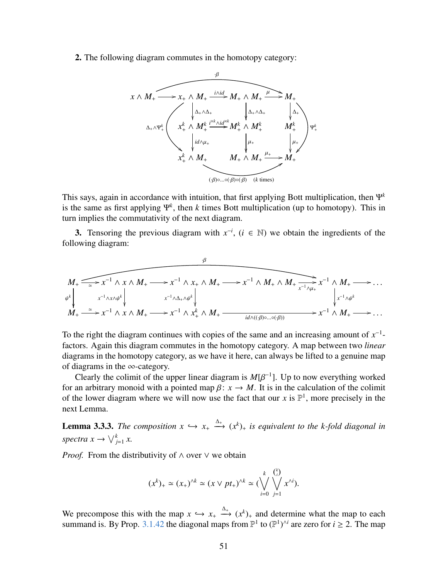2. The following diagram commutes in the homotopy category:



This says, again in accordance with intuition, that first applying Bott multiplication, then Ψ*<sup>k</sup>* is the same as first applying Ψ*<sup>k</sup>* , then *k* times Bott multiplication (up to homotopy). This in turn implies the commutativity of the next diagram.

3. Tensoring the previous diagram with  $x^{-i}$ ,  $(i \in \mathbb{N})$  we obtain the ingredients of the following diagram:

$$
M_{+} \xrightarrow{\sim} x^{-1} \wedge x \wedge M_{+} \longrightarrow x^{-1} \wedge x_{+} \wedge M_{+} \longrightarrow x^{-1} \wedge M_{+} \wedge M_{+} \xrightarrow{x^{-1} \wedge \mu_{+}} x^{-1} \wedge M_{+} \longrightarrow \dots
$$
  
\n
$$
M_{+} \xrightarrow{\cong} x^{-1} \wedge x \wedge M_{+} \longrightarrow x^{-1} \wedge x_{+}^{k} \wedge M_{+} \xrightarrow{id \wedge ((\beta) \circ ... \circ (\beta))} x^{-1} \wedge M_{+} \longrightarrow \dots
$$

To the right the diagram continues with copies of the same and an increasing amount of  $x^{-1}$ factors. Again this diagram commutes in the homotopy category. A map between two *linear* diagrams in the homotopy category, as we have it here, can always be lifted to a genuine map of diagrams in the ∞-category.

Clearly the colimit of the upper linear diagram is  $M[\beta^{-1}]$ . Up to now everything worked<br>an arbitrary monoid with a pointed map  $\beta: x \to M$ . It is in the calculation of the colimit for an arbitrary monoid with a pointed map  $\beta$ :  $x \to M$ . It is in the calculation of the colimit of the lower diagram where we will now use the fact that our *x* is  $\mathbb{P}^1$ , more precisely in the next Lemma.

<span id="page-50-0"></span>**Lemma 3.3.3.** *The composition*  $x \hookrightarrow x_+ \xrightarrow{\Delta_+} (x^k)_+$  *is equivalent to the k-fold diagonal in spectra*  $x \to \bigvee_{j=1}^{k} x$ .

*Proof.* From the distributivity of  $\land$  over  $\lor$  we obtain

$$
(x^k)_+ \simeq (x_+)^{\wedge k} \simeq (x \vee pt_+)^{\wedge k} \simeq (\bigvee_{i=0}^k \bigvee_{j=1}^{{k \choose i}} x^{\wedge i}).
$$

We precompose this with the map  $x \hookrightarrow x_+ \xrightarrow{\Delta_+} (x^k)_+$  and determine what the map to each summand is By Prop. 3.1.42 the diagonal maps from  $\mathbb{P}^1$  to  $(\mathbb{P}^1)^{\wedge i}$  are zero for  $i > 2$ . The map summand is. By Prop. [3.1.42](#page-38-0) the diagonal maps from  $\mathbb{P}^1$  to  $(\mathbb{P}^1)^{\wedge i}$  are zero for  $i \ge 2$ . The map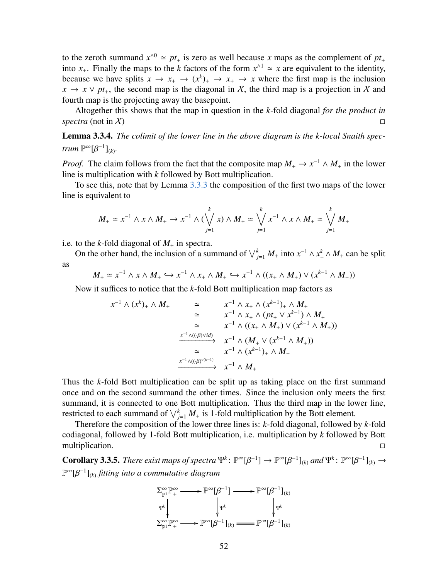to the zeroth summand  $x^0 \approx pt_+$  is zero as well because *x* maps as the complement of  $pt_+$ into  $x_+$ . Finally the maps to the *k* factors of the form  $x^{\wedge 1} \simeq x$  are equivalent to the identity, because we have splits  $x \to x_+ \to (x^k)_+ \to x_+ \to x$  where the first map is the inclusion  $x \to x \lor pt_+$ , the second map is the diagonal in X, the third map is a projection in X and fourth map is the projecting away the basepoint.

Altogether this shows that the map in question in the *k*-fold diagonal *for the product in spectra* (not in X)  $\Box$ 

<span id="page-51-0"></span>Lemma 3.3.4. *The colimit of the lower line in the above diagram is the k-local Snaith spectrum*  $\mathbb{P}^{\infty}[\beta^{-1}]_{(k)}$ *.* 

*Proof.* The claim follows from the fact that the composite map  $M_+ \to x^{-1} \wedge M_+$  in the lower line is multiplication with *k* followed by Bott multiplication.

To see this, note that by Lemma [3.3.3](#page-50-0) the composition of the first two maps of the lower line is equivalent to

$$
M_+ \simeq x^{-1} \wedge x \wedge M_+ \to x^{-1} \wedge (\bigvee_{j=1}^k x) \wedge M_+ \simeq \bigvee_{j=1}^k x^{-1} \wedge x \wedge M_+ \simeq \bigvee_{j=1}^k M_+
$$

i.e. to the *k*-fold diagonal of  $M_{+}$  in spectra.

On the other hand, the inclusion of a summand of  $\bigvee_{j=1}^{k} M_{+}$  into  $x^{-1} \wedge x_{+}^{k} \wedge M_{+}$  can be split as

*M*<sub>+</sub> ≃ *x*<sup>-1</sup> ∧ *x* ∧ *M*<sub>+</sub> ⇔ *x*<sup>-1</sup> ∧ *x*<sub>+</sub> ∧ *M*<sub>+</sub> ⇔ *x*<sup>-1</sup> ∧ ((*x*<sub>+</sub> ∧ *M*<sub>+</sub>)) ∨ (*x*<sup>*k*-1</sup> ∧ *M*<sub>+</sub>))

Now it suffices to notice that the *k*-fold Bott multiplication map factors as

$$
x^{-1} \wedge (x^{k})_{+} \wedge M_{+} \cong x^{-1} \wedge x_{+} \wedge (x^{k-1})_{+} \wedge M_{+}
$$
  
\n
$$
\cong x^{-1} \wedge x_{+} \wedge (pt_{+} \vee x^{k-1}) \wedge M_{+}
$$
  
\n
$$
\cong x^{-1} \wedge ((x_{+} \wedge M_{+}) \vee (x^{k-1} \wedge M_{+}))
$$
  
\n
$$
\xrightarrow{x^{-1} \wedge ((\mathcal{B})^{\vee id})} x^{-1} \wedge (M_{+} \vee (x^{k-1} \wedge M_{+}))
$$
  
\n
$$
\cong x^{-1} \wedge (x^{k-1})_{+} \wedge M_{+}
$$
  
\n
$$
\xrightarrow{x^{-1} \wedge ((\mathcal{B})^{\circ (k-1)})} x^{-1} \wedge M_{+}
$$

Thus the *k*-fold Bott multiplication can be split up as taking place on the first summand once and on the second summand the other times. Since the inclusion only meets the first summand, it is connected to one Bott multiplication. Thus the third map in the lower line, restricted to each summand of  $\bigvee_{j=1}^{k} M_{+}$  is 1-fold multiplication by the Bott element.

Therefore the composition of the lower three lines is: *k*-fold diagonal, followed by *k*-fold codiagonal, followed by 1-fold Bott multiplication, i.e. multiplication by *k* followed by Bott multiplication.

<span id="page-51-1"></span>**Corollary 3.3.5.** *There exist maps of spectra*  $\Psi^k$ :  $\mathbb{P}^{\infty}[\beta^{-1}] \to \mathbb{P}^{\infty}[\beta^{-1}]_{(k)}$  *and*  $\Psi^k$ :  $\mathbb{P}^{\infty}[\beta^{-1}]_{(k)} \to \mathbb{P}^{\infty}[\beta^{-1}]_{(k)}$ P ∞[β −1 ](*k*) *fitting into a commutative diagram*

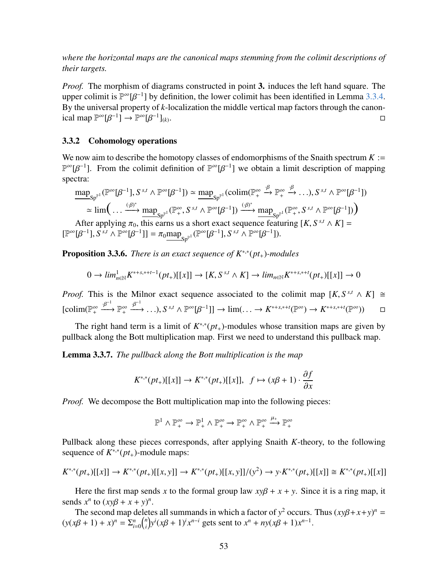*where the horizontal maps are the canonical maps stemming from the colimit descriptions of their targets.*

*Proof.* The morphism of diagrams constructed in point 3. induces the left hand square. The upper colimit is  $\mathbb{P}^{\infty}[\beta^{-1}]$  by definition, the lower colimit has been identified in Lemma [3.3.4.](#page-51-0)<br>By the universal property of k-localization the middle vertical map factors through the canon-By the universal property of *k*-localization the middle vertical map factors through the canonical map  $\mathbb{P}^{\infty}[\beta^{-1}] \to \mathbb{P}^{\infty}[\beta^{-1}]_{(k)}$ . В последните поставите на селото на селото на селото на селото на селото на селото на селото на селото на се<br>Селото на селото на селото на селото на селото на селото на селото на селото на селото на селото на селото на

#### <span id="page-52-0"></span>3.3.2 Cohomology operations

We now aim to describe the homotopy classes of endomorphisms of the Snaith spectrum  $K :=$  $\mathbb{P}^{\infty}[\beta^{-1}]$ . From the colimit definition of  $\mathbb{P}^{\infty}[\beta^{-1}]$  we obtain a limit description of mapping spectra: spectra:

$$
\underline{\sup}_{\mathsf{Sp}^{\mathbb{P}^1}}(\mathbb{P}^{\infty}[\beta^{-1}], S^{s,t} \wedge \mathbb{P}^{\infty}[\beta^{-1}]) \simeq \underline{\sup}_{\mathsf{Sp}^{\mathbb{P}^1}}(\text{colim}(\mathbb{P}^{\infty}_+ \xrightarrow{\beta} \mathbb{P}^{\infty}_+ \xrightarrow{\beta} \dots), S^{s,t} \wedge \mathbb{P}^{\infty}[\beta^{-1}])
$$
  
\n
$$
\simeq \lim \left( \dots \xrightarrow{(\beta)^*} \underline{\sup}_{\mathsf{Sp}^{\mathbb{P}^1}}(\mathbb{P}^{\infty}_+, S^{s,t} \wedge \mathbb{P}^{\infty}[\beta^{-1}]) \xrightarrow{(\beta)^*} \underline{\sup}_{\mathsf{Sp}^{\mathbb{P}^1}}(\mathbb{P}^{\infty}_+, S^{s,t} \wedge \mathbb{P}^{\infty}[\beta^{-1}]) \right)
$$
  
\nAfter applying  $\pi_0$ , this earns us a short exact sequence featuring  $[K, S^{s,t} \wedge K] =$   
\n
$$
[\mathbb{P}^{\infty}[\beta^{-1}], S^{s,t} \wedge \mathbb{P}^{\infty}[\beta^{-1}]] = \pi_0 \underline{\sup}_{\mathsf{Sp}^{\mathbb{P}^1}}(\mathbb{P}^{\infty}[\beta^{-1}], S^{s,t} \wedge \mathbb{P}^{\infty}[\beta^{-1}]).
$$

<span id="page-52-1"></span>**Proposition 3.3.6.** *There is an exact sequence of K*<sup>∗,∗</sup>(*pt*<sub>+</sub>)-modules

$$
0 \to \lim_{n \in \mathbb{N}} K^{*,*,*,++-1}(pt_+)[[x]] \to [K, S^{s,t} \wedge K] \to \lim_{n \in \mathbb{N}} K^{*,*,*,++}(pt_+)[[x]] \to 0
$$

*Proof.* This is the Milnor exact sequence associated to the colimit map  $[K, S^{s,t} \wedge K] \cong$  $\text{[colim}(\mathbb{P}_{+}^{\infty} \xrightarrow{\beta^{-1}} \mathbb{P}_{+}^{\infty} \xrightarrow{\beta^{-1}} \dots), S^{s,t} \wedge \mathbb{P}^{\infty}[\beta^{-1}]\rightarrow \text{lim}(\dots \rightarrow K^{*+s,*+t}(\mathbb{P}^{\infty}) \rightarrow K^{*+s,*+t}(\mathbb{P}^{\infty})) \square$ 

The right hand term is a limit of  $K^{*,*}(pt_+)$ -modules whose transition maps are given by pullback along the Bott multiplication map. First we need to understand this pullback map.

<span id="page-52-2"></span>Lemma 3.3.7. *The pullback along the Bott multiplication is the map*

$$
K^{*,*}(pt_+)[[x]] \to K^{*,*}(pt_+)[[x]], \ f \mapsto (x\beta + 1) \cdot \frac{\partial f}{\partial x}
$$

*Proof.* We decompose the Bott multiplication map into the following pieces:

$$
\mathbb{P}^1 \land \mathbb{P}^{\infty}_+ \to \mathbb{P}^1_+ \land \mathbb{P}^{\infty}_+ \to \mathbb{P}^{\infty}_+ \land \mathbb{P}^{\infty}_+ \xrightarrow{\mu_+} \mathbb{P}^{\infty}_+
$$

Pullback along these pieces corresponds, after applying Snaith *K*-theory, to the following sequence of  $K^{*,*}(pt_+)$ -module maps:

$$
K^{*,*}(pt_+)[[x]] \to K^{*,*}(pt_+)[[x,y]] \to K^{*,*}(pt_+)[[x,y]]/(y^2) \to y \cdot K^{*,*}(pt_+)[[x]] \cong K^{*,*}(pt_+)[[x]]
$$

Here the first map sends *x* to the formal group law  $xy\beta + x + y$ . Since it is a ring map, it sends  $x^n$  to  $(xy\beta + x + y)^n$ .<br>The second man delete

The second map deletes all summands in which a factor of  $y^2$  occurs. Thus  $(xy\beta + x + y)^n =$ <br>  $x^2 + 1 + xy^n = \sum_{n=1}^n {n \choose n} y^i (x\beta + 1)^{i} x^{n-i}$  gets sent to  $x^n + ny^2 + 1 + y^{n-1}$  $(y(x\beta + 1) + x)^n = \sum_{i=0}^n {n \choose i}$  $\int_{i}^{n}$   $y^{i} (x\beta + 1)^{i} x^{n-i}$  gets sent to  $x^{n} + ny(x\beta + 1)x^{n-1}$ .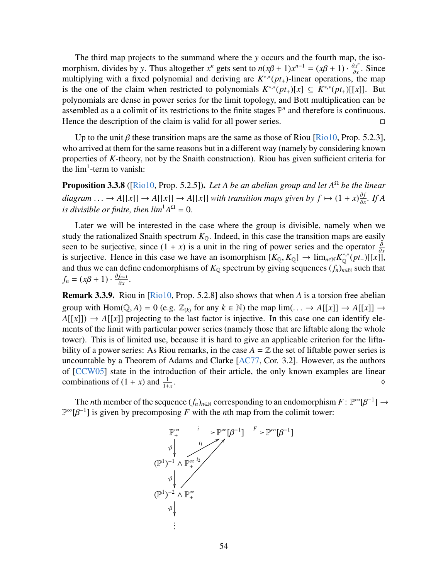The third map projects to the summand where the *y* occurs and the fourth map, the isomorphism, divides by *y*. Thus altogether  $x^n$  gets sent to  $n(x\beta + 1)x^{n-1} = (x\beta + 1) \cdot \frac{\partial x^n}{\partial x}$ . Since multiplying with a fixed polynomial and deriving are  $K^{*,*}(nt)$ -linear operations, the man morphism, arrives by y. Thas anogened x gets sent to  $h(xp + 1)x = (xp + 1)^{-\delta_x}$ . Since multiplying with a fixed polynomial and deriving are  $K^{*,*}(pt_+)$ -linear operations, the map is the one of the claim when restricted to polynomials  $K^{*,*}(pt_+)[x] \subseteq K^{*,*}(pt_+)[[x]]$ . But polynomials are dense in power series for the limit topology, and Bott multiplication can be assembled as a a colimit of its restrictions to the finite stages  $\mathbb{P}^n$  and therefore is continuous. Hence the description of the claim is valid for all power series.

Up to the unit  $\beta$  these transition maps are the same as those of Riou [\[Rio10,](#page-64-6) Prop. 5.2.3], who arrived at them for the same reasons but in a different way (namely by considering known properties of *K*-theory, not by the Snaith construction). Riou has given sufficient criteria for the  $lim<sup>1</sup>$ -term to vanish:

<span id="page-53-0"></span>Proposition 3.3.8 ([\[Rio10,](#page-64-6) Prop. 5.2.5]). *Let A be an abelian group and let A*<sup>Ω</sup> *be the linear diagram* . . . → *A*[[*x*]] → *A*[[*x*]] → *A*[[*x*]] *with transition maps given by*  $f \mapsto (1 + x) \frac{\partial f}{\partial x}$ *<br><i>is divisible or finite than*  $\lim_{x \to \infty} 14\Omega = 0$ ∂*x . If A is divisible or finite, then*  $lim^1 A^\Omega = 0$ *.* 

Later we will be interested in the case where the group is divisible, namely when we study the rationalized Snaith spectrum  $K_{\mathbb{Q}}$ . Indeed, in this case the transition maps are easily seen to be surjective, since  $(1 + x)$  is a unit in the ring of power series and the operator  $\frac{\partial}{\partial x}$ is surjective. Hence in this case we have an isomorphism  $[K_{\mathbb{Q}}, K_{\mathbb{Q}}] \rightarrow \lim_{n \in \mathbb{N}} K_0^{*,*} (pt_+)[[x]]$ ,<br>and thus we can define endomorphisms of  $K_{\mathbb{Q}}$  spectrum by giving sequences (*f*), ≈ such that and thus we can define endomorphisms of  $K_{\mathbb{Q}}$  spectrum by giving sequences  $(f_n)_{n\in\mathbb{N}}$  such that  $f_n = (x\beta + 1) \cdot \frac{\partial f_{n+1}}{\partial x}$  $\frac{f_{n+1}}{\partial x}$ .

Remark 3.3.9. Riou in [\[Rio10,](#page-64-6) Prop. 5.2.8] also shows that when *A* is a torsion free abelian group with  $Hom(Q, A) = 0$  (e.g.  $\mathbb{Z}_{(k)}$  for any  $k \in \mathbb{N}$ ) the map  $lim(\dots \to A[[x]] \to A[[x]] \to$  $A[[x]] \rightarrow A[[x]]$  projecting to the last factor is injective. In this case one can identify elements of the limit with particular power series (namely those that are liftable along the whole tower). This is of limited use, because it is hard to give an applicable criterion for the liftability of a power series: As Riou remarks, in the case  $A = \mathbb{Z}$  the set of liftable power series is uncountable by a Theorem of Adams and Clarke [\[AC77,](#page-63-9) Cor. 3.2]. However, as the authors of [\[CCW05\]](#page-63-10) state in the introduction of their article, the only known examples are linear combinations of  $(1 + x)$  and  $\frac{1}{1+x}$ .  $\frac{1}{1+x}$ .

The *n*th member of the sequence  $(f_n)_{n \in \mathbb{N}}$  corresponding to an endomorphism  $F : \mathbb{P}^{\infty}[\beta^{-1}] \to \beta^{-1}$  is given by precomposing *F* with the *n*th map from the colimit tower:  $\mathbb{P}^{\infty}[\beta^{-1}]$  is given by precomposing *F* with the *n*th map from the colimit tower:

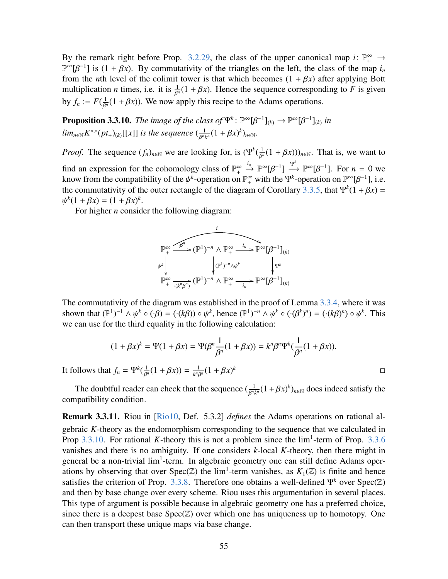By the remark right before Prop. [3.2.29,](#page-47-2) the class of the upper canonical map *i*:  $\mathbb{P}^{\infty}_+$   $\rightarrow$  $\mathbb{P}^{\infty}[\beta^{-1}]$  is  $(1 + \beta x)$ . By commutativity of the triangles on the left, the class of the map *i<sub>n</sub>* from the *n*th level of the colimit tower is that which becomes  $(1 + \beta x)$  after applying Bott from the *n*th level of the colimit tower is that which becomes  $(1 + \beta x)$  after applying Bott multiplication *n* times, i.e. it is  $\frac{1}{\beta^n}(1 + \beta x)$ . Hence the sequence corresponding to *F* is given by  $f_n := F(\frac{1}{\beta^n}(1 + \beta x))$ . We now a  $\frac{1}{\beta^n}(1 + \beta x)$ ). We now apply this recipe to the Adams operations.

<span id="page-54-0"></span>**Proposition 3.3.10.** *The image of the class of*  $\Psi^k$ :  $\mathbb{P}^{\infty}[\beta^{-1}]_{(k)} \to \mathbb{P}^{\infty}[\beta^{-1}]_{(k)}$  *in*  $\lim_{n \in \mathbb{N}} K^{*,*} (pt_+)_{(k)}[[x]]$  *is the sequence*  $(\frac{1}{\beta^{n_k}}(1 + \beta x)^k)_{n \in \mathbb{N}}$ . β

*Proof.* The sequence  $(f_n)_{n \in \mathbb{N}}$  we are looking for, is  $(\Psi^k(\frac{1}{\beta^n}(1 + \beta x)))_{n \in \mathbb{N}}$ . That is, we want to find an expression for the cohomology class of  $\mathbb{P}^{\infty}_+ \xrightarrow{i_n} \mathbb{P}$  $\stackrel{i_n}{\rightarrow} \mathbb{P}^{\infty}[\beta^{-1}] \stackrel{\Psi^k}{\rightarrow} \mathbb{P}^{\infty}[\beta^{-1}]$ . For  $n = 0$  we know from the compatibility of the  $\psi^k$ -operation on  $\mathbb{P}^{\infty}_+$  with the  $\Psi^k$ -operation on  $\mathbb{P}^{\infty}[\beta^{-1}]$ , i.e. the commutativity of the outer rectangle of the diagram of Corollary [3.3.5,](#page-51-1) that  $\Psi^k(1 + \beta x) =$ <br>  $\mu^k(1 + \beta x) = (1 + \beta x)^k$ ψ  $k(1 + \beta x) = (1 + \beta x)^k$ .<br>For higher *n* consid

For higher *n* consider the following diagram:

$$
\mathbb{P}_{+}^{\infty} \xrightarrow{\widehat{f_{p}^{n}}} (\mathbb{P}^{1})^{-n} \wedge \mathbb{P}_{+}^{\infty} \xrightarrow{i_{n}} \mathbb{P}^{\infty}[\beta^{-1}]_{(k)}
$$
\n
$$
\psi_{+}^{k} \qquad \qquad \downarrow \qquad \qquad \downarrow \qquad \qquad \downarrow \qquad \downarrow \qquad \downarrow \qquad \downarrow \qquad \downarrow \qquad \downarrow \qquad \downarrow \qquad \downarrow \qquad \downarrow \qquad \downarrow \qquad \downarrow \qquad \downarrow \qquad \downarrow \qquad \downarrow \qquad \downarrow \qquad \downarrow \qquad \downarrow \qquad \downarrow \qquad \downarrow \qquad \downarrow \qquad \downarrow \qquad \downarrow \qquad \downarrow \qquad \downarrow \qquad \downarrow \qquad \downarrow \qquad \downarrow \qquad \downarrow \qquad \downarrow \qquad \downarrow \qquad \downarrow \qquad \downarrow \qquad \downarrow \qquad \downarrow \qquad \downarrow \qquad \downarrow \qquad \downarrow \qquad \downarrow \qquad \downarrow \qquad \downarrow \qquad \downarrow \qquad \downarrow \qquad \downarrow \qquad \downarrow \qquad \downarrow \qquad \downarrow \qquad \downarrow \qquad \downarrow \qquad \downarrow \qquad \downarrow \qquad \downarrow \qquad \downarrow \qquad \downarrow \qquad \downarrow \qquad \downarrow \qquad \downarrow \qquad \downarrow \qquad \downarrow \qquad \downarrow \qquad \downarrow \qquad \downarrow \qquad \downarrow \qquad \downarrow \qquad \downarrow \qquad \downarrow \qquad \downarrow \qquad \downarrow \qquad \downarrow \qquad \downarrow \qquad \downarrow \qquad \downarrow \qquad \downarrow \qquad \downarrow \qquad \downarrow \qquad \downarrow \qquad \downarrow \qquad \downarrow \qquad \downarrow \qquad \downarrow \qquad \downarrow \qquad \downarrow \qquad \downarrow \qquad \downarrow \qquad \downarrow \qquad \downarrow \qquad \downarrow \qquad \downarrow \qquad \downarrow \qquad \downarrow \qquad \downarrow \qquad \downarrow \qquad \downarrow \qquad \downarrow \qquad \downarrow \qquad \downarrow \qquad \downarrow \qquad \downarrow \qquad \downarrow \qquad \downarrow \qquad \downarrow \qquad \downarrow \qquad \downarrow \qquad \downarrow \qquad \downarrow \qquad \downarrow \qquad \downarrow \qquad \down
$$

The commutativity of the diagram was established in the proof of Lemma [3.3.4,](#page-51-0) where it was shown that  $(\mathbb{P}^1)^{-1} \wedge \psi^k \circ (\cdot \beta) = (\cdot (k\beta)) \circ \psi^k$ , hence  $(\mathbb{P}^1)^{-n} \wedge \psi^k \circ (\cdot (\beta^k)^n) = (\cdot (k\beta)^n) \circ \psi^k$ . This we can use for the third equality in the following calculation:

$$
(1 + \beta x)^k = \Psi(1 + \beta x) = \Psi(\beta^n \frac{1}{\beta^n}(1 + \beta x)) = k^n \beta^n \Psi^k(\frac{1}{\beta^n}(1 + \beta x)).
$$

*<sup>k</sup>*

It follows that  $f_n = \Psi^k(\frac{1}{\beta^n}(1 + \beta x)) = \frac{1}{k^n k}$ Γ  $\frac{1}{k^n \beta^n} (1 + \beta x)$ Γ

The doubtful reader can check that the sequence  $(\frac{1}{\beta^n k^n}(1 + \beta x)^k)_{n \in \mathbb{N}}$  does indeed satisfy the position Γ compatibility condition.

Remark 3.3.11. Riou in [\[Rio10,](#page-64-6) Def. 5.3.2] *defines* the Adams operations on rational algebraic *K*-theory as the endomorphism corresponding to the sequence that we calculated in Prop  $3.3.10$ . For rational *K*-theory this is not a problem since the  $\lim_{1}$ -term of Prop. [3.3.6](#page-52-1) vanishes and there is no ambiguity. If one considers *k*-local *K*-theory, then there might in general be a non-trivial lim<sup>1</sup>-term. In algebraic geometry one can still define Adams operations by observing that over Spec( $\mathbb{Z}$ ) the  $\lim^1$ -term vanishes, as  $K_1(\mathbb{Z})$  is finite and hence satisfies the criterion of Prop. [3.3.8.](#page-53-0) Therefore one obtains a well-defined  $\Psi^k$  over  $Spec(\mathbb{Z})$ and then by base change over every scheme. Riou uses this argumentation in several places. This type of argument is possible because in algebraic geometry one has a preferred choice, since there is a deepest base  $Spec(\mathbb{Z})$  over which one has uniqueness up to homotopy. One can then transport these unique maps via base change.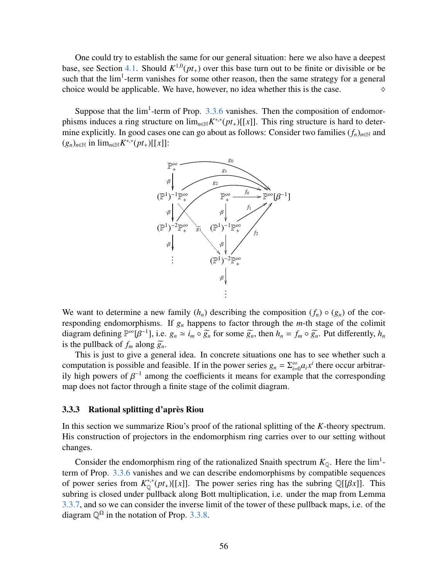One could try to establish the same for our general situation: here we also have a deepest base, see Section [4.1.](#page-61-1) Should  $K^{1,0}(pt_+)$  over this base turn out to be finite or divisible or be such that the  $lim<sup>1</sup>$ -term vanishes for some other reason, then the same strategy for a general choice would be applicable. We have, however, no idea whether this is the case.  $\Diamond$ 

Suppose that the  $lim<sup>1</sup>$ -term of Prop. [3.3.6](#page-52-1) vanishes. Then the composition of endomorphisms induces a ring structure on  $\lim_{n \in \mathbb{N}} K^{*,*}(pt_+)[[x]]$ . This ring structure is hard to determine explicitly. In good cases one can go about as follows: Consider two families  $(f_n)_{n\in\mathbb{N}}$  and  $(g_n)_{n \in \mathbb{N}}$  in  $\lim_{n \in \mathbb{N}} K^{*,*}(pt_+)[[x]]$ :



We want to determine a new family  $(h_n)$  describing the composition  $(f_n) \circ (g_n)$  of the corresponding endomorphisms. If  $g_n$  happens to factor through the  $m$ -th stage of the colimit diagram defining  $\mathbb{P}^{\infty}[\beta^{-1}]$ , i.e.  $g_n \simeq i_m \circ \widetilde{g_n}$  for some  $\widetilde{g_n}$ , then  $h_n = f_m \circ \widetilde{g_n}$ . Put differently,  $h_n$  is the pullback of f along  $\widetilde{g_n}$ is the pullback of  $f_m$  along  $\widetilde{g}_n$ .

This is just to give a general idea. In concrete situations one has to see whether such a computation is possible and feasible. If in the power series  $g_n = \sum_{i=0}^{\infty} a_i x^i$  there occur arbitrarily high powers of  $\beta^{-1}$  among the coefficients it means for example that the corresponding<br>man does not factor through a finite stage of the colimit diagram map does not factor through a finite stage of the colimit diagram.

#### <span id="page-55-0"></span>3.3.3 Rational splitting d'après Riou

In this section we summarize Riou's proof of the rational splitting of the *K*-theory spectrum. His construction of projectors in the endomorphism ring carries over to our setting without changes.

Consider the endomorphism ring of the rationalized Snaith spectrum  $K_{\mathbb{Q}}$ . Here the lim<sup>1</sup>term of Prop. [3.3.6](#page-52-1) vanishes and we can describe endomorphisms by compatible sequences of power series from  $K^{*,*}_{\mathbb{Q}}(pt_+)[[x]]$ . The power series ring has the subring  $\mathbb{Q}[[\beta x]]$ . This subring is closed under pullback along Bott multiplication i.e. under the man from Lemma subring is closed under pullback along Bott multiplication, i.e. under the map from Lemma [3.3.7,](#page-52-2) and so we can consider the inverse limit of the tower of these pullback maps, i.e. of the diagram  $\mathbb{Q}^{\Omega}$  in the notation of Prop. [3.3.8.](#page-53-0)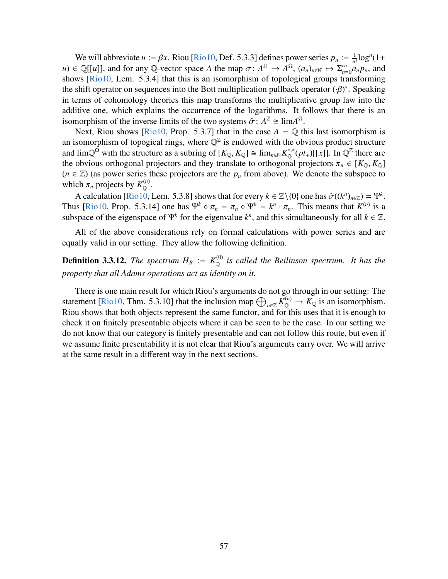We will abbreviate  $u := \beta x$ . Riou [\[Rio10,](#page-64-6) Def. 5.3.3] defines power series  $p_n := \frac{1}{n}$ <br>=  $\bigcap [u]$ ] and for any  $\bigcap$ -vector space 4 the man  $\tau : A^N \to A^{\Omega}$  (a)  $\mapsto \sum_{n=0}^{\infty}$  $\frac{1}{n!}$ log<sup>*n*</sup>(1+  $u$ )  $\in \mathbb{Q}[[u]]$ , and for any Q-vector space *A* the map  $\sigma: A^{\mathbb{N}} \to A^{\Omega}$ ,  $(a_n)_{n \in \mathbb{N}} \mapsto \Sigma_{n=0}^{\infty}$ <br>shows [Rio10, Lem. 5.3.41 that this is an isomorphism of topological groups tra  $\sum_{n=0}^{\infty} a_n p_n$ , and shows [\[Rio10,](#page-64-6) Lem. 5.3.4] that this is an isomorphism of topological groups transforming the shift operator on sequences into the Bott multiplication pullback operator  $(\cdot \beta)^*$ . Speaking<br>in terms of cohomology theories this man transforms the multiplicative group law into the in terms of cohomology theories this map transforms the multiplicative group law into the additive one, which explains the occurrence of the logarithms. It follows that there is an isomorphism of the inverse limits of the two systems  $\hat{\sigma}$ :  $A^{\mathbb{Z}} \cong \lim_{\Delta} A^{\Omega}$ .<br>Next Riou shows [Rio10, Prop. 5.3.7] that in the case  $A = \mathbb{Q}$  the

Next, Riou shows [\[Rio10,](#page-64-6) Prop. 5.3.7] that in the case  $A = \mathbb{Q}$  this last isomorphism is an isomorphism of topogical rings, where  $\mathbb{Q}^{\mathbb{Z}}$  is endowed with the obvious product structure and  $\lim_{\mathbb{Q}^{\Omega}} \mathbb{Q}^{\Omega}$  with the structure as a subring of  $[K_{\mathbb{Q}}, K_{\mathbb{Q}}] \cong \lim_{n \in \mathbb{N}} K_{\mathbb{Q}}^{*,*}(pt_+)[[x]]$ . In  $\mathbb{Q}^{\mathbb{Z}}$  there are the obvious orthogonal projectors and they translate to orthogonal projectors  $\pi_n \in [K_{\mathbb{Q}}, K_{\mathbb{Q}}]$  $(n \in \mathbb{Z})$  (as power series these projectors are the  $p_n$  from above). We denote the subspace to which  $\pi_n$  projects by  $K^{(n)}_{\mathbb{Q}}$ .

A calculation [\[Rio10,](#page-64-6) Lem. 5.3.8] shows that for every  $k \in \mathbb{Z} \setminus \{0\}$  one has  $\hat{\sigma}((k^n)_{n \in \mathbb{Z}}) = \Psi^k$ .<br>In [Rio10, Prop. 5.3.14] one has  $\Psi^k \circ \pi = \pi \circ \Psi^k - k^n \cdot \pi$ . This means that  $K^{(n)}$  is a Thus [\[Rio10,](#page-64-6) Prop. 5.3.14] one has  $\Psi^k \circ \pi_n = \pi_n \circ \Psi^k = k^n \cdot \pi_n$ . This means that  $K^{(n)}$  is a subspace of the eigenspace of  $\Psi^k$  for the eigenvalue  $k^n$  and this simultaneously for all  $k \in \mathbb{Z}$ subspace of the eigenspace of  $\Psi^k$  for the eigenvalue  $k^n$ , and this simultaneously for all  $k \in \mathbb{Z}$ .

All of the above considerations rely on formal calculations with power series and are equally valid in our setting. They allow the following definition.

**Definition 3.3.12.** The spectrum  $H_B := K_{\odot}^{(0)}$  is called the Beilinson spectrum. It has the *property that all Adams operations act as identity on it.*

There is one main result for which Riou's arguments do not go through in our setting: The statement [\[Rio10,](#page-64-6) Thm. 5.3.10] that the inclusion map  $\bigoplus_{n\in\mathbb{Z}} K_{\mathbb{Q}}^{(n)} \to K_{\mathbb{Q}}$  is an isomorphism. Riou shows that both objects represent the same functor, and for this uses that it is enough to check it on finitely presentable objects where it can be seen to be the case. In our setting we do not know that our category is finitely presentable and can not follow this route, but even if we assume finite presentability it is not clear that Riou's arguments carry over. We will arrive at the same result in a different way in the next sections.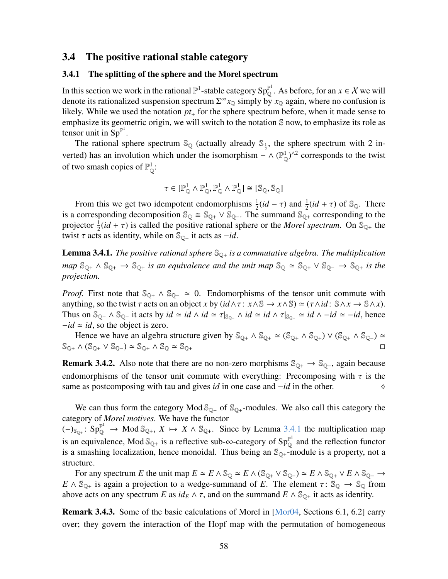#### <span id="page-57-0"></span>3.4 The positive rational stable category

#### <span id="page-57-1"></span>3.4.1 The splitting of the sphere and the Morel spectrum

In this section we work in the rational  $\mathbb{P}^1$ -stable category  $Sp_0^{\mathbb{P}^1}$ . As before, for an  $x \in \mathcal{X}$  we will denote its rationalized suspension spectrum  $\Sigma^{\infty} x_{\mathbb{Q}}$  simply by  $x_{\mathbb{Q}}$  again, where no confusion is likely. While we used the notation *pt*<sup>+</sup> for the sphere spectrum before, when it made sense to emphasize its geometric origin, we will switch to the notation S now, to emphasize its role as tensor unit in  $Sp^{\mathbb{P}^1}$ .

The rational sphere spectrum  $\mathbb{S}_{\mathbb{Q}}$  (actually already  $\mathbb{S}_{\frac{1}{2}}$ , the sphere spectrum with 2 inverted) has an involution which under the isomorphism  $-\wedge (\mathbb{P}_0^1)^{\wedge 2}$  corresponds to the twist of two smash copies of  $\mathbb{P}^1_{\Omega}$ :

$$
\tau \in [\mathbb{P}_{\mathbb{Q}}^1 \wedge \mathbb{P}_{\mathbb{Q}}^1, \mathbb{P}_{\mathbb{Q}}^1 \wedge \mathbb{P}_{\mathbb{Q}}^1] \cong [\mathbb{S}_{\mathbb{Q}}, \mathbb{S}_{\mathbb{Q}}]
$$

From this we get two idempotent endomorphisms  $\frac{1}{2}(id - \tau)$  and  $\frac{1}{2}(id + \tau)$  of  $\mathbb{S}_{\mathbb{Q}}$ . There<br>corresponding decomposition  $\mathbb{S}_{\mathbb{Q}} \cong \mathbb{S}_{\mathbb{Q}} \times \mathbb{S}_{\mathbb{Q}}$ . The summand  $\mathbb{S}_{\mathbb{Q}}$  corresponding to is a corresponding decomposition  $\mathbb{S}_{\mathbb{Q}} \cong \mathbb{S}_{\mathbb{Q}+} \vee \mathbb{S}_{\mathbb{Q}-}$ . The summand  $\mathbb{S}_{\mathbb{Q}+}$  corresponding to the projector  $\frac{1}{2}(id + \tau)$  is called the positive rational sphere or the *Morel spectrum*. On  $\mathbb{S}_{\mathbb{Q}_+}$  the twist  $\tau$  acts as identity while on  $\mathbb{S}_{\infty}$  it acts as  $-id$ twist  $\tau$  acts as identity, while on  $\mathbb{S}_{\mathbb{Q}^-}$  it acts as *−id*.

<span id="page-57-2"></span>**Lemma 3.4.1.** *The positive rational sphere*  $\mathbb{S}_{\mathbb{O}_+}$  *is a commutative algebra. The multiplication map*  $\mathbb{S}_{\mathbb{Q}^+} \wedge \mathbb{S}_{\mathbb{Q}^+} \rightarrow \mathbb{S}_{\mathbb{Q}^+}$  *is an equivalence and the unit map*  $\mathbb{S}_{\mathbb{Q}} \simeq \mathbb{S}_{\mathbb{Q}^+} \vee \mathbb{S}_{\mathbb{Q}^-} \rightarrow \mathbb{S}_{\mathbb{Q}^+}$  *is the projection.*

*Proof.* First note that  $\mathbb{S}_{\mathbb{Q}_+} \wedge \mathbb{S}_{\mathbb{Q}_-} \simeq 0$ . Endomorphisms of the tensor unit commute with anything, so the twist  $\tau$  acts on an object *x* by  $(id \land \tau: x \land \mathbb{S} \to x \land \mathbb{S}) \simeq (\tau \land id: \mathbb{S} \land x \to \mathbb{S} \land x)$ . Thus on  $\mathbb{S}_{\mathbb{Q}_+} \wedge \mathbb{S}_{\mathbb{Q}_-}$  it acts by  $id \simeq id \wedge id \simeq \tau|_{\mathbb{S}_{\mathbb{Q}_+}} \wedge id \simeq id \wedge \tau|_{\mathbb{S}_{\mathbb{Q}_-}} \simeq id \wedge -id \simeq -id$ , hence  $-i\, \approx i \, d$ , so the object is zero.

Hence we have an algebra structure given by  $\mathbb{S}_{\mathbb{Q}^+} \wedge \mathbb{S}_{\mathbb{Q}^+} \wedge \mathbb{S}_{\mathbb{Q}^+} \wedge \mathbb{S}_{\mathbb{Q}^+} \vee (\mathbb{S}_{\mathbb{Q}^+} \wedge \mathbb{S}_{\mathbb{Q}^-}) \simeq$  $\mathbb{S}_{\mathbb{Q}^+} \wedge (\mathbb{S}_{\mathbb{Q}^+} \vee \mathbb{S}_{\mathbb{Q}^-}) \simeq \mathbb{S}_{\mathbb{Q}^+} \wedge \mathbb{S}_{\mathbb{Q}} \simeq \mathbb{S}_{\mathbb{Q}^+}$ 

**Remark 3.4.2.** Also note that there are no non-zero morphisms  $\mathbb{S}_{\mathbb{Q}_+} \to \mathbb{S}_{\mathbb{Q}_-}$ , again because endomorphisms of the tensor unit commute with everything: Precomposing with  $\tau$  is the same as postcomposing with tau and gives *id* in one case and  $-id$  in the other. same as postcomposing with tau and gives *id* in one case and −*id* in the other.

We can thus form the category Mod  $\mathbb{S}_{\mathbb{O}^+}$  of  $\mathbb{S}_{\mathbb{O}^+}$ -modules. We also call this category the category of *Morel motives*. We have the functor

 $(-)_{\mathbb{S}_{\mathbb{Q}^+}}$ :  $\text{Sp}_{\mathbb{Q}}^{\mathbb{P}^1} \to \text{Mod}_{\mathbb{S}_{\mathbb{Q}^+}}$ ,  $X \mapsto X \wedge \mathbb{S}_{\mathbb{Q}^+}$ . Since by Lemma [3.4.1](#page-57-2) the multiplication map is an equivalence, Mod  $\mathbb{S}_{\mathbb{Q}+}$  is a reflective sub- $\infty$ -category of  $Sp_{\mathbb{Q}}^{\mathbb{P}^1}$  and the reflection functor is a smashing localization, hence monoidal. Thus being an  $\mathcal{S}_{\mathbb{Q}+}$ -module is a property, not a structure.

For any spectrum *E* the unit map  $E \simeq E \wedge \mathbb{S}_{\mathbb{Q}} \simeq E \wedge (\mathbb{S}_{\mathbb{Q}^+} \vee \mathbb{S}_{\mathbb{Q}^-}) \simeq E \wedge \mathbb{S}_{\mathbb{Q}^+} \vee E \wedge \mathbb{S}_{\mathbb{Q}^-} \rightarrow$  $E \wedge \mathbb{S}_{\mathbb{Q}_+}$  is again a projection to a wedge-summand of *E*. The element  $\tau: \mathbb{S}_{\mathbb{Q}} \to \mathbb{S}_{\mathbb{Q}}$  from above acts on any spectrum *E* as  $id_E \wedge \tau$ , and on the summand  $E \wedge \mathbb{S}_{\mathbb{Q}_+}$  it acts as identity.

Remark 3.4.3. Some of the basic calculations of Morel in [\[Mor04,](#page-64-7) Sections 6.1, 6.2] carry over; they govern the interaction of the Hopf map with the permutation of homogeneous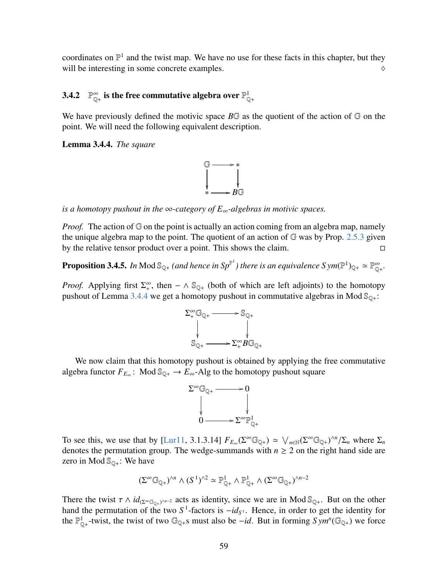coordinates on  $\mathbb{P}^1$  and the twist map. We have no use for these facts in this chapter, but they will be interesting in some concrete examples.  $\Diamond$ 

#### <span id="page-58-0"></span> $3.4.2$  $_{\mathbb{Q}_{+}}^{\infty}$  is the free commutative algebra over  $\mathbb{P}_{\mathbb{Q}_{+}}^{1}$

We have previously defined the motivic space  $B\mathbb{G}$  as the quotient of the action of  $\mathbb{G}$  on the point. We will need the following equivalent description.

<span id="page-58-1"></span>Lemma 3.4.4. *The square*



*is a homotopy pushout in the* ∞*-category of E*∞*-algebras in motivic spaces.*

*Proof.* The action of G on the point is actually an action coming from an algebra map, namely the unique algebra map to the point. The quotient of an action of  $G$  was by Prop. [2.5.3](#page-17-1) given by the relative tensor product over a point. This shows the claim.

<span id="page-58-2"></span>**Proposition 3.4.5.** In Mod  $\mathbb{S}_{\mathbb{Q}^+}$  (and hence in  $Sp^{\mathbb{P}^1}$ ) there is an equivalence  $Sym(\mathbb{P}^1)_{\mathbb{Q}^+}\simeq \mathbb{P}^\infty_{\mathbb{Q}^+}.$ 

*Proof.* Applying first  $\Sigma_{+}^{\infty}$ , then  $-\wedge \mathbb{S}_{\mathbb{Q}+}$  (both of which are left adjoints) to the homotopy pushout of Lemma [3.4.4](#page-58-1) we get a homotopy pushout in commutative algebras in Mod  $\mathcal{S}_{\mathbb{Q}_+}$ :



We now claim that this homotopy pushout is obtained by applying the free commutative algebra functor  $F_{E_{\infty}}$ : Mod  $\mathbb{S}_{\mathbb{Q}^+} \to E_{\infty}$ -Alg to the homotopy pushout square



To see this, we use that by [\[Lur11,](#page-64-1) 3.1.3.14]  $F_{E_{\infty}}(\Sigma^{\infty} \mathbb{G}_{\mathbb{Q}_+}) \simeq \bigvee_{n \in \mathbb{N}} (\Sigma^{\infty} \mathbb{G}_{\mathbb{Q}_+})^{\wedge n}/\Sigma_n$  where  $\Sigma_n$  denotes the permutation group. The wedge-summands with  $n > 2$  on the right hand sid denotes the permutation group. The wedge-summands with  $n \geq 2$  on the right hand side are zero in Mod  $\mathbb{S}_{\mathbb{Q}+}$ : We have

$$
(\Sigma^\infty\mathbb{G}_{\mathbb{Q}+})^{\wedge n}\wedge (S^1)^{\wedge 2} \simeq \mathbb{P}_{\mathbb{Q}+}^1\wedge \mathbb{P}_{\mathbb{Q}+}^1\wedge (\Sigma^\infty\mathbb{G}_{\mathbb{Q}+})^{\wedge n-2}
$$

There the twist  $\tau \wedge id_{(\Sigma^{\infty}(\mathbb{G}_{\mathbb{Q}+})^{\wedge n-2})}$  acts as identity, since we are in Mod  $\mathbb{S}_{\mathbb{Q}+}$ . But on the other hand the permutation of the two  $S^1$ -factors is  $-id_{\tau}$ . Hence in order to get the identity hand the permutation of the two  $S^1$ -factors is  $-id_{S^1}$ . Hence, in order to get the identity for the  $\mathbb{P}^1_{\mathbb{Q}_+}$ -twist, the twist of two  $\mathbb{G}_{\mathbb{Q}_+}$ s must also be *-id*. But in forming  $Sym^n(\mathbb{G}_{\mathbb{Q}_+})$  we force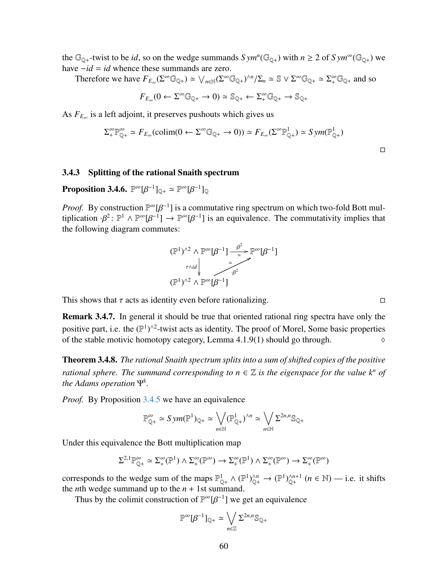the  $\mathbb{G}_{\mathbb{Q}+}$ -twist to be *id*, so on the wedge summands  $Sym^n(\mathbb{G}_{\mathbb{Q}+})$  with  $n \geq 2$  of  $Sym^{\infty}(\mathbb{G}_{\mathbb{Q}+})$  we have −*id* = *id* whence these summands are zero.

Therefore we have  $F_{E_{\infty}}(\Sigma^{\infty} \mathbb{G}_{\mathbb{Q}+}) \simeq \bigvee_{n \in \mathbb{N}} (\Sigma^{\infty} \mathbb{G}_{\mathbb{Q}+})^{\wedge n}/\Sigma_n \simeq \mathbb{S} \vee \Sigma^{\infty} \mathbb{G}_{\mathbb{Q}+} \simeq \Sigma^{\infty}_+ \mathbb{G}_{\mathbb{Q}+}$  and so

$$
F_{E_{\infty}}(0 \leftarrow \Sigma^{\infty} \mathbb{G}_{\mathbb{Q}+} \rightarrow 0) \simeq \mathbb{S}_{\mathbb{Q}+} \leftarrow \Sigma^{\infty}_+ \mathbb{G}_{\mathbb{Q}+} \rightarrow \mathbb{S}_{\mathbb{Q}+}
$$

As *F<sup>E</sup>*<sup>∞</sup> is a left adjoint, it preserves pushouts which gives us

$$
\Sigma_{+}^{\infty} \mathbb{P}_{\mathbb{Q}_{+}}^{\infty} \simeq F_{E_{\infty}}(\text{colim}(0 \leftarrow \Sigma^{\infty} \mathbb{G}_{\mathbb{Q}_{+}} \rightarrow 0)) \simeq F_{E_{\infty}}(\Sigma^{\infty} \mathbb{P}_{\mathbb{Q}_{+}}^{1}) \simeq Sym(\mathbb{P}_{\mathbb{Q}_{+}}^{1})
$$

#### <span id="page-59-0"></span>3.4.3 Splitting of the rational Snaith spectrum

<span id="page-59-2"></span>**Proposition 3.4.6.**  $\mathbb{P}^{\infty}[\beta^{-1}]_{\mathbb{Q}+} \simeq \mathbb{P}^{\infty}[\beta^{-1}]_{\mathbb{Q}}$ 

*Proof.* By construction  $\mathbb{P}^{\infty}[\beta^{-1}]$  is a commutative ring spectrum on which two-fold Bott multiplication  $\beta^2$ .  $\mathbb{P}^1 \wedge \mathbb{P}^{\infty}[B^{-1}] \rightarrow \mathbb{P}^{\infty}[B^{-1}]$  is an equivalence. The commutativity implies that tiplication  $\cdot \beta^2$ :  $\mathbb{P}^1 \wedge \mathbb{P}^{\infty}[\beta^{-1}] \rightarrow \mathbb{P}^{\infty}[\beta^{-1}]$  is an equivalence. The commutativity implies that the following diagram commutes: the following diagram commutes:



This shows that  $\tau$  acts as identity even before rationalizing.

Remark 3.4.7. In general it should be true that oriented rational ring spectra have only the positive part, i.e. the  $(\mathbb{P}^1)^{\wedge 2}$ -twist acts as identity. The proof of Morel, Some basic properties of the stable motivic homotopy category, Lemma 4.1.9(1) should go through.  $\diamond$ 

<span id="page-59-1"></span>Theorem 3.4.8. *The rational Snaith spectrum splits into a sum of shifted copies of the positive rational sphere. The summand corresponding to n*  $\in \mathbb{Z}$  *is the eigenspace for the value k<sup>n</sup> of the Adams operation* Ψ*<sup>k</sup> .*

*Proof.* By Proposition [3.4.5](#page-58-2) we have an equivalence

$$
\mathbb{P}^{\infty}_{\mathbb{Q}^+} \simeq Sym(\mathbb{P}^1)_{\mathbb{Q}^+} \simeq \bigvee_{n \in \mathbb{N}} (\mathbb{P}^1_{\mathbb{Q}^+})^{\wedge n} \simeq \bigvee_{n \in \mathbb{N}} \Sigma^{2n, n} \mathbb{S}_{\mathbb{Q}^+}
$$

Under this equivalence the Bott multiplication map

$$
\Sigma^{2,1}\mathbb{P}^\infty_{\mathbb{Q}^+}\simeq \Sigma^\infty_+(\mathbb{P}^1)\wedge \Sigma^\infty_+(\mathbb{P}^\infty)\to \Sigma^\infty_+(\mathbb{P}^1)\wedge \Sigma^\infty_+(\mathbb{P}^\infty)\to \Sigma^\infty_+(\mathbb{P}^\infty)
$$

corresponds to the wedge sum of the maps  $\mathbb{P}_{\mathbb{Q}_+}^1 \wedge (\mathbb{P}^1)_{\mathbb{Q}_+}^{\wedge n} \to (\mathbb{P}^1)_{\mathbb{Q}_+}^{\wedge n+1}$   $(n \in \mathbb{N})$  — i.e. it shifts the *n*th wedge summand up to the  $n + 1$ st summand.

Thus by the colimit construction of  $\mathbb{P}^{\infty}[\beta^{-1}]$  we get an equivalence

$$
\mathbb{P}^{\infty}[\beta^{-1}]_{\mathbb{Q}+} \simeq \bigvee_{n \in \mathbb{Z}} \Sigma^{2n,n} \mathbb{S}_{\mathbb{Q}+}
$$

 $\Box$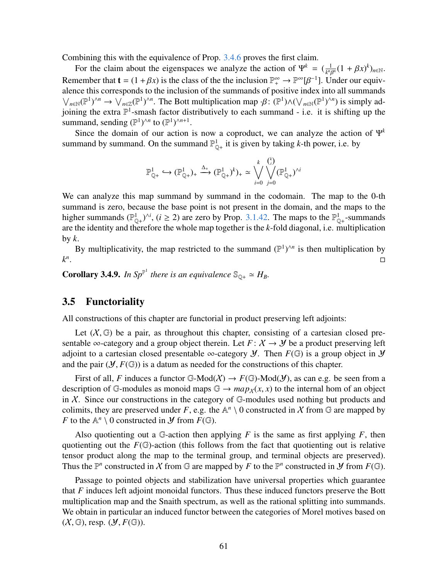Combining this with the equivalence of Prop. [3.4.6](#page-59-2) proves the first claim.

For the claim about the eigenspaces we analyze the action of  $\Psi^k = \left(\frac{1}{k^{n}r^k}\right)$  $\frac{1}{k^n \beta^n} (1 + \beta x)^k)_{n \in \mathbb{N}}$ . Remember that  $\mathbf{t} = (1 + \beta x)$  is the class of the the inclusion  $\mathbb{P}^{\infty}_+ \to \mathbb{P}^{\infty}[\beta^{-1}]$ . Under our equiv-<br>alence this corresponds to the inclusion of the summands of positive index into all summands alence this corresponds to the inclusion of the summands of positive index into all summands  $\bigvee_{n\in\mathbb{N}}(\mathbb{P}^1)^{\wedge n} \to \bigvee_{n\in\mathbb{Z}}(\mathbb{P}^1)^{\wedge n}$ . The Bott multiplication map  $\cdot \beta: (\mathbb{P}^1) \wedge (\bigvee_{n\in\mathbb{N}}(\mathbb{P}^1)^{\wedge n})$  is simply ad-<br>ioning the extra  $\mathbb{P}^1$ -smash factor distributively to each summa joining the extra  $\mathbb{P}^1$ -smash factor distributively to each summand - i.e. it is shifting up the summand, sending  $(\mathbb{P}^1)^{\wedge n}$  to  $(\mathbb{P}^1)^{\wedge n+1}$ .

Since the domain of our action is now a coproduct, we can analyze the action of  $\Psi^k$ summand by summand. On the summand  $\mathbb{P}_{\mathbb{Q}_+}^1$  it is given by taking *k*-th power, i.e. by

$$
\mathbb{P}^1_{\mathbb{Q}^+} \hookrightarrow (\mathbb{P}^1_{\mathbb{Q}^+})_+ \xrightarrow{\Delta_+} (\mathbb{P}^1_{\mathbb{Q}^+})^k)_+ \simeq \bigvee_{i=0}^k \bigvee_{j=0}^{k_i} (\mathbb{P}^1_{\mathbb{Q}^+})^{\wedge i}
$$

We can analyze this map summand by summand in the codomain. The map to the 0-th summand is zero, because the base point is not present in the domain, and the maps to the higher summands ( $\mathbb{P}_{\mathbb{Q}^+}^1$ )<sup>*i*</sup>, (*i*  $\geq$  2) are zero by Prop. [3.1.42.](#page-38-0) The maps to the  $\mathbb{P}_{\mathbb{Q}^+}^1$ -summands are the identity and therefore the whole map together is the *k*-fold diagonal, i.e. multiplication by  $k$ .

By multiplicativity, the map restricted to the summand  $(\mathbb{P}^1)^{\wedge n}$  is then multiplication by *k n* . In the contract of the contract of the contract of the contract of the contract of the contract of the contra<br>Decree the contract of the contract of the contract of the contract of the contract of the contract of the co

**Corollary 3.4.9.** In  $Sp^{\mathbb{P}^1}$  there is an equivalence  $\mathbb{S}_{\mathbb{Q}^+} \simeq H_B$ .

#### <span id="page-60-0"></span>3.5 Functoriality

All constructions of this chapter are functorial in product preserving left adjoints:

Let  $(X, \mathbb{G})$  be a pair, as throughout this chapter, consisting of a cartesian closed presentable ∞-category and a group object therein. Let  $F: X \rightarrow Y$  be a product preserving left adjoint to a cartesian closed presentable  $\infty$ -category *Y*. Then  $F(\mathbb{G})$  is a group object in *Y* and the pair  $(\mathcal{Y}, F(\mathbb{G}))$  is a datum as needed for the constructions of this chapter.

First of all, *F* induces a functor G-Mod $(X) \to F(\mathbb{G})$ -Mod $(\mathcal{Y})$ , as can e.g. be seen from a description of G-modules as monoid maps  $\mathbb{G} \to \text{map}_X(x, x)$  to the internal hom of an object in  $X$ . Since our constructions in the category of  $\mathbb{G}$ -modules used nothing but products and colimits, they are preserved under *F*, e.g. the  $\mathbb{A}^n \setminus 0$  constructed in X from  $\mathbb G$  are mapped by *F* to the  $\mathbb{A}^n \setminus 0$  constructed in *Y* from  $F(\mathbb{G})$ .

Also quotienting out a  $\mathbb{G}$ -action then applying *F* is the same as first applying *F*, then quotienting out the  $F(\mathbb{G})$ -action (this follows from the fact that quotienting out is relative tensor product along the map to the terminal group, and terminal objects are preserved). Thus the  $\mathbb{P}^n$  constructed in X from  $\mathbb{G}$  are mapped by F to the  $\mathbb{P}^n$  constructed in Y from  $F(\mathbb{G})$ .

Passage to pointed objects and stabilization have universal properties which guarantee that *F* induces left adjoint monoidal functors. Thus these induced functors preserve the Bott multiplication map and the Snaith spectrum, as well as the rational splitting into summands. We obtain in particular an induced functor between the categories of Morel motives based on  $(X, \mathbb{G})$ , resp.  $(\mathcal{Y}, F(\mathbb{G}))$ .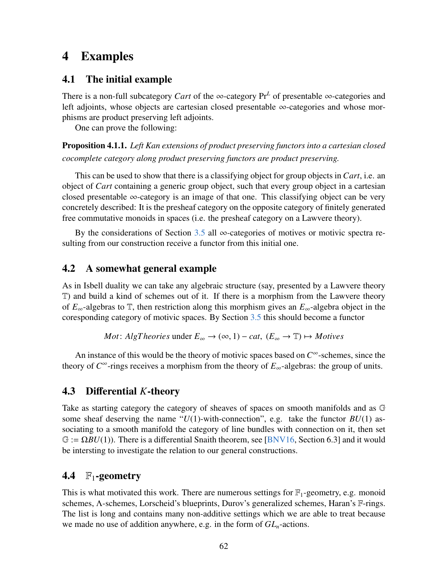# <span id="page-61-0"></span>4 Examples

## <span id="page-61-1"></span>4.1 The initial example

There is a non-full subcategory *Cart* of the ∞-category  $Pr<sup>L</sup>$  of presentable ∞-categories and left adjoints, whose objects are cartesian closed presentable ∞-categories and whose morphisms are product preserving left adjoints.

One can prove the following:

Proposition 4.1.1. *Left Kan extensions of product preserving functors into a cartesian closed cocomplete category along product preserving functors are product preserving.*

This can be used to show that there is a classifying object for group objects in *Cart*, i.e. an object of *Cart* containing a generic group object, such that every group object in a cartesian closed presentable  $\infty$ -category is an image of that one. This classifying object can be very concretely described: It is the presheaf category on the opposite category of finitely generated free commutative monoids in spaces (i.e. the presheaf category on a Lawvere theory).

By the considerations of Section [3.5](#page-60-0) all  $\infty$ -categories of motives or motivic spectra resulting from our construction receive a functor from this initial one.

## <span id="page-61-2"></span>4.2 A somewhat general example

As in Isbell duality we can take any algebraic structure (say, presented by a Lawvere theory T) and build a kind of schemes out of it. If there is a morphism from the Lawvere theory of *E*∞-algebras to T, then restriction along this morphism gives an *E*∞-algebra object in the coresponding category of motivic spaces. By Section [3.5](#page-60-0) this should become a functor

*Mot*: AlgTheories under 
$$
E_{\infty} \to (\infty, 1) - cat
$$
,  $(E_{\infty} \to \mathbb{T}) \mapsto Motives$ 

An instance of this would be the theory of motivic spaces based on *C* <sup>∞</sup>-schemes, since the theory of  $C^{\infty}$ -rings receives a morphism from the theory of  $E_{\infty}$ -algebras: the group of units.

# <span id="page-61-3"></span>4.3 Differential *K*-theory

Take as starting category the category of sheaves of spaces on smooth manifolds and as G some sheaf deserving the name " $U(1)$ -with-connection", e.g. take the functor  $BU(1)$  associating to a smooth manifold the category of line bundles with connection on it, then set  $\mathbb{G} := \Omega BU(1)$ ). There is a differential Snaith theorem, see [\[BNV16,](#page-63-11) Section 6.3] and it would be intersting to investigate the relation to our general constructions.

# <span id="page-61-4"></span>4.4  $\mathbb{F}_1$ -geometry

This is what motivated this work. There are numerous settings for  $\mathbb{F}_1$ -geometry, e.g. monoid schemes, Λ-schemes, Lorscheid's blueprints, Durov's generalized schemes, Haran's F-rings. The list is long and contains many non-additive settings which we are able to treat because we made no use of addition anywhere, e.g. in the form of *GLn*-actions.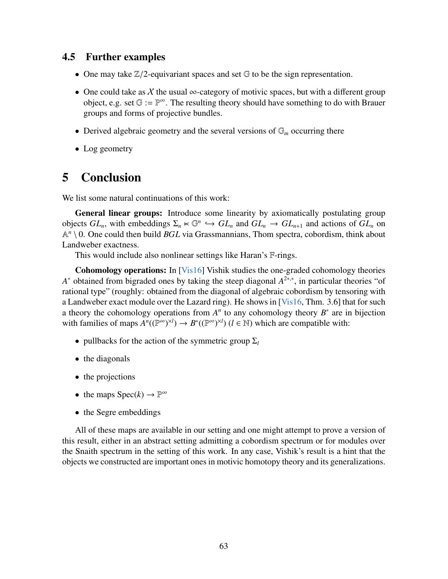## <span id="page-62-0"></span>4.5 Further examples

- One may take  $\mathbb{Z}/2$ -equivariant spaces and set  $\mathbb G$  to be the sign representation.
- One could take as X the usual  $\infty$ -category of motivic spaces, but with a different group object, e.g. set  $\mathbb{G} := \mathbb{P}^{\infty}$ . The resulting theory should have something to do with Brauer groups and forms of projective bundles.
- Derived algebraic geometry and the several versions of  $\mathbb{G}_m$  occurring there
- Log geometry

# <span id="page-62-1"></span>5 Conclusion

We list some natural continuations of this work:

General linear groups: Introduce some linearity by axiomatically postulating group objects  $GL_n$ , with embeddings  $\Sigma_n \ltimes \mathbb{G}^n \hookrightarrow GL_n$  and  $GL_n \to GL_{n+1}$  and actions of  $GL_n$  on  $\mathbb{A}^n \setminus \Omega$ . One could then build *RGI* via Grassmannians. Thom spectra, cobordism, think about  $\mathbb{A}^n \setminus 0$ . One could then build *BGL* via Grassmannians, Thom spectra, cobordism, think about Landweber exactness.

This would include also nonlinear settings like Haran's F-rings.

Cohomology operations: In [\[Vis16\]](#page-64-8) Vishik studies the one-graded cohomology theories *A*<sup>\*</sup> obtained from bigraded ones by taking the steep diagonal  $A^{2*,*}$ , in particular theories "of rational type" (roughly: obtained from the diagonal of algebraic cobordism by tensoring with a Landweber exact module over the Lazard ring). He shows in [\[Vis16,](#page-64-8) Thm. 3.6] that for such a theory the cohomology operations from  $A<sup>n</sup>$  to any cohomology theory  $B^*$  are in bijection with families of maps  $A^n((\mathbb{P}^\infty)^{\times l}) \to B^*((\mathbb{P}^\infty)^{\times l})$  ( $l \in \mathbb{N}$ ) which are compatible with:

- pullbacks for the action of the symmetric group  $\Sigma_l$
- the diagonals
- the projections
- the maps  $Spec(k) \to \mathbb{P}^{\infty}$
- the Segre embeddings

All of these maps are available in our setting and one might attempt to prove a version of this result, either in an abstract setting admitting a cobordism spectrum or for modules over the Snaith spectrum in the setting of this work. In any case, Vishik's result is a hint that the objects we constructed are important ones in motivic homotopy theory and its generalizations.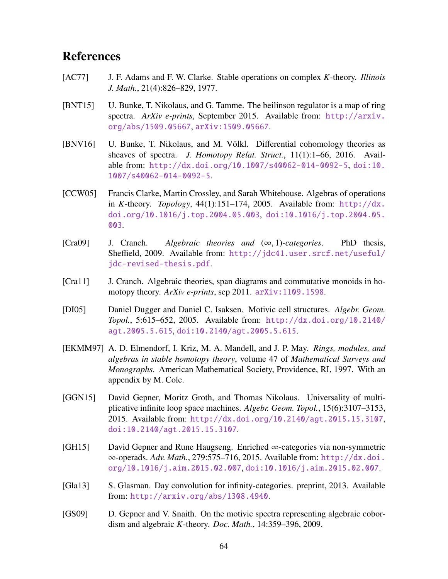# References

- <span id="page-63-9"></span>[AC77] J. F. Adams and F. W. Clarke. Stable operations on complex *K*-theory. *Illinois J. Math.*, 21(4):826–829, 1977.
- <span id="page-63-7"></span>[BNT15] U. Bunke, T. Nikolaus, and G. Tamme. The beilinson regulator is a map of ring spectra. *ArXiv e-prints*, September 2015. Available from: [http://arxiv.](http://arxiv.org/abs/1509.05667) [org/abs/1509.05667](http://arxiv.org/abs/1509.05667), [arXiv:1509.05667](http://arxiv.org/abs/1509.05667).
- <span id="page-63-11"></span>[BNV16] U. Bunke, T. Nikolaus, and M. Völkl. Differential cohomology theories as sheaves of spectra. *J. Homotopy Relat. Struct.*, 11(1):1–66, 2016. Available from: <http://dx.doi.org/10.1007/s40062-014-0092-5>, [doi:10.](http://dx.doi.org/10.1007/s40062-014-0092-5) [1007/s40062-014-0092-5](http://dx.doi.org/10.1007/s40062-014-0092-5).
- <span id="page-63-10"></span>[CCW05] Francis Clarke, Martin Crossley, and Sarah Whitehouse. Algebras of operations in *K*-theory. *Topology*, 44(1):151–174, 2005. Available from: [http://dx.](http://dx.doi.org/10.1016/j.top.2004.05.003) [doi.org/10.1016/j.top.2004.05.003](http://dx.doi.org/10.1016/j.top.2004.05.003), [doi:10.1016/j.top.2004.05.](http://dx.doi.org/10.1016/j.top.2004.05.003) [003](http://dx.doi.org/10.1016/j.top.2004.05.003).
- <span id="page-63-0"></span>[Cra09] J. Cranch. *Algebraic theories and* (∞, 1)*-categories*. PhD thesis, Sheffield, 2009. Available from: [http://jdc41.user.srcf.net/useful/](http://jdc41.user.srcf.net/useful/jdc-revised-thesis.pdf) [jdc-revised-thesis.pdf](http://jdc41.user.srcf.net/useful/jdc-revised-thesis.pdf).
- <span id="page-63-3"></span>[Cra11] J. Cranch. Algebraic theories, span diagrams and commutative monoids in homotopy theory. *ArXiv e-prints*, sep 2011. [arXiv:1109.1598](http://arxiv.org/abs/1109.1598).
- <span id="page-63-5"></span>[DI05] Daniel Dugger and Daniel C. Isaksen. Motivic cell structures. *Algebr. Geom. Topol.*, 5:615–652, 2005. Available from: [http://dx.doi.org/10.2140/](http://dx.doi.org/10.2140/agt.2005.5.615) [agt.2005.5.615](http://dx.doi.org/10.2140/agt.2005.5.615), [doi:10.2140/agt.2005.5.615](http://dx.doi.org/10.2140/agt.2005.5.615).
- <span id="page-63-6"></span>[EKMM97] A. D. Elmendorf, I. Kriz, M. A. Mandell, and J. P. May. *Rings, modules, and algebras in stable homotopy theory*, volume 47 of *Mathematical Surveys and Monographs*. American Mathematical Society, Providence, RI, 1997. With an appendix by M. Cole.
- <span id="page-63-1"></span>[GGN15] David Gepner, Moritz Groth, and Thomas Nikolaus. Universality of multiplicative infinite loop space machines. *Algebr. Geom. Topol.*, 15(6):3107–3153, 2015. Available from: <http://dx.doi.org/10.2140/agt.2015.15.3107>, [doi:10.2140/agt.2015.15.3107](http://dx.doi.org/10.2140/agt.2015.15.3107).
- <span id="page-63-4"></span>[GH15] David Gepner and Rune Haugseng. Enriched ∞-categories via non-symmetric ∞-operads. *Adv. Math.*, 279:575–716, 2015. Available from: [http://dx.doi.](http://dx.doi.org/10.1016/j.aim.2015.02.007) [org/10.1016/j.aim.2015.02.007](http://dx.doi.org/10.1016/j.aim.2015.02.007), [doi:10.1016/j.aim.2015.02.007](http://dx.doi.org/10.1016/j.aim.2015.02.007).
- <span id="page-63-2"></span>[Gla13] S. Glasman. Day convolution for infinity-categories. preprint, 2013. Available from: <http://arxiv.org/abs/1308.4940>.
- <span id="page-63-8"></span>[GS09] D. Gepner and V. Snaith. On the motivic spectra representing algebraic cobordism and algebraic *K*-theory. *Doc. Math.*, 14:359–396, 2009.